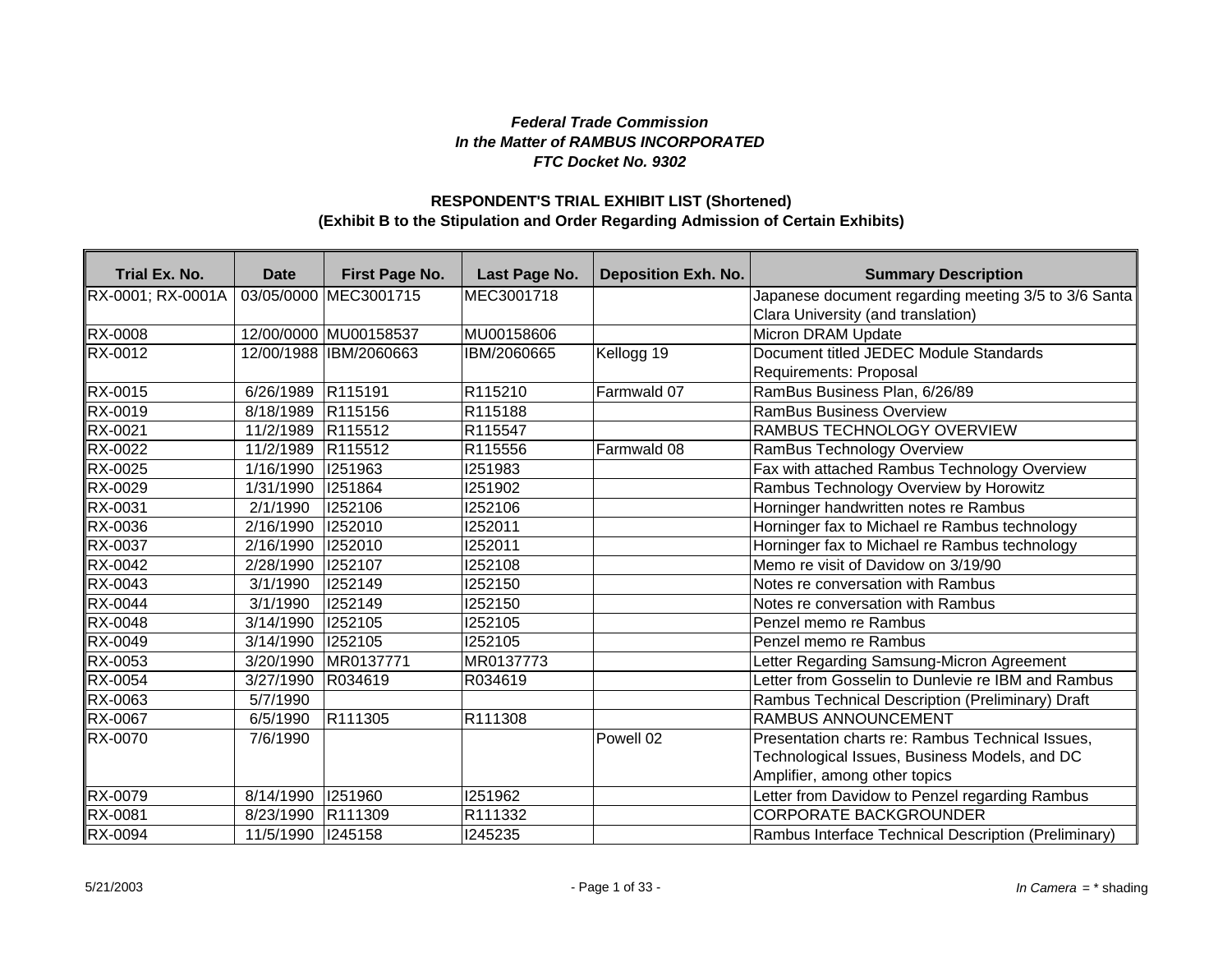## *Federal Trade Commission In the Matter of RAMBUS INCORPORATED FTC Docket No. 9302*

## **(Exhibit B to the Stipulation and Order Regarding Admission of Certain Exhibits) RESPONDENT'S TRIAL EXHIBIT LIST (Shortened)**

| Trial Ex. No.     | <b>Date</b> | First Page No.         | Last Page No. | <b>Deposition Exh. No.</b> | <b>Summary Description</b>                           |
|-------------------|-------------|------------------------|---------------|----------------------------|------------------------------------------------------|
| RX-0001; RX-0001A |             | 03/05/0000 MEC3001715  | MEC3001718    |                            | Japanese document regarding meeting 3/5 to 3/6 Santa |
|                   |             |                        |               |                            | Clara University (and translation)                   |
| <b>RX-0008</b>    |             | 12/00/0000 MU00158537  | MU00158606    |                            | Micron DRAM Update                                   |
| <b>RX-0012</b>    |             | 12/00/1988 IBM/2060663 | IBM/2060665   | Kellogg 19                 | Document titled JEDEC Module Standards               |
|                   |             |                        |               |                            | Requirements: Proposal                               |
| RX-0015           | 6/26/1989   | R115191                | R115210       | Farmwald 07                | RamBus Business Plan, 6/26/89                        |
| RX-0019           | 8/18/1989   | R115156                | R115188       |                            | <b>RamBus Business Overview</b>                      |
| RX-0021           | 11/2/1989   | R115512                | R115547       |                            | RAMBUS TECHNOLOGY OVERVIEW                           |
| RX-0022           | 11/2/1989   | R115512                | R115556       | Farmwald 08                | RamBus Technology Overview                           |
| RX-0025           | 1/16/1990   | 1251963                | 1251983       |                            | Fax with attached Rambus Technology Overview         |
| RX-0029           | 1/31/1990   | 1251864                | I251902       |                            | Rambus Technology Overview by Horowitz               |
| RX-0031           | 2/1/1990    | 1252106                | 1252106       |                            | Horninger handwritten notes re Rambus                |
| RX-0036           | 2/16/1990   | 1252010                | 1252011       |                            | Horninger fax to Michael re Rambus technology        |
| RX-0037           | 2/16/1990   | 1252010                | 1252011       |                            | Horninger fax to Michael re Rambus technology        |
| RX-0042           | 2/28/1990   | <b>I252107</b>         | 1252108       |                            | Memo re visit of Davidow on 3/19/90                  |
| RX-0043           | 3/1/1990    | 1252149                | 1252150       |                            | Notes re conversation with Rambus                    |
| <b>RX-0044</b>    | 3/1/1990    | 1252149                | 1252150       |                            | Notes re conversation with Rambus                    |
| RX-0048           | 3/14/1990   | 1252105                | 1252105       |                            | Penzel memo re Rambus                                |
| RX-0049           | 3/14/1990   | 1252105                | 1252105       |                            | Penzel memo re Rambus                                |
| RX-0053           | 3/20/1990   | MR0137771              | MR0137773     |                            | Letter Regarding Samsung-Micron Agreement            |
| <b>RX-0054</b>    | 3/27/1990   | R034619                | R034619       |                            | Letter from Gosselin to Dunlevie re IBM and Rambus   |
| RX-0063           | 5/7/1990    |                        |               |                            | Rambus Technical Description (Preliminary) Draft     |
| RX-0067           | 6/5/1990    | R <sub>111305</sub>    | R111308       |                            | <b>RAMBUS ANNOUNCEMENT</b>                           |
| RX-0070           | 7/6/1990    |                        |               | Powell 02                  | Presentation charts re: Rambus Technical Issues,     |
|                   |             |                        |               |                            | Technological Issues, Business Models, and DC        |
|                   |             |                        |               |                            | Amplifier, among other topics                        |
| RX-0079           | 8/14/1990   | 1251960                | 1251962       |                            | Letter from Davidow to Penzel regarding Rambus       |
| RX-0081           | 8/23/1990   | R111309                | R111332       |                            | <b>CORPORATE BACKGROUNDER</b>                        |
| RX-0094           | 11/5/1990   | 245158                 | 1245235       |                            | Rambus Interface Technical Description (Preliminary) |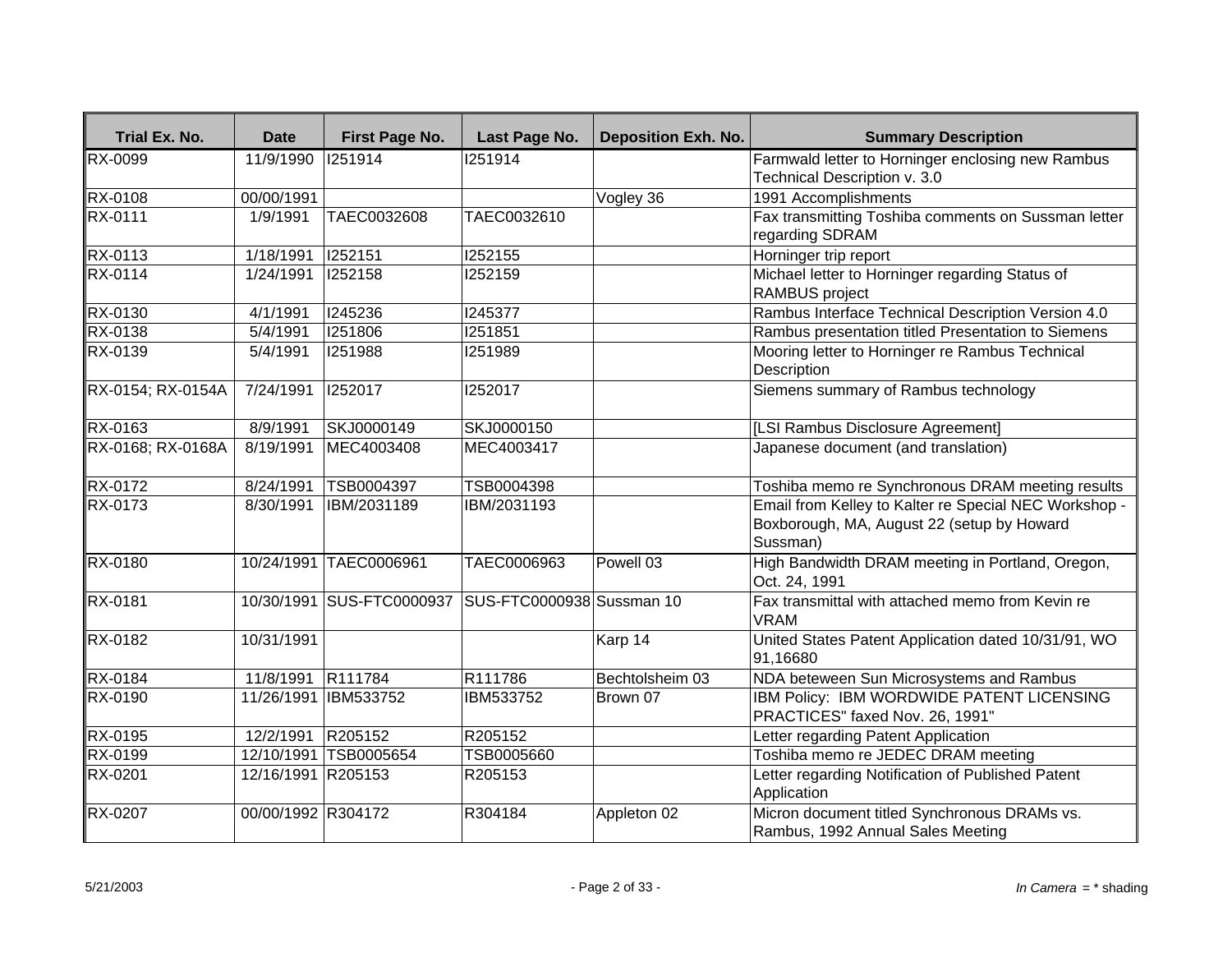| Trial Ex. No.     | <b>Date</b>        | First Page No.            | Last Page No.             | <b>Deposition Exh. No.</b> | <b>Summary Description</b>                                                                                      |
|-------------------|--------------------|---------------------------|---------------------------|----------------------------|-----------------------------------------------------------------------------------------------------------------|
| <b>RX-0099</b>    | 11/9/1990          | 1251914                   | 1251914                   |                            | Farmwald letter to Horninger enclosing new Rambus                                                               |
|                   |                    |                           |                           |                            | Technical Description v. 3.0                                                                                    |
| <b>RX-0108</b>    | 00/00/1991         |                           |                           | Vogley 36                  | 1991 Accomplishments                                                                                            |
| <b>RX-0111</b>    | 1/9/1991           | TAEC0032608               | TAEC0032610               |                            | Fax transmitting Toshiba comments on Sussman letter<br>regarding SDRAM                                          |
| RX-0113           | 1/18/1991          | 1252151                   | 1252155                   |                            | Horninger trip report                                                                                           |
| <b>RX-0114</b>    | 1/24/1991          | 1252158                   | 1252159                   |                            | Michael letter to Horninger regarding Status of<br>RAMBUS project                                               |
| RX-0130           | 4/1/1991           | 1245236                   | 1245377                   |                            | Rambus Interface Technical Description Version 4.0                                                              |
| RX-0138           | 5/4/1991           | 1251806                   | 1251851                   |                            | Rambus presentation titled Presentation to Siemens                                                              |
| RX-0139           | 5/4/1991           | 1251988                   | 1251989                   |                            | Mooring letter to Horninger re Rambus Technical<br>Description                                                  |
| RX-0154; RX-0154A | 7/24/1991          | 1252017                   | 1252017                   |                            | Siemens summary of Rambus technology                                                                            |
| RX-0163           | 8/9/1991           | SKJ0000149                | SKJ0000150                |                            | [LSI Rambus Disclosure Agreement]                                                                               |
| RX-0168; RX-0168A | 8/19/1991          | MEC4003408                | MEC4003417                |                            | Japanese document (and translation)                                                                             |
| RX-0172           | 8/24/1991          | TSB0004397                | TSB0004398                |                            | Toshiba memo re Synchronous DRAM meeting results                                                                |
| RX-0173           | 8/30/1991          | IBM/2031189               | IBM/2031193               |                            | Email from Kelley to Kalter re Special NEC Workshop -<br>Boxborough, MA, August 22 (setup by Howard<br>Sussman) |
| <b>RX-0180</b>    |                    | 10/24/1991 TAEC0006961    | TAEC0006963               | Powell 03                  | High Bandwidth DRAM meeting in Portland, Oregon,<br>Oct. 24, 1991                                               |
| RX-0181           |                    | 10/30/1991 SUS-FTC0000937 | SUS-FTC0000938 Sussman 10 |                            | Fax transmittal with attached memo from Kevin re<br><b>VRAM</b>                                                 |
| <b>RX-0182</b>    | 10/31/1991         |                           |                           | Karp 14                    | United States Patent Application dated 10/31/91, WO<br>91,16680                                                 |
| RX-0184           | 11/8/1991          | R111784                   | R111786                   | Bechtolsheim 03            | NDA beteween Sun Microsystems and Rambus                                                                        |
| RX-0190           | 11/26/1991         | IBM533752                 | IBM533752                 | Brown 07                   | IBM Policy: IBM WORDWIDE PATENT LICENSING<br>PRACTICES" faxed Nov. 26, 1991"                                    |
| RX-0195           | 12/2/1991          | R205152                   | R205152                   |                            | Letter regarding Patent Application                                                                             |
| RX-0199           |                    | 12/10/1991 TSB0005654     | TSB0005660                |                            | Toshiba memo re JEDEC DRAM meeting                                                                              |
| RX-0201           | 12/16/1991 R205153 |                           | R205153                   |                            | Letter regarding Notification of Published Patent<br>Application                                                |
| RX-0207           | 00/00/1992 R304172 |                           | R304184                   | Appleton 02                | Micron document titled Synchronous DRAMs vs.<br>Rambus, 1992 Annual Sales Meeting                               |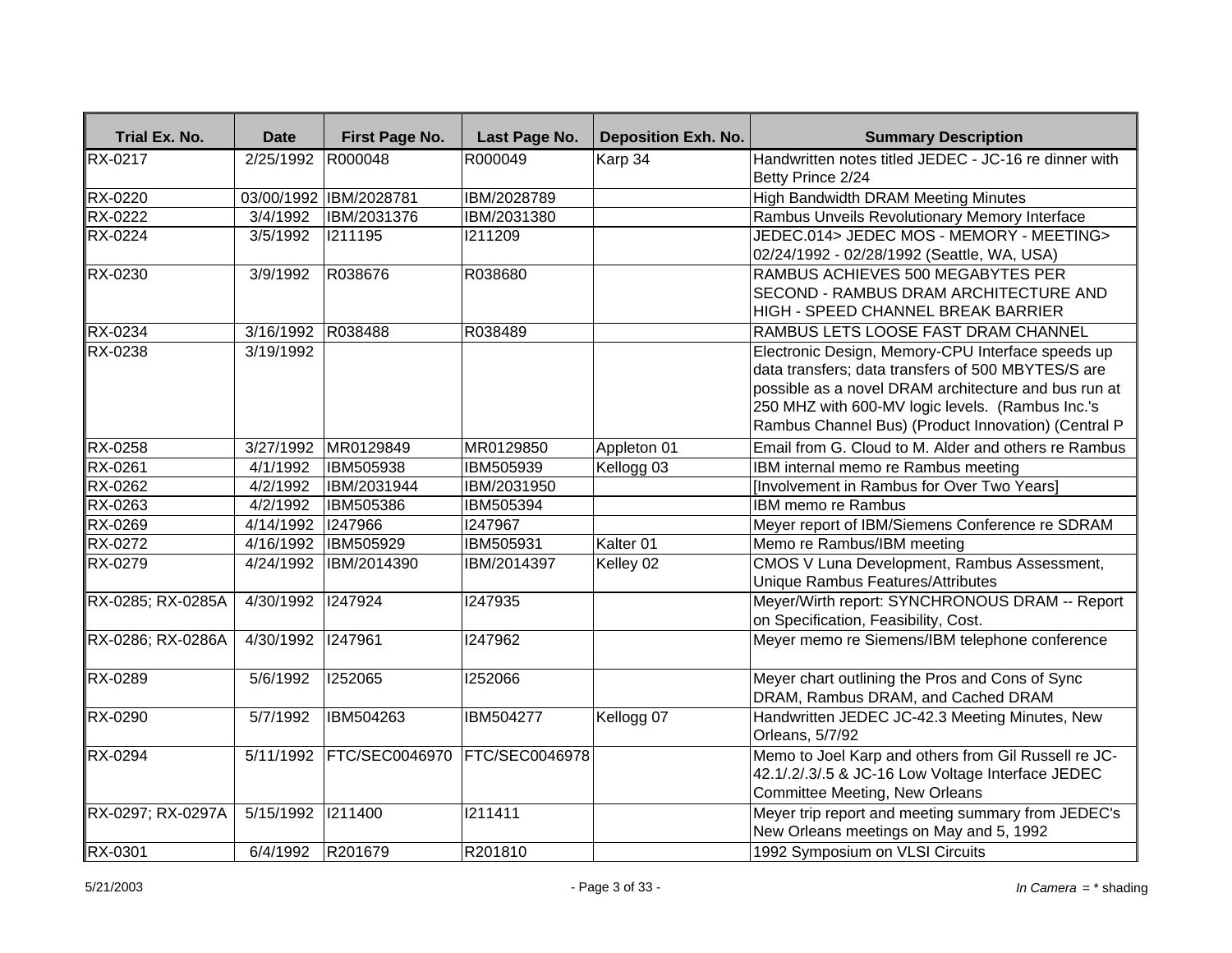| Trial Ex. No.     | <b>Date</b>       | First Page No.         | Last Page No.         | <b>Deposition Exh. No.</b> | <b>Summary Description</b>                                                                                                                                                                                                                                                 |
|-------------------|-------------------|------------------------|-----------------------|----------------------------|----------------------------------------------------------------------------------------------------------------------------------------------------------------------------------------------------------------------------------------------------------------------------|
| <b>RX-0217</b>    | 2/25/1992         | R000048                | R000049               | Karp 34                    | Handwritten notes titled JEDEC - JC-16 re dinner with                                                                                                                                                                                                                      |
|                   |                   |                        |                       |                            | Betty Prince 2/24                                                                                                                                                                                                                                                          |
| <b>RX-0220</b>    |                   | 03/00/1992 IBM/2028781 | IBM/2028789           |                            | High Bandwidth DRAM Meeting Minutes                                                                                                                                                                                                                                        |
| <b>RX-0222</b>    | $\sqrt{3}/4/1992$ | IBM/2031376            | IBM/2031380           |                            | Rambus Unveils Revolutionary Memory Interface                                                                                                                                                                                                                              |
| RX-0224           | 3/5/1992          | 1211195                | 1211209               |                            | JEDEC.014> JEDEC MOS - MEMORY - MEETING><br>02/24/1992 - 02/28/1992 (Seattle, WA, USA)                                                                                                                                                                                     |
| RX-0230           | 3/9/1992          | R038676                | R038680               |                            | RAMBUS ACHIEVES 500 MEGABYTES PER<br><b>SECOND - RAMBUS DRAM ARCHITECTURE AND</b><br>HIGH - SPEED CHANNEL BREAK BARRIER                                                                                                                                                    |
| RX-0234           | 3/16/1992         | R038488                | R038489               |                            | RAMBUS LETS LOOSE FAST DRAM CHANNEL                                                                                                                                                                                                                                        |
| RX-0238           | 3/19/1992         |                        |                       |                            | Electronic Design, Memory-CPU Interface speeds up<br>data transfers; data transfers of 500 MBYTES/S are<br>possible as a novel DRAM architecture and bus run at<br>250 MHZ with 600-MV logic levels. (Rambus Inc.'s<br>Rambus Channel Bus) (Product Innovation) (Central P |
| <b>RX-0258</b>    | 3/27/1992         | MR0129849              | MR0129850             | Appleton 01                | Email from G. Cloud to M. Alder and others re Rambus                                                                                                                                                                                                                       |
| RX-0261           | 4/1/1992          | IBM505938              | IBM505939             | Kellogg 03                 | IBM internal memo re Rambus meeting                                                                                                                                                                                                                                        |
| RX-0262           | 4/2/1992          | IBM/2031944            | IBM/2031950           |                            | [Involvement in Rambus for Over Two Years]                                                                                                                                                                                                                                 |
| RX-0263           | 4/2/1992          | IBM505386              | IBM505394             |                            | IBM memo re Rambus                                                                                                                                                                                                                                                         |
| RX-0269           | 4/14/1992         | 1247966                | 1247967               |                            | Meyer report of IBM/Siemens Conference re SDRAM                                                                                                                                                                                                                            |
| RX-0272           | 4/16/1992         | <b>IBM505929</b>       | IBM505931             | Kalter 01                  | Memo re Rambus/IBM meeting                                                                                                                                                                                                                                                 |
| RX-0279           | 4/24/1992         | <b>IBM/2014390</b>     | IBM/2014397           | Kelley 02                  | CMOS V Luna Development, Rambus Assessment,<br>Unique Rambus Features/Attributes                                                                                                                                                                                           |
| RX-0285; RX-0285A | 4/30/1992 1247924 |                        | 1247935               |                            | Meyer/Wirth report: SYNCHRONOUS DRAM -- Report<br>on Specification, Feasibility, Cost.                                                                                                                                                                                     |
| RX-0286; RX-0286A | 4/30/1992 1247961 |                        | 1247962               |                            | Meyer memo re Siemens/IBM telephone conference                                                                                                                                                                                                                             |
| RX-0289           | 5/6/1992          | 1252065                | 1252066               |                            | Meyer chart outlining the Pros and Cons of Sync<br>DRAM, Rambus DRAM, and Cached DRAM                                                                                                                                                                                      |
| <b>RX-0290</b>    | 5/7/1992          | IBM504263              | <b>IBM504277</b>      | Kellogg 07                 | Handwritten JEDEC JC-42.3 Meeting Minutes, New<br>Orleans, 5/7/92                                                                                                                                                                                                          |
| RX-0294           | 5/11/1992         | <b>FTC/SEC0046970</b>  | <b>FTC/SEC0046978</b> |                            | Memo to Joel Karp and others from Gil Russell re JC-<br>42.1/.2/.3/.5 & JC-16 Low Voltage Interface JEDEC<br>Committee Meeting, New Orleans                                                                                                                                |
| RX-0297; RX-0297A | 5/15/1992 1211400 |                        | 1211411               |                            | Meyer trip report and meeting summary from JEDEC's<br>New Orleans meetings on May and 5, 1992                                                                                                                                                                              |
| RX-0301           | 6/4/1992          | R201679                | R201810               |                            | 1992 Symposium on VLSI Circuits                                                                                                                                                                                                                                            |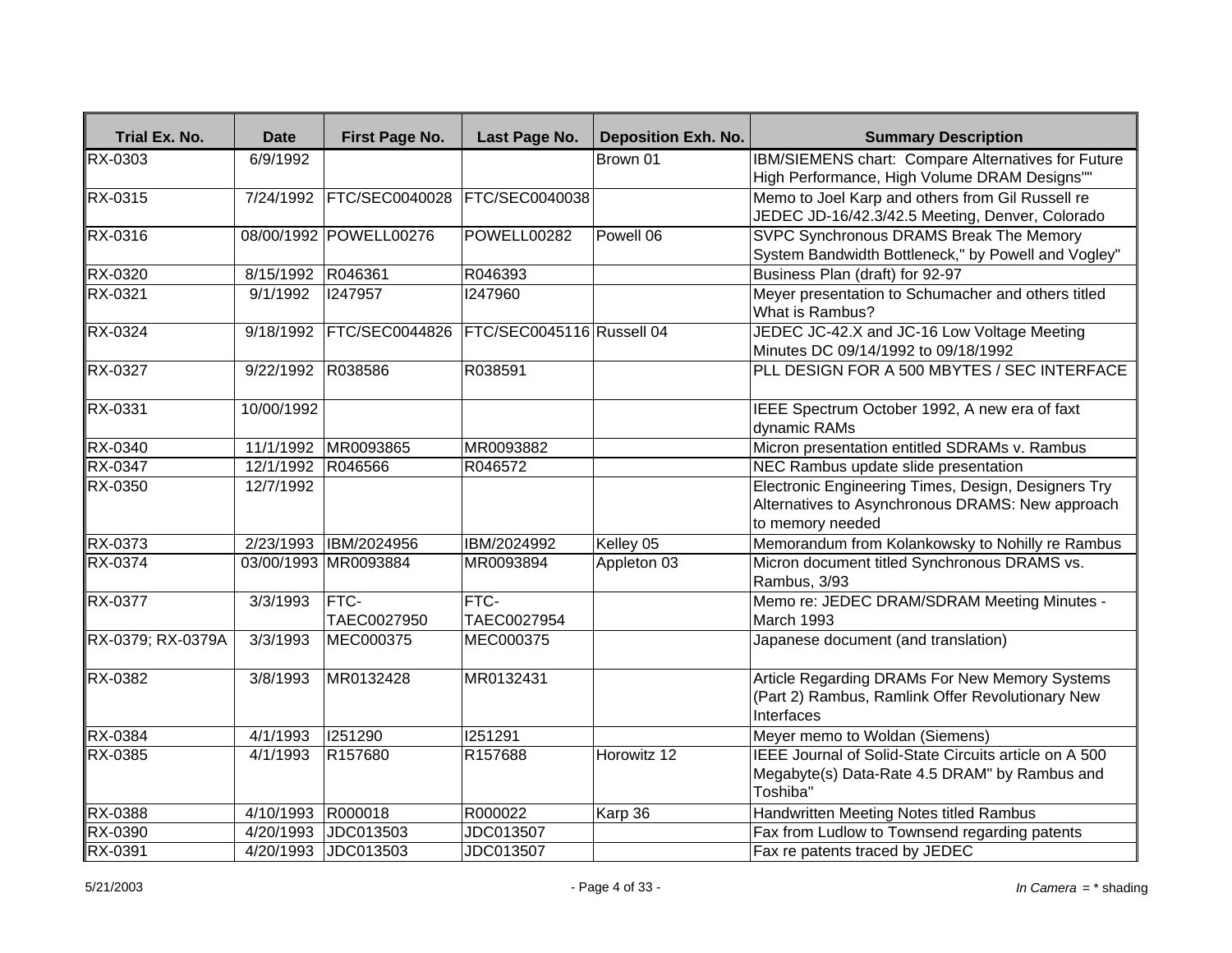| Trial Ex. No.     | <b>Date</b> | First Page No.              | Last Page No.              | <b>Deposition Exh. No.</b> | <b>Summary Description</b>                                                                                                  |
|-------------------|-------------|-----------------------------|----------------------------|----------------------------|-----------------------------------------------------------------------------------------------------------------------------|
| <b>RX-0303</b>    | 6/9/1992    |                             |                            | Brown 01                   | IBM/SIEMENS chart: Compare Alternatives for Future<br>High Performance, High Volume DRAM Designs""                          |
| <b>RX-0315</b>    | 7/24/1992   | FTC/SEC0040028              | FTC/SEC0040038             |                            | Memo to Joel Karp and others from Gil Russell re<br>JEDEC JD-16/42.3/42.5 Meeting, Denver, Colorado                         |
| RX-0316           |             | 08/00/1992 POWELL00276      | POWELL00282                | Powell 06                  | <b>SVPC Synchronous DRAMS Break The Memory</b><br>System Bandwidth Bottleneck," by Powell and Vogley"                       |
| RX-0320           | 8/15/1992   | R046361                     | R046393                    |                            | Business Plan (draft) for 92-97                                                                                             |
| RX-0321           | 9/1/1992    | 1247957                     | 1247960                    |                            | Meyer presentation to Schumacher and others titled<br>What is Rambus?                                                       |
| RX-0324           | 9/18/1992   | <b>FTC/SEC0044826</b>       | FTC/SEC0045116 Russell 04  |                            | JEDEC JC-42.X and JC-16 Low Voltage Meeting<br>Minutes DC 09/14/1992 to 09/18/1992                                          |
| <b>RX-0327</b>    | 9/22/1992   | R038586                     | R038591                    |                            | PLL DESIGN FOR A 500 MBYTES / SEC INTERFACE                                                                                 |
| RX-0331           | 10/00/1992  |                             |                            |                            | IEEE Spectrum October 1992, A new era of faxt<br>dynamic RAMs                                                               |
| RX-0340           | 11/1/1992   | MR0093865                   | MR0093882                  |                            | Micron presentation entitled SDRAMs v. Rambus                                                                               |
| RX-0347           | 12/1/1992   | R046566                     | R046572                    |                            | NEC Rambus update slide presentation                                                                                        |
| RX-0350           | 12/7/1992   |                             |                            |                            | Electronic Engineering Times, Design, Designers Try<br>Alternatives to Asynchronous DRAMS: New approach<br>to memory needed |
| RX-0373           | 2/23/1993   | IBM/2024956                 | IBM/2024992                | Kelley 05                  | Memorandum from Kolankowsky to Nohilly re Rambus                                                                            |
| RX-0374           |             | 03/00/1993 MR0093884        | MR0093894                  | Appleton 03                | Micron document titled Synchronous DRAMS vs.<br>Rambus, 3/93                                                                |
| <b>RX-0377</b>    | 3/3/1993    | <b>IFTC-</b><br>TAEC0027950 | <b>FTC-</b><br>TAEC0027954 |                            | Memo re: JEDEC DRAM/SDRAM Meeting Minutes -<br>March 1993                                                                   |
| RX-0379; RX-0379A | 3/3/1993    | MEC000375                   | MEC000375                  |                            | Japanese document (and translation)                                                                                         |
| RX-0382           | 3/8/1993    | MR0132428                   | MR0132431                  |                            | Article Regarding DRAMs For New Memory Systems<br>(Part 2) Rambus, Ramlink Offer Revolutionary New<br>Interfaces            |
| RX-0384           | 4/1/1993    | 1251290                     | 1251291                    |                            | Meyer memo to Woldan (Siemens)                                                                                              |
| RX-0385           | 4/1/1993    | R157680                     | R157688                    | Horowitz 12                | IEEE Journal of Solid-State Circuits article on A 500<br>Megabyte(s) Data-Rate 4.5 DRAM" by Rambus and<br>Toshiba"          |
| RX-0388           | 4/10/1993   | R000018                     | R000022                    | Karp 36                    | Handwritten Meeting Notes titled Rambus                                                                                     |
| RX-0390           | 4/20/1993   | JDC013503                   | JDC013507                  |                            | Fax from Ludlow to Townsend regarding patents                                                                               |
| RX-0391           | 4/20/1993   | JDC013503                   | JDC013507                  |                            | Fax re patents traced by JEDEC                                                                                              |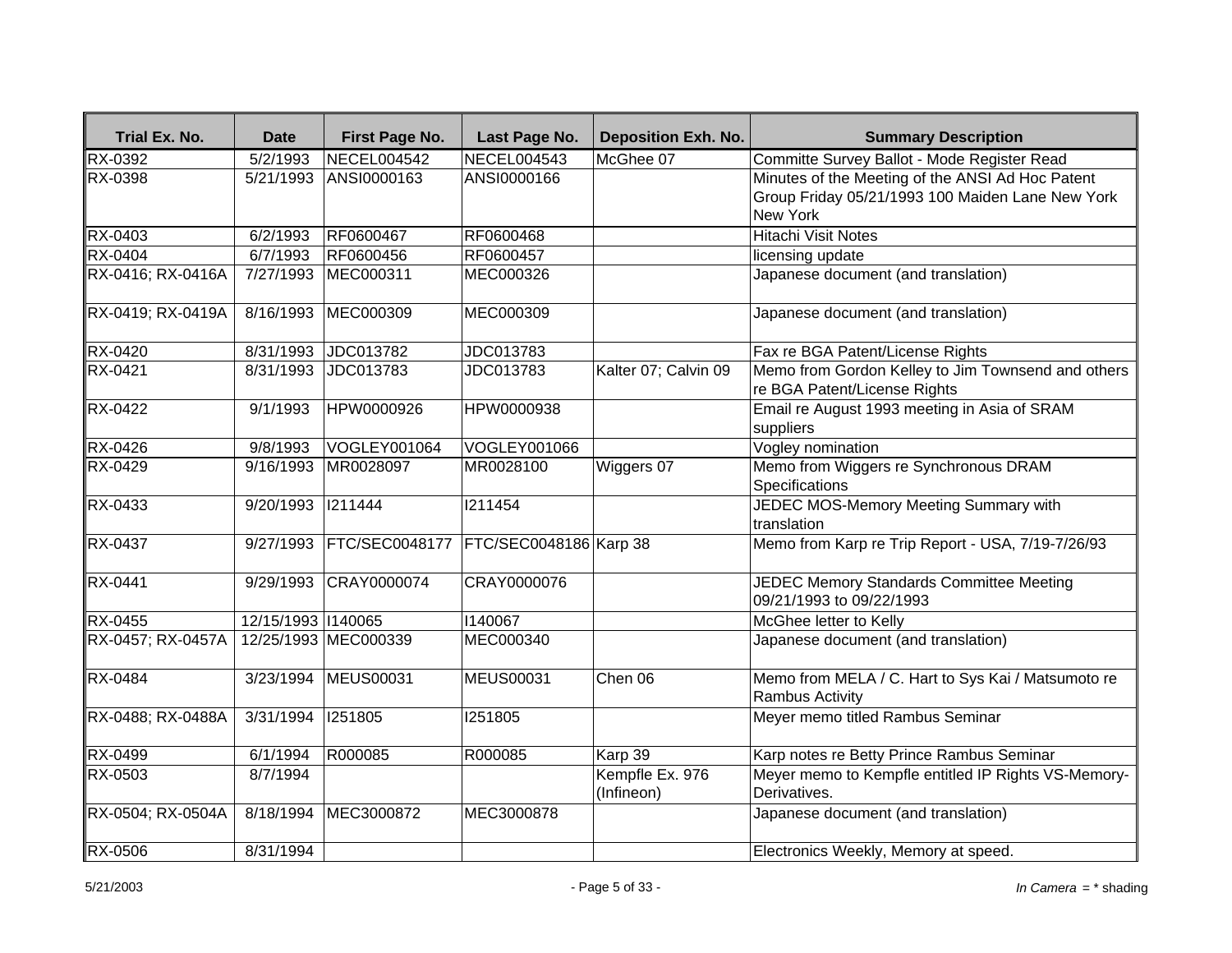| Trial Ex. No.     | <b>Date</b>        | First Page No.           | Last Page No.          | <b>Deposition Exh. No.</b>    | <b>Summary Description</b>                                                                                       |
|-------------------|--------------------|--------------------------|------------------------|-------------------------------|------------------------------------------------------------------------------------------------------------------|
| <b>RX-0392</b>    | 5/2/1993           | <b>NECEL004542</b>       | <b>NECEL004543</b>     | McGhee 07                     | Committe Survey Ballot - Mode Register Read                                                                      |
| <b>RX-0398</b>    | 5/21/1993          | ANSI0000163              | ANSI0000166            |                               | Minutes of the Meeting of the ANSI Ad Hoc Patent<br>Group Friday 05/21/1993 100 Maiden Lane New York<br>New York |
| RX-0403           | 6/2/1993           | RF0600467                | RF0600468              |                               | <b>Hitachi Visit Notes</b>                                                                                       |
| RX-0404           | 6/7/1993           | RF0600456                | RF0600457              |                               | licensing update                                                                                                 |
| RX-0416; RX-0416A | 7/27/1993          | MEC000311                | MEC000326              |                               | Japanese document (and translation)                                                                              |
| RX-0419; RX-0419A | 8/16/1993          | MEC000309                | MEC000309              |                               | Japanese document (and translation)                                                                              |
| RX-0420           | 8/31/1993          | JDC013782                | JDC013783              |                               | Fax re BGA Patent/License Rights                                                                                 |
| RX-0421           | 8/31/1993          | JDC013783                | JDC013783              | Kalter 07; Calvin 09          | Memo from Gordon Kelley to Jim Townsend and others<br>re BGA Patent/License Rights                               |
| <b>RX-0422</b>    | 9/1/1993           | HPW0000926               | HPW0000938             |                               | Email re August 1993 meeting in Asia of SRAM<br>suppliers                                                        |
| RX-0426           | 9/8/1993           | <b>VOGLEY001064</b>      | VOGLEY001066           |                               | Vogley nomination                                                                                                |
| RX-0429           | 9/16/1993          | MR0028097                | MR0028100              | Wiggers 07                    | Memo from Wiggers re Synchronous DRAM<br>Specifications                                                          |
| RX-0433           | 9/20/1993          | 1211444                  | 1211454                |                               | JEDEC MOS-Memory Meeting Summary with<br>translation                                                             |
| <b>RX-0437</b>    |                    | 9/27/1993 FTC/SEC0048177 | FTC/SEC0048186 Karp 38 |                               | Memo from Karp re Trip Report - USA, 7/19-7/26/93                                                                |
| <b>RX-0441</b>    |                    | 9/29/1993 CRAY0000074    | CRAY0000076            |                               | JEDEC Memory Standards Committee Meeting<br>09/21/1993 to 09/22/1993                                             |
| RX-0455           | 12/15/1993 1140065 |                          | 1140067                |                               | McGhee letter to Kelly                                                                                           |
| RX-0457; RX-0457A |                    | 12/25/1993 MEC000339     | <b>MEC000340</b>       |                               | Japanese document (and translation)                                                                              |
| RX-0484           | 3/23/1994          | <b>MEUS00031</b>         | <b>MEUS00031</b>       | Chen 06                       | Memo from MELA / C. Hart to Sys Kai / Matsumoto re<br><b>Rambus Activity</b>                                     |
| RX-0488; RX-0488A | 3/31/1994          | 1251805                  | 1251805                |                               | Meyer memo titled Rambus Seminar                                                                                 |
| RX-0499           | 6/1/1994           | R000085                  | R000085                | Karp 39                       | Karp notes re Betty Prince Rambus Seminar                                                                        |
| <b>RX-0503</b>    | 8/7/1994           |                          |                        | Kempfle Ex. 976<br>(Infineon) | Meyer memo to Kempfle entitled IP Rights VS-Memory-<br>Derivatives.                                              |
| RX-0504; RX-0504A | 8/18/1994          | MEC3000872               | MEC3000878             |                               | Japanese document (and translation)                                                                              |
| <b>RX-0506</b>    | 8/31/1994          |                          |                        |                               | Electronics Weekly, Memory at speed.                                                                             |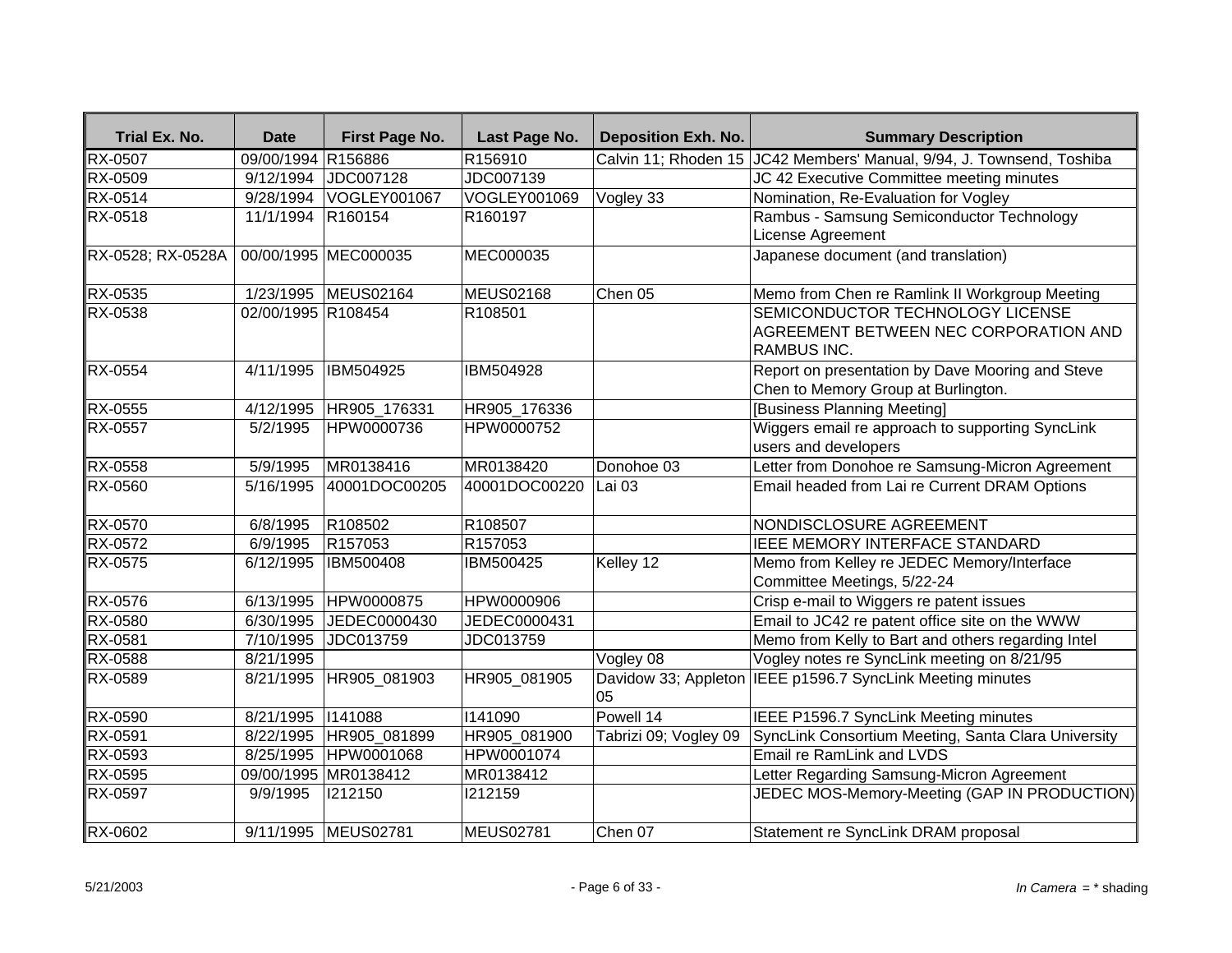| Trial Ex. No.     | <b>Date</b>        | First Page No.           | Last Page No.       | <b>Deposition Exh. No.</b> | <b>Summary Description</b>                                                                      |
|-------------------|--------------------|--------------------------|---------------------|----------------------------|-------------------------------------------------------------------------------------------------|
| <b>RX-0507</b>    | 09/00/1994 R156886 |                          | R156910             |                            | Calvin 11; Rhoden 15 JC42 Members' Manual, 9/94, J. Townsend, Toshiba                           |
| RX-0509           |                    | 9/12/1994 JDC007128      | JDC007139           |                            | JC 42 Executive Committee meeting minutes                                                       |
| RX-0514           |                    | 9/28/1994 VOGLEY001067   | VOGLEY001069        | Vogley 33                  | Nomination, Re-Evaluation for Vogley                                                            |
| RX-0518           | 11/1/1994 R160154  |                          | R <sub>160197</sub> |                            | Rambus - Samsung Semiconductor Technology<br>License Agreement                                  |
| RX-0528; RX-0528A |                    | 00/00/1995 MEC000035     | MEC000035           |                            | Japanese document (and translation)                                                             |
| RX-0535           |                    | 1/23/1995 MEUS02164      | <b>MEUS02168</b>    | Chen 05                    | Memo from Chen re Ramlink II Workgroup Meeting                                                  |
| RX-0538           | 02/00/1995 R108454 |                          | R <sub>108501</sub> |                            | SEMICONDUCTOR TECHNOLOGY LICENSE<br>AGREEMENT BETWEEN NEC CORPORATION AND<br><b>RAMBUS INC.</b> |
| <b>RX-0554</b>    | 4/11/1995          | <b>IBM504925</b>         | <b>IBM504928</b>    |                            | Report on presentation by Dave Mooring and Steve<br>Chen to Memory Group at Burlington.         |
| RX-0555           |                    | 4/12/1995   HR905_176331 | HR905 176336        |                            | [Business Planning Meeting]                                                                     |
| RX-0557           | 5/2/1995           | HPW0000736               | HPW0000752          |                            | Wiggers email re approach to supporting SyncLink<br>users and developers                        |
| RX-0558           | 5/9/1995           | MR0138416                | MR0138420           | Donohoe 03                 | Letter from Donohoe re Samsung-Micron Agreement                                                 |
| RX-0560           | 5/16/1995          | 40001DOC00205            | 40001DOC00220       | Lai 03                     | Email headed from Lai re Current DRAM Options                                                   |
| RX-0570           | 6/8/1995           | R108502                  | R108507             |                            | NONDISCLOSURE AGREEMENT                                                                         |
| RX-0572           | 6/9/1995           | R <sub>157053</sub>      | R <sub>157053</sub> |                            | IEEE MEMORY INTERFACE STANDARD                                                                  |
| RX-0575           | 6/12/1995          | <b>IBM500408</b>         | IBM500425           | Kelley 12                  | Memo from Kelley re JEDEC Memory/Interface<br>Committee Meetings, 5/22-24                       |
| RX-0576           |                    | 6/13/1995 HPW0000875     | HPW0000906          |                            | Crisp e-mail to Wiggers re patent issues                                                        |
| RX-0580           | 6/30/1995          | JEDEC0000430             | JEDEC0000431        |                            | Email to JC42 re patent office site on the WWW                                                  |
| RX-0581           | 7/10/1995          | JDC013759                | JDC013759           |                            | Memo from Kelly to Bart and others regarding Intel                                              |
| RX-0588           | 8/21/1995          |                          |                     | Vogley 08                  | Vogley notes re SyncLink meeting on 8/21/95                                                     |
| RX-0589           | 8/21/1995          | HR905_081903             | HR905_081905        | Davidow 33; Appleton<br>05 | IEEE p1596.7 SyncLink Meeting minutes                                                           |
| RX-0590           | 8/21/1995   141088 |                          | 1141090             | Powell 14                  | IEEE P1596.7 SyncLink Meeting minutes                                                           |
| RX-0591           |                    | 8/22/1995   HR905_081899 | HR905_081900        | Tabrizi 09; Vogley 09      | SyncLink Consortium Meeting, Santa Clara University                                             |
| RX-0593           |                    | 8/25/1995 HPW0001068     | HPW0001074          |                            | Email re RamLink and LVDS                                                                       |
| RX-0595           |                    | 09/00/1995 MR0138412     | MR0138412           |                            | Letter Regarding Samsung-Micron Agreement                                                       |
| RX-0597           | 9/9/1995           | 1212150                  | 1212159             |                            | JEDEC MOS-Memory-Meeting (GAP IN PRODUCTION)                                                    |
| RX-0602           |                    | 9/11/1995 MEUS02781      | MEUS02781           | Chen 07                    | Statement re SyncLink DRAM proposal                                                             |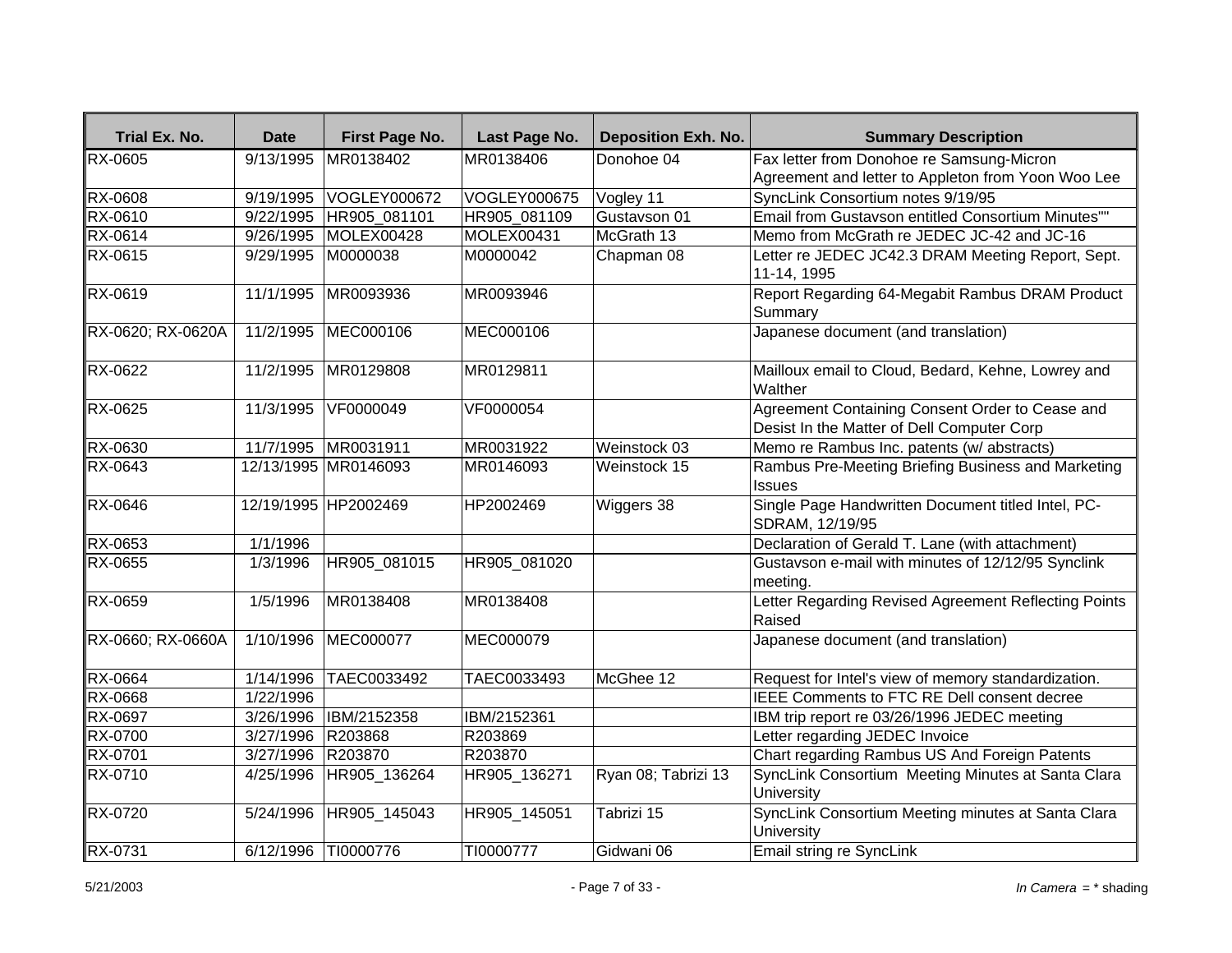| Trial Ex. No.     | <b>Date</b>          | First Page No.       | Last Page No.       | <b>Deposition Exh. No.</b> | <b>Summary Description</b>                                                                    |
|-------------------|----------------------|----------------------|---------------------|----------------------------|-----------------------------------------------------------------------------------------------|
| <b>RX-0605</b>    | 9/13/1995            | MR0138402            | MR0138406           | Donohoe 04                 | Fax letter from Donohoe re Samsung-Micron                                                     |
|                   |                      |                      |                     |                            | Agreement and letter to Appleton from Yoon Woo Lee                                            |
| RX-0608           | 9/19/1995            | <b>VOGLEY000672</b>  | <b>VOGLEY000675</b> | Vogley 11                  | SyncLink Consortium notes 9/19/95                                                             |
| RX-0610           | 9/22/1995            | HR905 081101         | HR905 081109        | Gustavson 01               | Email from Gustavson entitled Consortium Minutes""                                            |
| RX-0614           | $\frac{9}{26}$ /1995 | <b>MOLEX00428</b>    | MOLEX00431          | McGrath 13                 | Memo from McGrath re JEDEC JC-42 and JC-16                                                    |
| RX-0615           | 9/29/1995            | M0000038             | M0000042            | Chapman 08                 | Letter re JEDEC JC42.3 DRAM Meeting Report, Sept.<br>11-14, 1995                              |
| RX-0619           | 11/1/1995            | MR0093936            | MR0093946           |                            | Report Regarding 64-Megabit Rambus DRAM Product<br>Summary                                    |
| RX-0620; RX-0620A | 11/2/1995            | MEC000106            | MEC000106           |                            | Japanese document (and translation)                                                           |
| RX-0622           | 11/2/1995            | MR0129808            | MR0129811           |                            | Mailloux email to Cloud, Bedard, Kehne, Lowrey and<br>Walther                                 |
| RX-0625           | 11/3/1995            | VF0000049            | VF0000054           |                            | Agreement Containing Consent Order to Cease and<br>Desist In the Matter of Dell Computer Corp |
| RX-0630           |                      | 11/7/1995 MR0031911  | MR0031922           | Weinstock 03               | Memo re Rambus Inc. patents (w/ abstracts)                                                    |
| RX-0643           |                      | 12/13/1995 MR0146093 | MR0146093           | Weinstock 15               | Rambus Pre-Meeting Briefing Business and Marketing<br>Issues                                  |
| RX-0646           |                      | 12/19/1995 HP2002469 | HP2002469           | Wiggers 38                 | Single Page Handwritten Document titled Intel, PC-<br>SDRAM, 12/19/95                         |
| RX-0653           | 1/1/1996             |                      |                     |                            | Declaration of Gerald T. Lane (with attachment)                                               |
| RX-0655           | 1/3/1996             | HR905 081015         | HR905 081020        |                            | Gustavson e-mail with minutes of 12/12/95 Synclink<br>meeting.                                |
| <b>RX-0659</b>    | 1/5/1996             | MR0138408            | MR0138408           |                            | Letter Regarding Revised Agreement Reflecting Points<br>Raised                                |
| RX-0660; RX-0660A | 1/10/1996            | MEC000077            | MEC000079           |                            | Japanese document (and translation)                                                           |
| <b>RX-0664</b>    | 1/14/1996            | TAEC0033492          | TAEC0033493         | McGhee 12                  | Request for Intel's view of memory standardization.                                           |
| RX-0668           | 1/22/1996            |                      |                     |                            | IEEE Comments to FTC RE Dell consent decree                                                   |
| RX-0697           | 3/26/1996            | IBM/2152358          | IBM/2152361         |                            | IBM trip report re 03/26/1996 JEDEC meeting                                                   |
| RX-0700           | 3/27/1996            | R203868              | R203869             |                            | Letter regarding JEDEC Invoice                                                                |
| RX-0701           | 3/27/1996            | R203870              | R203870             |                            | Chart regarding Rambus US And Foreign Patents                                                 |
| RX-0710           | 4/25/1996            | HR905_136264         | HR905_136271        | Ryan 08; Tabrizi 13        | SyncLink Consortium Meeting Minutes at Santa Clara<br>University                              |
| RX-0720           | 5/24/1996            | HR905 145043         | HR905 145051        | Tabrizi 15                 | SyncLink Consortium Meeting minutes at Santa Clara<br><b>University</b>                       |
| RX-0731           |                      | 6/12/1996  TI0000776 | TI0000777           | Gidwani 06                 | Email string re SyncLink                                                                      |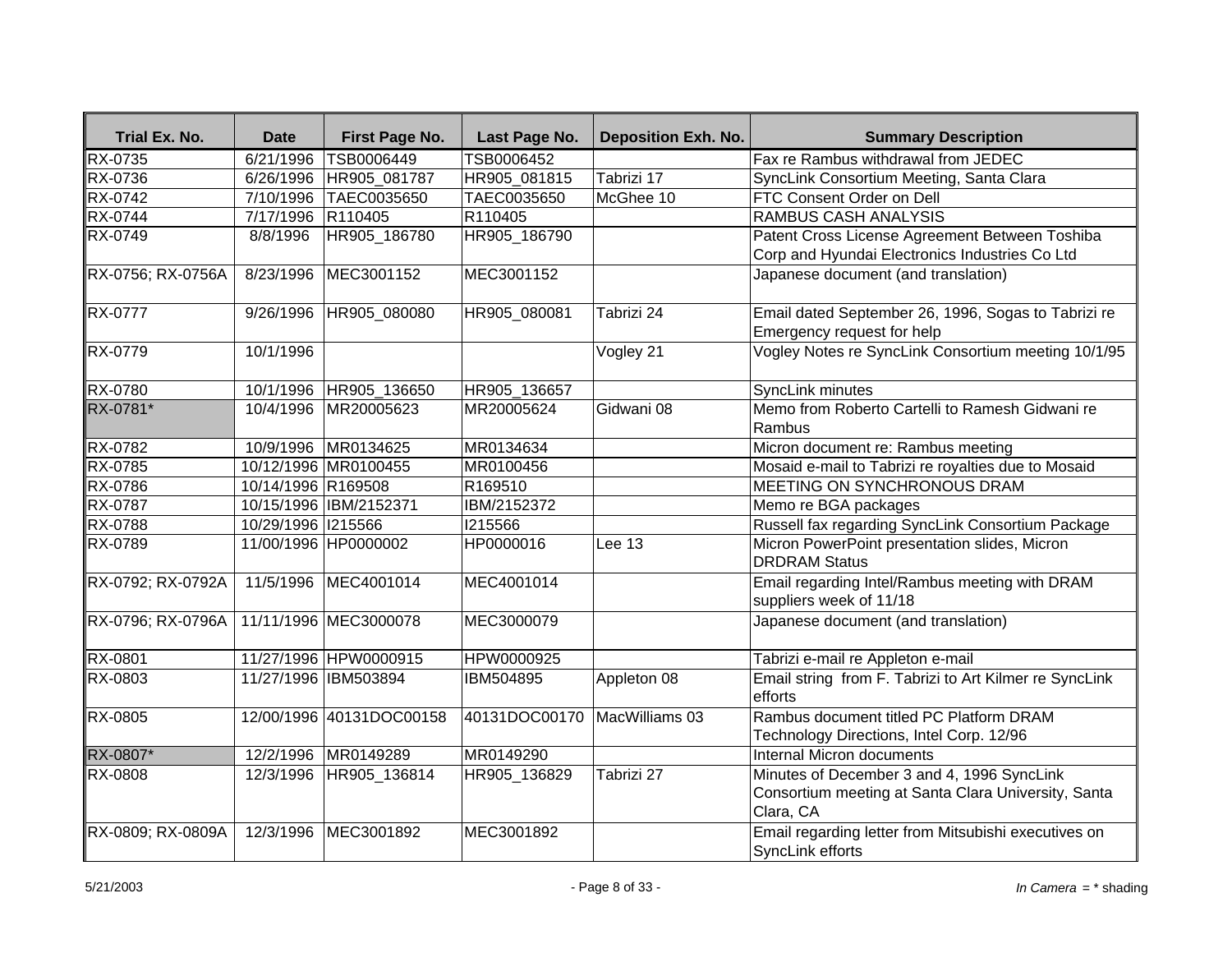| Trial Ex. No.     | <b>Date</b>        | First Page No.           | Last Page No.                | <b>Deposition Exh. No.</b> | <b>Summary Description</b>                                                                                     |
|-------------------|--------------------|--------------------------|------------------------------|----------------------------|----------------------------------------------------------------------------------------------------------------|
| RX-0735           | 6/21/1996          | TSB0006449               | TSB0006452                   |                            | Fax re Rambus withdrawal from JEDEC                                                                            |
| <b>RX-0736</b>    |                    | 6/26/1996 HR905_081787   | HR905_081815                 | Tabrizi 17                 | SyncLink Consortium Meeting, Santa Clara                                                                       |
| <b>RX-0742</b>    |                    | 7/10/1996 TAEC0035650    | TAEC0035650                  | McGhee 10                  | FTC Consent Order on Dell                                                                                      |
| <b>RX-0744</b>    | 7/17/1996 R110405  |                          | R110405                      |                            | <b>RAMBUS CASH ANALYSIS</b>                                                                                    |
| RX-0749           | 8/8/1996           | HR905 186780             | HR905 186790                 |                            | Patent Cross License Agreement Between Toshiba<br>Corp and Hyundai Electronics Industries Co Ltd               |
| RX-0756; RX-0756A | 8/23/1996          | MEC3001152               | MEC3001152                   |                            | Japanese document (and translation)                                                                            |
| RX-0777           | 9/26/1996          | HR905 080080             | HR905 080081                 | Tabrizi 24                 | Email dated September 26, 1996, Sogas to Tabrizi re<br>Emergency request for help                              |
| RX-0779           | 10/1/1996          |                          |                              | Vogley 21                  | Vogley Notes re SyncLink Consortium meeting 10/1/95                                                            |
| <b>RX-0780</b>    |                    | 10/1/1996 HR905_136650   | HR905_136657                 |                            | SyncLink minutes                                                                                               |
| RX-0781*          |                    | 10/4/1996 MR20005623     | MR20005624                   | Gidwani 08                 | Memo from Roberto Cartelli to Ramesh Gidwani re<br>Rambus                                                      |
| <b>RX-0782</b>    |                    | 10/9/1996 MR0134625      | MR0134634                    |                            | Micron document re: Rambus meeting                                                                             |
| <b>RX-0785</b>    |                    | 10/12/1996 MR0100455     | MR0100456                    |                            | Mosaid e-mail to Tabrizi re royalties due to Mosaid                                                            |
| <b>RX-0786</b>    | 10/14/1996 R169508 |                          | R169510                      |                            | MEETING ON SYNCHRONOUS DRAM                                                                                    |
| <b>RX-0787</b>    |                    | 10/15/1996 IBM/2152371   | IBM/2152372                  |                            | Memo re BGA packages                                                                                           |
| <b>RX-0788</b>    | 10/29/1996 1215566 |                          | 1215566                      |                            | Russell fax regarding SyncLink Consortium Package                                                              |
| RX-0789           |                    | 11/00/1996 HP0000002     | HP0000016                    | Lee 13                     | Micron PowerPoint presentation slides, Micron<br><b>DRDRAM Status</b>                                          |
| RX-0792; RX-0792A |                    | 11/5/1996 MEC4001014     | MEC4001014                   |                            | Email regarding Intel/Rambus meeting with DRAM<br>suppliers week of 11/18                                      |
| RX-0796; RX-0796A |                    | 11/11/1996 MEC3000078    | MEC3000079                   |                            | Japanese document (and translation)                                                                            |
| <b>RX-0801</b>    |                    | 11/27/1996 HPW0000915    | HPW0000925                   |                            | Tabrizi e-mail re Appleton e-mail                                                                              |
| <b>RX-0803</b>    |                    | 11/27/1996 IBM503894     | IBM504895                    | Appleton 08                | Email string from F. Tabrizi to Art Kilmer re SyncLink<br>efforts                                              |
| <b>RX-0805</b>    |                    | 12/00/1996 40131DOC00158 | 40131DOC00170 MacWilliams 03 |                            | Rambus document titled PC Platform DRAM<br>Technology Directions, Intel Corp. 12/96                            |
| RX-0807*          |                    | 12/2/1996 MR0149289      | MR0149290                    |                            | <b>Internal Micron documents</b>                                                                               |
| <b>RX-0808</b>    |                    | 12/3/1996 HR905 136814   | HR905 136829                 | Tabrizi 27                 | Minutes of December 3 and 4, 1996 SyncLink<br>Consortium meeting at Santa Clara University, Santa<br>Clara, CA |
| RX-0809; RX-0809A |                    | 12/3/1996 MEC3001892     | MEC3001892                   |                            | Email regarding letter from Mitsubishi executives on<br>SyncLink efforts                                       |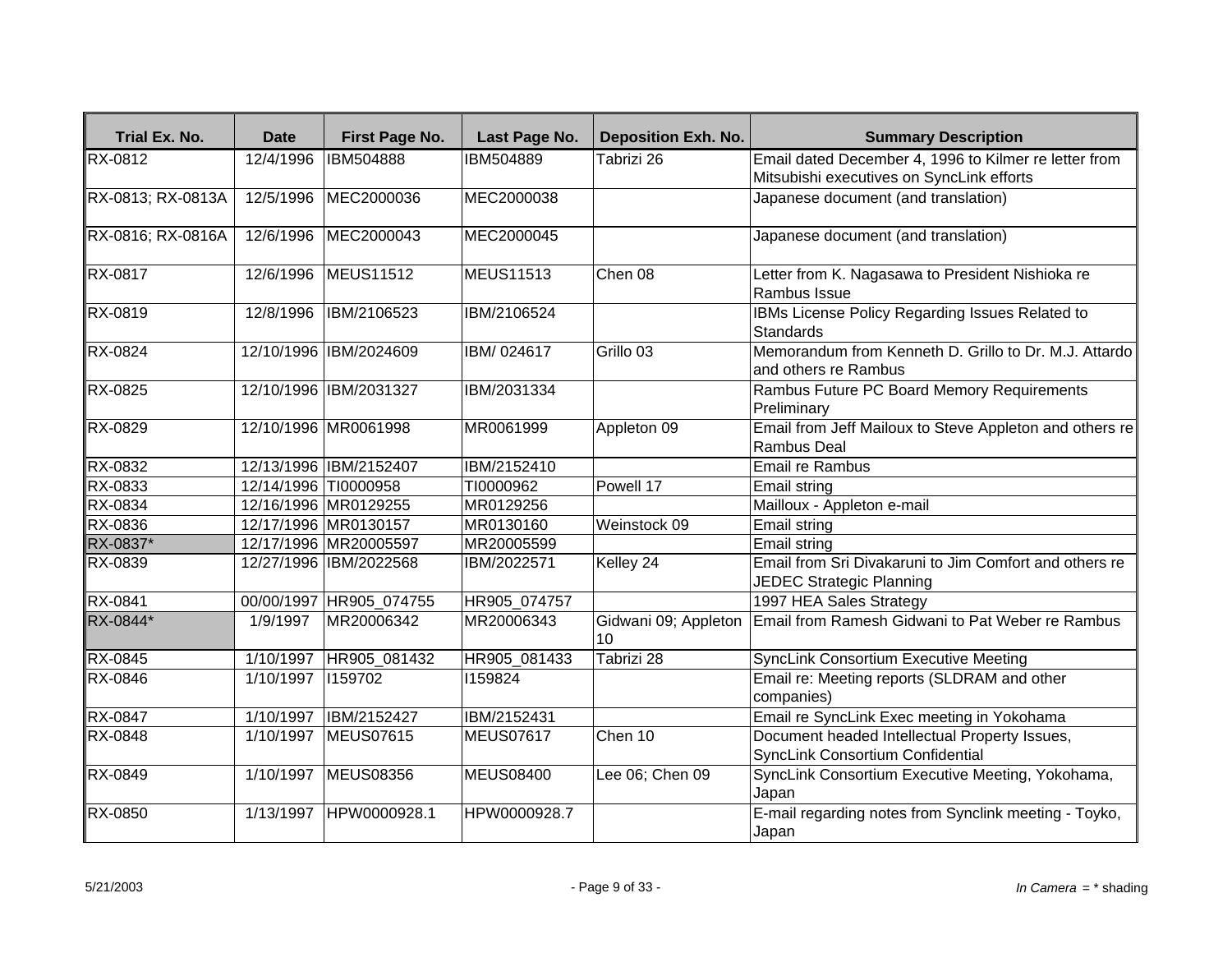| Trial Ex. No.     | Date                 | First Page No.           | Last Page No.    | <b>Deposition Exh. No.</b> | <b>Summary Description</b>                                                                |
|-------------------|----------------------|--------------------------|------------------|----------------------------|-------------------------------------------------------------------------------------------|
| RX-0812           | 12/4/1996            | <b>IBM504888</b>         | IBM504889        | Tabrizi 26                 | Email dated December 4, 1996 to Kilmer re letter from                                     |
|                   |                      |                          |                  |                            | Mitsubishi executives on SyncLink efforts                                                 |
| RX-0813; RX-0813A | 12/5/1996            | MEC2000036               | MEC2000038       |                            | Japanese document (and translation)                                                       |
| RX-0816; RX-0816A | 12/6/1996            | MEC2000043               | MEC2000045       |                            | Japanese document (and translation)                                                       |
| RX-0817           |                      | 12/6/1996 MEUS11512      | <b>MEUS11513</b> | Chen 08                    | Letter from K. Nagasawa to President Nishioka re<br>Rambus Issue                          |
| RX-0819           |                      | 12/8/1996 IBM/2106523    | IBM/2106524      |                            | IBMs License Policy Regarding Issues Related to<br><b>Standards</b>                       |
| RX-0824           |                      | 12/10/1996 IBM/2024609   | IBM/024617       | Grillo <sub>03</sub>       | Memorandum from Kenneth D. Grillo to Dr. M.J. Attardo<br>and others re Rambus             |
| RX-0825           |                      | 12/10/1996 IBM/2031327   | IBM/2031334      |                            | Rambus Future PC Board Memory Requirements<br>Preliminary                                 |
| RX-0829           |                      | 12/10/1996 MR0061998     | MR0061999        | Appleton 09                | Email from Jeff Mailoux to Steve Appleton and others re<br><b>Rambus Deal</b>             |
| RX-0832           |                      | 12/13/1996 IBM/2152407   | IBM/2152410      |                            | Email re Rambus                                                                           |
| RX-0833           | 12/14/1996 TI0000958 |                          | TI0000962        | Powell 17                  | <b>Email string</b>                                                                       |
| RX-0834           |                      | 12/16/1996 MR0129255     | MR0129256        |                            | Mailloux - Appleton e-mail                                                                |
| RX-0836           |                      | 12/17/1996 MR0130157     | MR0130160        | Weinstock 09               | Email string                                                                              |
| RX-0837*          |                      | 12/17/1996 MR20005597    | MR20005599       |                            | Email string                                                                              |
| RX-0839           |                      | 12/27/1996 IBM/2022568   | IBM/2022571      | Kelley 24                  | Email from Sri Divakaruni to Jim Comfort and others re<br><b>JEDEC Strategic Planning</b> |
| <b>RX-0841</b>    |                      | 00/00/1997 HR905_074755  | HR905_074757     |                            | 1997 HEA Sales Strategy                                                                   |
| RX-0844*          | 1/9/1997             | MR20006342               | MR20006343       | Gidwani 09; Appleton<br>10 | Email from Ramesh Gidwani to Pat Weber re Rambus                                          |
| RX-0845           |                      | 1/10/1997   HR905_081432 | HR905_081433     | Tabrizi 28                 | <b>SyncLink Consortium Executive Meeting</b>                                              |
| RX-0846           | 1/10/1997 159702     |                          | 1159824          |                            | Email re: Meeting reports (SLDRAM and other<br>companies)                                 |
| RX-0847           | 1/10/1997            | IBM/2152427              | IBM/2152431      |                            | Email re SyncLink Exec meeting in Yokohama                                                |
| RX-0848           | 1/10/1997            | <b>MEUS07615</b>         | <b>MEUS07617</b> | Chen 10                    | Document headed Intellectual Property Issues,<br>SyncLink Consortium Confidential         |
| RX-0849           |                      | 1/10/1997 MEUS08356      | <b>MEUS08400</b> | Lee 06; Chen 09            | SyncLink Consortium Executive Meeting, Yokohama,<br>Japan                                 |
| RX-0850           |                      | 1/13/1997 HPW0000928.1   | HPW0000928.7     |                            | E-mail regarding notes from Synclink meeting - Toyko,<br>Japan                            |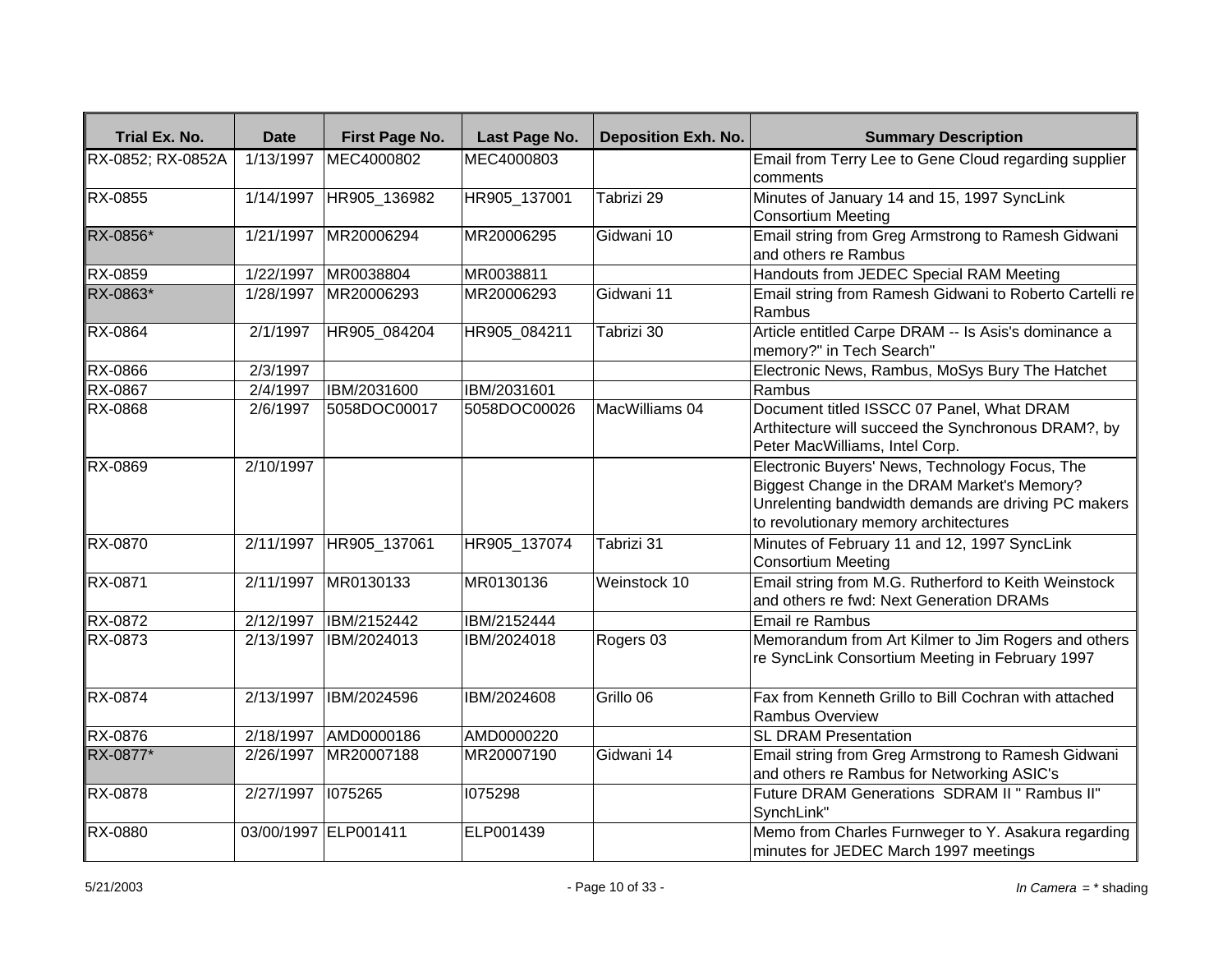| Trial Ex. No.     | <b>Date</b>       | <b>First Page No.</b>  | Last Page No. | <b>Deposition Exh. No.</b> | <b>Summary Description</b>                                                                                                                                                                    |
|-------------------|-------------------|------------------------|---------------|----------------------------|-----------------------------------------------------------------------------------------------------------------------------------------------------------------------------------------------|
| RX-0852; RX-0852A | 1/13/1997         | MEC4000802             | MEC4000803    |                            | Email from Terry Lee to Gene Cloud regarding supplier<br>Icomments                                                                                                                            |
| <b>RX-0855</b>    | 1/14/1997         | HR905_136982           | HR905_137001  | Tabrizi 29                 | Minutes of January 14 and 15, 1997 SyncLink<br>Consortium Meeting                                                                                                                             |
| RX-0856*          | 1/21/1997         | MR20006294             | MR20006295    | Gidwani 10                 | Email string from Greg Armstrong to Ramesh Gidwani<br>land others re Rambus                                                                                                                   |
| RX-0859           | 1/22/1997         | MR0038804              | MR0038811     |                            | Handouts from JEDEC Special RAM Meeting                                                                                                                                                       |
| RX-0863*          | 1/28/1997         | MR20006293             | MR20006293    | Gidwani 11                 | Email string from Ramesh Gidwani to Roberto Cartelli re<br>Rambus                                                                                                                             |
| RX-0864           | 2/1/1997          | HR905 084204           | HR905 084211  | Tabrizi 30                 | Article entitled Carpe DRAM -- Is Asis's dominance a<br>memory?" in Tech Search"                                                                                                              |
| RX-0866           | 2/3/1997          |                        |               |                            | Electronic News, Rambus, MoSys Bury The Hatchet                                                                                                                                               |
| <b>RX-0867</b>    | $\sqrt{2}/4/1997$ | IBM/2031600            | IBM/2031601   |                            | Rambus                                                                                                                                                                                        |
| RX-0868           | 2/6/1997          | 5058DOC00017           | 5058DOC00026  | MacWilliams 04             | Document titled ISSCC 07 Panel, What DRAM<br>Arthitecture will succeed the Synchronous DRAM?, by<br>Peter MacWilliams, Intel Corp.                                                            |
| RX-0869           | 2/10/1997         |                        |               |                            | Electronic Buyers' News, Technology Focus, The<br>Biggest Change in the DRAM Market's Memory?<br>Unrelenting bandwidth demands are driving PC makers<br>to revolutionary memory architectures |
| <b>RX-0870</b>    |                   | 2/11/1997 HR905_137061 | HR905_137074  | Tabrizi 31                 | Minutes of February 11 and 12, 1997 SyncLink<br>Consortium Meeting                                                                                                                            |
| RX-0871           | 2/11/1997         | MR0130133              | MR0130136     | Weinstock 10               | Email string from M.G. Rutherford to Keith Weinstock<br>and others re fwd: Next Generation DRAMs                                                                                              |
| RX-0872           | 2/12/1997         | IBM/2152442            | IBM/2152444   |                            | Email re Rambus                                                                                                                                                                               |
| <b>RX-0873</b>    | 2/13/1997         | IBM/2024013            | IBM/2024018   | Rogers 03                  | Memorandum from Art Kilmer to Jim Rogers and others<br>re SyncLink Consortium Meeting in February 1997                                                                                        |
| <b>RX-0874</b>    | 2/13/1997         | IBM/2024596            | IBM/2024608   | Grillo 06                  | Fax from Kenneth Grillo to Bill Cochran with attached<br>Rambus Overview                                                                                                                      |
| RX-0876           | 2/18/1997         | AMD0000186             | AMD0000220    |                            | <b>SL DRAM Presentation</b>                                                                                                                                                                   |
| RX-0877*          | 2/26/1997         | MR20007188             | MR20007190    | Gidwani 14                 | Email string from Greg Armstrong to Ramesh Gidwani<br>and others re Rambus for Networking ASIC's                                                                                              |
| RX-0878           | 2/27/1997         | 1075265                | 1075298       |                            | Future DRAM Generations SDRAM II" Rambus II"<br>SynchLink"                                                                                                                                    |
| RX-0880           |                   | 03/00/1997 ELP001411   | ELP001439     |                            | Memo from Charles Furnweger to Y. Asakura regarding<br>minutes for JEDEC March 1997 meetings                                                                                                  |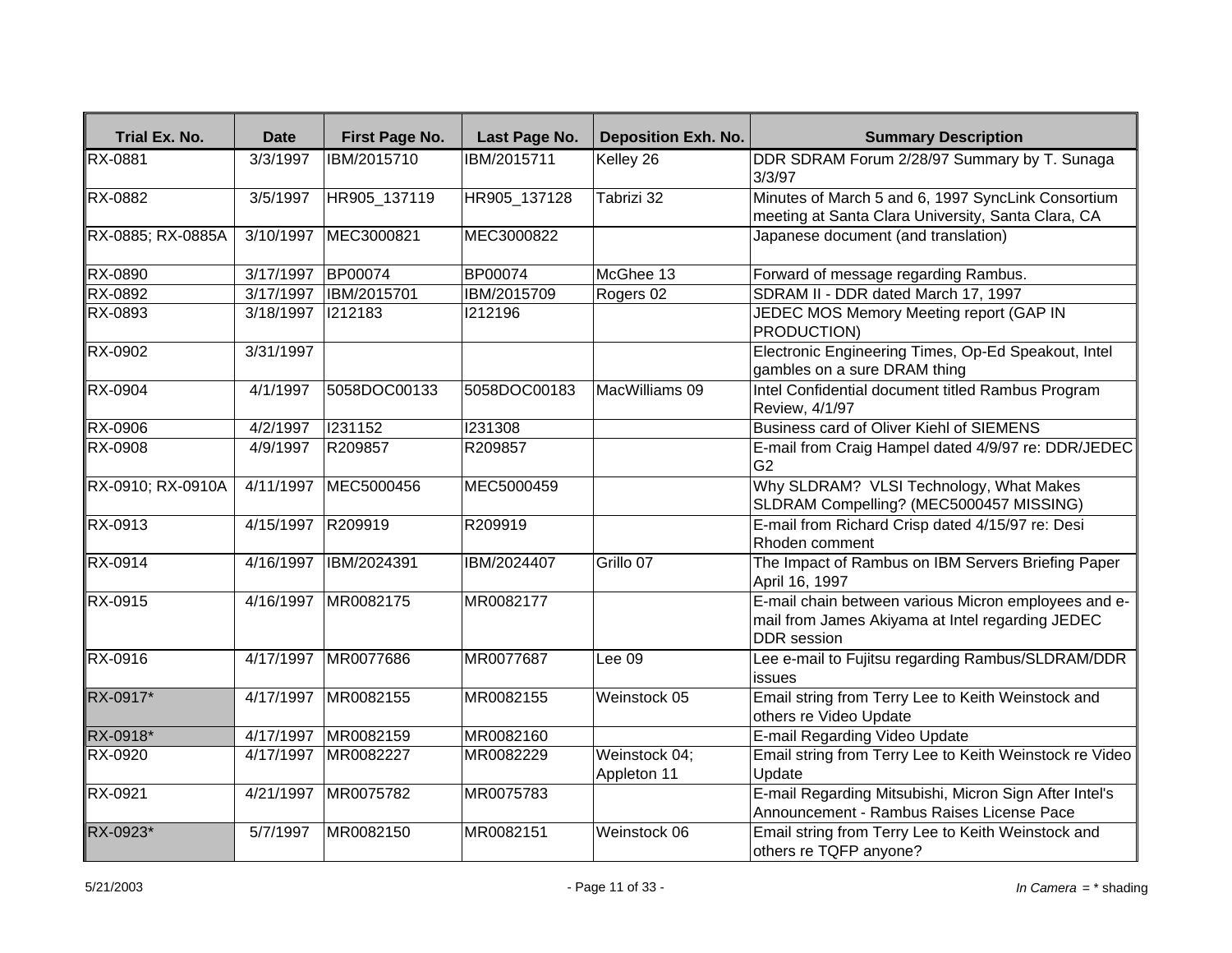| Trial Ex. No.     | <b>Date</b>       | First Page No.         | Last Page No.  | <b>Deposition Exh. No.</b>   | <b>Summary Description</b>                                                                                                     |
|-------------------|-------------------|------------------------|----------------|------------------------------|--------------------------------------------------------------------------------------------------------------------------------|
| <b>RX-0881</b>    | 3/3/1997          | IBM/2015710            | IBM/2015711    | Kelley 26                    | DDR SDRAM Forum 2/28/97 Summary by T. Sunaga<br>3/3/97                                                                         |
| RX-0882           | 3/5/1997          | HR905_137119           | HR905 137128   | Tabrizi 32                   | Minutes of March 5 and 6, 1997 SyncLink Consortium<br>meeting at Santa Clara University, Santa Clara, CA                       |
| RX-0885; RX-0885A | 3/10/1997         | MEC3000821             | MEC3000822     |                              | Japanese document (and translation)                                                                                            |
| RX-0890           | 3/17/1997         | <b>BP00074</b>         | <b>BP00074</b> | McGhee 13                    | Forward of message regarding Rambus.                                                                                           |
| <b>RX-0892</b>    | 3/17/1997         | <b>IBM/2015701</b>     | IBM/2015709    | Rogers 02                    | SDRAM II - DDR dated March 17, 1997                                                                                            |
| RX-0893           | 3/18/1997         | 1212183                | 1212196        |                              | JEDEC MOS Memory Meeting report (GAP IN<br><b>PRODUCTION)</b>                                                                  |
| RX-0902           | 3/31/1997         |                        |                |                              | Electronic Engineering Times, Op-Ed Speakout, Intel<br>gambles on a sure DRAM thing                                            |
| RX-0904           | 4/1/1997          | 5058DOC00133           | 5058DOC00183   | MacWilliams 09               | Intel Confidential document titled Rambus Program<br>Review, 4/1/97                                                            |
| <b>RX-0906</b>    | 4/2/1997          | 1231152                | 1231308        |                              | Business card of Oliver Kiehl of SIEMENS                                                                                       |
| RX-0908           | 4/9/1997          | R209857                | R209857        |                              | E-mail from Craig Hampel dated 4/9/97 re: DDR/JEDEC<br>G <sub>2</sub>                                                          |
| RX-0910; RX-0910A |                   | 4/11/1997 MEC5000456   | MEC5000459     |                              | Why SLDRAM? VLSI Technology, What Makes<br>SLDRAM Compelling? (MEC5000457 MISSING)                                             |
| RX-0913           | 4/15/1997 R209919 |                        | R209919        |                              | E-mail from Richard Crisp dated 4/15/97 re: Desi<br>Rhoden comment                                                             |
| <b>RX-0914</b>    |                   | 4/16/1997  IBM/2024391 | IBM/2024407    | Grillo 07                    | The Impact of Rambus on IBM Servers Briefing Paper<br>April 16, 1997                                                           |
| RX-0915           |                   | 4/16/1997 MR0082175    | MR0082177      |                              | E-mail chain between various Micron employees and e-<br>mail from James Akiyama at Intel regarding JEDEC<br><b>DDR</b> session |
| <b>RX-0916</b>    | 4/17/1997         | MR0077686              | MR0077687      | Lee 09                       | Lee e-mail to Fujitsu regarding Rambus/SLDRAM/DDR<br>issues                                                                    |
| RX-0917*          | 4/17/1997         | MR0082155              | MR0082155      | Weinstock 05                 | Email string from Terry Lee to Keith Weinstock and<br>others re Video Update                                                   |
| RX-0918*          | 4/17/1997         | MR0082159              | MR0082160      |                              | E-mail Regarding Video Update                                                                                                  |
| RX-0920           | 4/17/1997         | MR0082227              | MR0082229      | Weinstock 04;<br>Appleton 11 | Email string from Terry Lee to Keith Weinstock re Video<br>Update                                                              |
| RX-0921           | 4/21/1997         | MR0075782              | MR0075783      |                              | E-mail Regarding Mitsubishi, Micron Sign After Intel's<br>Announcement - Rambus Raises License Pace                            |
| RX-0923*          | 5/7/1997          | MR0082150              | MR0082151      | Weinstock 06                 | Email string from Terry Lee to Keith Weinstock and<br>others re TQFP anyone?                                                   |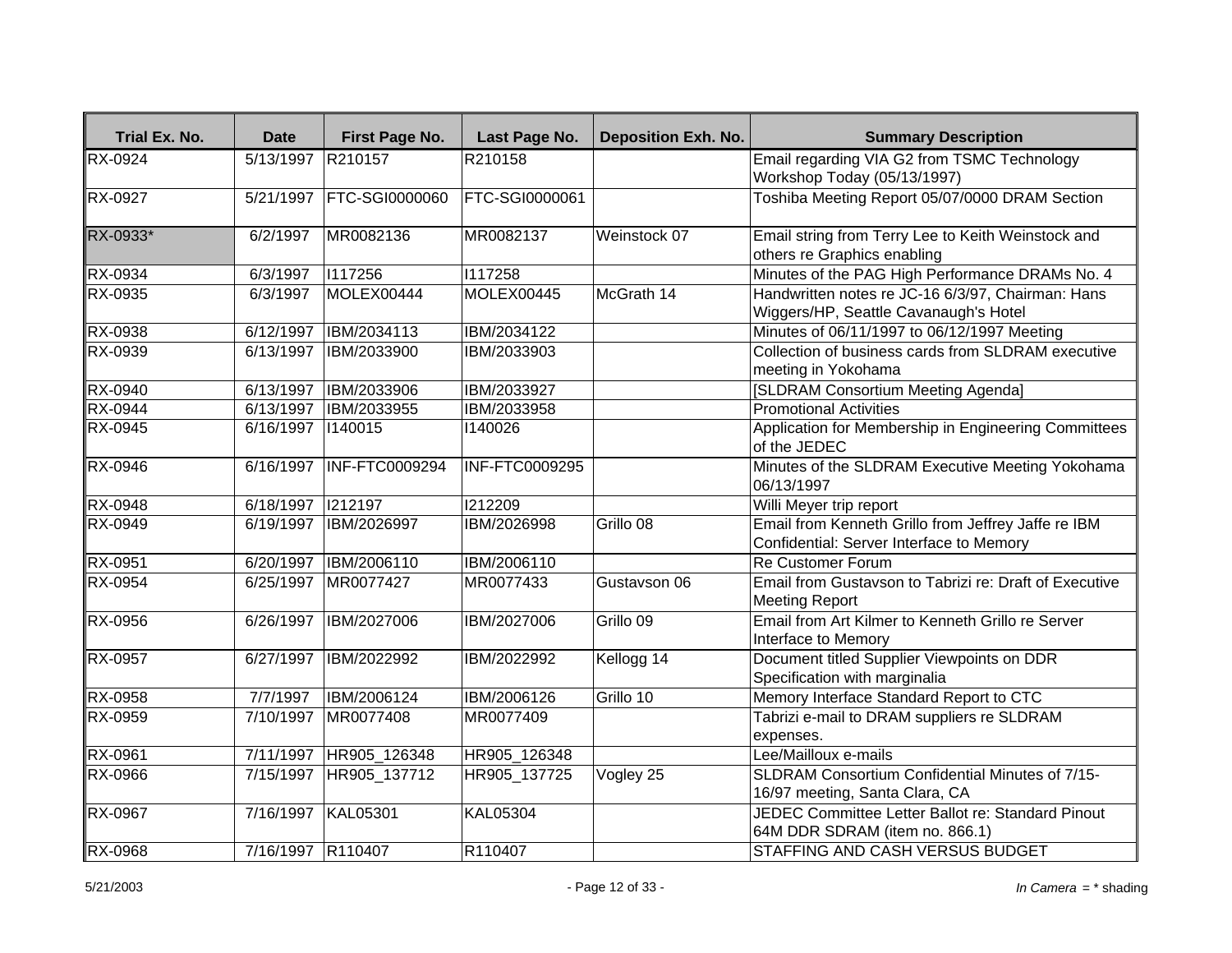| Trial Ex. No.  | <b>Date</b>        | First Page No.        | Last Page No.         | <b>Deposition Exh. No.</b> | <b>Summary Description</b>                                                                      |
|----------------|--------------------|-----------------------|-----------------------|----------------------------|-------------------------------------------------------------------------------------------------|
| RX-0924        | 5/13/1997 R210157  |                       | R210158               |                            | Email regarding VIA G2 from TSMC Technology                                                     |
|                |                    |                       |                       |                            | Workshop Today (05/13/1997)                                                                     |
| <b>RX-0927</b> | 5/21/1997          | <b>FTC-SGI0000060</b> | <b>FTC-SGI0000061</b> |                            | Toshiba Meeting Report 05/07/0000 DRAM Section                                                  |
| RX-0933*       | 6/2/1997           | MR0082136             | MR0082137             | Weinstock 07               | Email string from Terry Lee to Keith Weinstock and                                              |
|                |                    |                       |                       |                            | others re Graphics enabling                                                                     |
| RX-0934        | 6/3/1997           | 1117256               | 1117258               |                            | Minutes of the PAG High Performance DRAMs No. 4                                                 |
| RX-0935        | 6/3/1997           | MOLEX00444            | MOLEX00445            | McGrath 14                 | Handwritten notes re JC-16 6/3/97, Chairman: Hans                                               |
|                |                    |                       |                       |                            | Wiggers/HP, Seattle Cavanaugh's Hotel                                                           |
| RX-0938        | 6/12/1997          | IBM/2034113           | IBM/2034122           |                            | Minutes of 06/11/1997 to 06/12/1997 Meeting                                                     |
| RX-0939        | 6/13/1997          | IBM/2033900           | IBM/2033903           |                            | Collection of business cards from SLDRAM executive<br>meeting in Yokohama                       |
| <b>RX-0940</b> | 6/13/1997          | IBM/2033906           | IBM/2033927           |                            | [SLDRAM Consortium Meeting Agenda]                                                              |
| RX-0944        | 6/13/1997          | IBM/2033955           | IBM/2033958           |                            | <b>Promotional Activities</b>                                                                   |
| RX-0945        | 6/16/1997          | 1140015               | 1140026               |                            | Application for Membership in Engineering Committees<br>of the JEDEC                            |
| RX-0946        | 6/16/1997          | <b>INF-FTC0009294</b> | <b>INF-FTC0009295</b> |                            | Minutes of the SLDRAM Executive Meeting Yokohama<br>06/13/1997                                  |
| RX-0948        | 6/18/1997          | 212197                | 1212209               |                            | Willi Meyer trip report                                                                         |
| RX-0949        | 6/19/1997          | IBM/2026997           | IBM/2026998           | Grillo 08                  | Email from Kenneth Grillo from Jeffrey Jaffe re IBM<br>Confidential: Server Interface to Memory |
| RX-0951        | 6/20/1997          | <b>IBM/2006110</b>    | IBM/2006110           |                            | <b>Re Customer Forum</b>                                                                        |
| RX-0954        | 6/25/1997          | MR0077427             | MR0077433             | Gustavson 06               | Email from Gustavson to Tabrizi re: Draft of Executive<br><b>Meeting Report</b>                 |
| RX-0956        | 6/26/1997          | <b>IBM/2027006</b>    | IBM/2027006           | Grillo 09                  | Email from Art Kilmer to Kenneth Grillo re Server<br>Interface to Memory                        |
| RX-0957        | 6/27/1997          | IBM/2022992           | IBM/2022992           | Kellogg 14                 | Document titled Supplier Viewpoints on DDR<br>Specification with marginalia                     |
| <b>RX-0958</b> | 7/7/1997           | IBM/2006124           | IBM/2006126           | Grillo 10                  | Memory Interface Standard Report to CTC                                                         |
| RX-0959        | 7/10/1997          | MR0077408             | MR0077409             |                            | Tabrizi e-mail to DRAM suppliers re SLDRAM<br>expenses.                                         |
| RX-0961        | 7/11/1997          | HR905 126348          | HR905 126348          |                            | Lee/Mailloux e-mails                                                                            |
| RX-0966        | 7/15/1997          | HR905 137712          | HR905 137725          | Vogley 25                  | SLDRAM Consortium Confidential Minutes of 7/15-<br>16/97 meeting, Santa Clara, CA               |
| RX-0967        | 7/16/1997 KAL05301 |                       | <b>KAL05304</b>       |                            | JEDEC Committee Letter Ballot re: Standard Pinout<br>64M DDR SDRAM (item no. 866.1)             |
| <b>RX-0968</b> | 7/16/1997 R110407  |                       | R110407               |                            | STAFFING AND CASH VERSUS BUDGET                                                                 |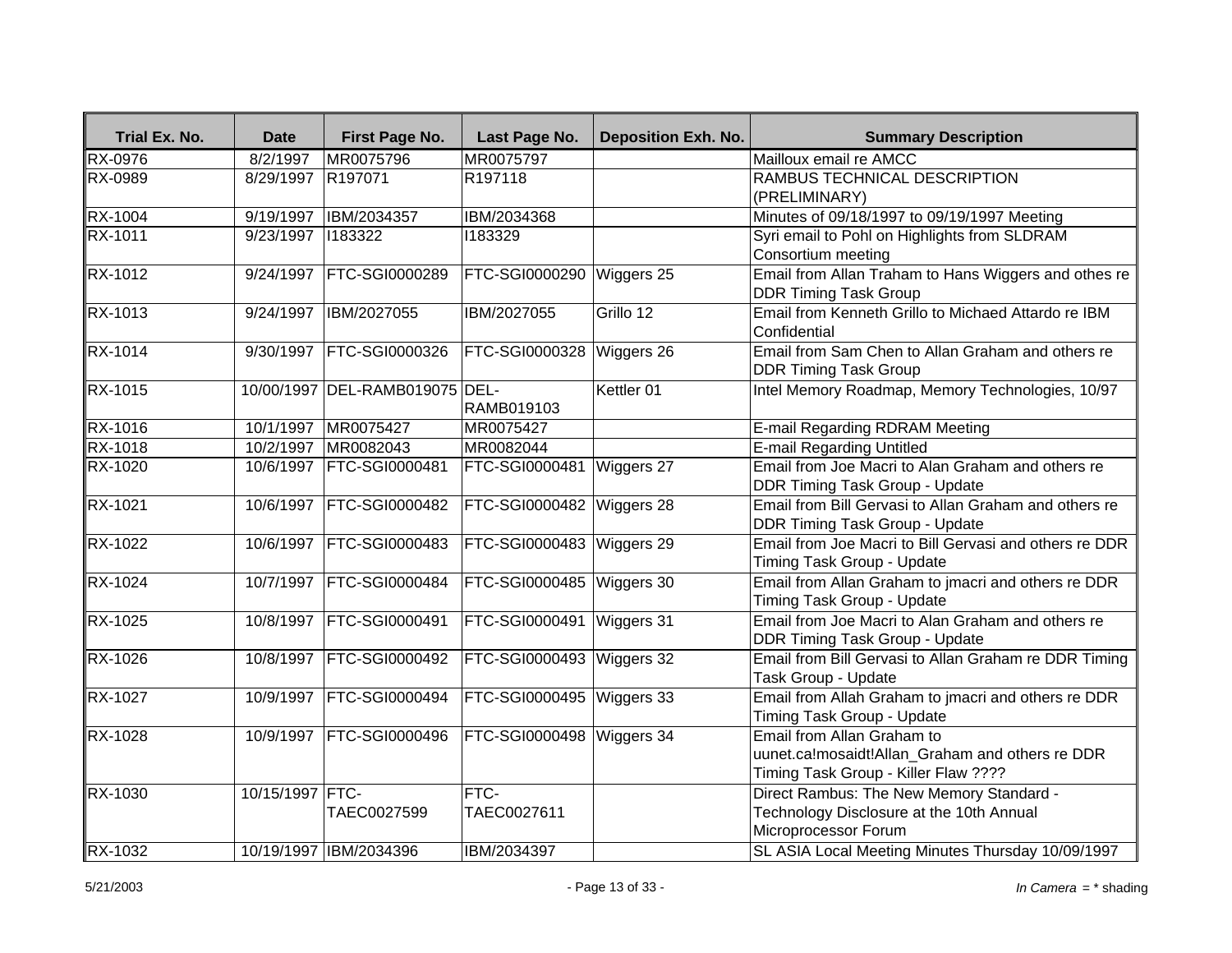| Trial Ex. No.        | <b>Date</b>     | First Page No.                 | Last Page No.              | <b>Deposition Exh. No.</b> | <b>Summary Description</b>                                                                                            |
|----------------------|-----------------|--------------------------------|----------------------------|----------------------------|-----------------------------------------------------------------------------------------------------------------------|
| <b>RX-0976</b>       | 8/2/1997        | MR0075796                      | MR0075797                  |                            | Mailloux email re AMCC                                                                                                |
| <b>RX-0989</b>       | 8/29/1997       | R <sub>197071</sub>            | R197118                    |                            | RAMBUS TECHNICAL DESCRIPTION<br>(PRELIMINARY)                                                                         |
| RX-1004              | 9/19/1997       | IBM/2034357                    | IBM/2034368                |                            | Minutes of 09/18/1997 to 09/19/1997 Meeting                                                                           |
| RX-1011              | 9/23/1997       | 1183322                        | 1183329                    |                            | Syri email to Pohl on Highlights from SLDRAM<br>Consortium meeting                                                    |
| <b>RX-1012</b>       | 9/24/1997       | <b>FTC-SGI0000289</b>          | <b>FTC-SGI0000290</b>      | Wiggers 25                 | Email from Allan Traham to Hans Wiggers and othes re<br><b>DDR Timing Task Group</b>                                  |
| RX-1013              | 9/24/1997       | IBM/2027055                    | IBM/2027055                | Grillo 12                  | Email from Kenneth Grillo to Michaed Attardo re IBM<br>Confidential                                                   |
| <b>RX-1014</b>       |                 | 9/30/1997   FTC-SGI0000326     | FTC-SGI0000328             | Wiggers 26                 | Email from Sam Chen to Allan Graham and others re<br><b>DDR Timing Task Group</b>                                     |
| RX-1015              |                 | 10/00/1997 DEL-RAMB019075 DEL- | RAMB019103                 | Kettler 01                 | Intel Memory Roadmap, Memory Technologies, 10/97                                                                      |
| <b>RX-1016</b>       | 10/1/1997       | MR0075427                      | MR0075427                  |                            | E-mail Regarding RDRAM Meeting                                                                                        |
| $R\overline{X-1018}$ | 10/2/1997       | MR0082043                      | MR0082044                  |                            | <b>E-mail Regarding Untitled</b>                                                                                      |
| <b>RX-1020</b>       |                 | 10/6/1997 FTC-SGI0000481       | <b>FTC-SGI0000481</b>      | Wiggers 27                 | Email from Joe Macri to Alan Graham and others re<br>DDR Timing Task Group - Update                                   |
| RX-1021              |                 | 10/6/1997 FTC-SGI0000482       | FTC-SGI0000482             | Wiggers 28                 | Email from Bill Gervasi to Allan Graham and others re<br><b>DDR Timing Task Group - Update</b>                        |
| RX-1022              |                 | 10/6/1997   FTC-SGI0000483     | FTC-SGI0000483             | Wiggers 29                 | Email from Joe Macri to Bill Gervasi and others re DDR<br>Timing Task Group - Update                                  |
| RX-1024              |                 | 10/7/1997   FTC-SGI0000484     | <b>FTC-SGI0000485</b>      | Wiggers 30                 | Email from Allan Graham to jmacri and others re DDR<br>Timing Task Group - Update                                     |
| <b>RX-1025</b>       |                 | 10/8/1997 FTC-SGI0000491       | FTC-SGI0000491 Wiggers 31  |                            | Email from Joe Macri to Alan Graham and others re<br><b>DDR Timing Task Group - Update</b>                            |
| <b>RX-1026</b>       |                 | 10/8/1997 FTC-SGI0000492       | <b>FTC-SGI0000493</b>      | Wiggers 32                 | Email from Bill Gervasi to Allan Graham re DDR Timing<br>Task Group - Update                                          |
| RX-1027              | 10/9/1997       | <b>FTC-SGI0000494</b>          | FTC-SGI0000495             | Wiggers 33                 | Email from Allah Graham to jmacri and others re DDR<br>Timing Task Group - Update                                     |
| RX-1028              |                 | 10/9/1997 FTC-SGI0000496       | FTC-SGI0000498 Wiggers 34  |                            | Email from Allan Graham to<br>uunet.ca!mosaidt!Allan_Graham and others re DDR<br>Timing Task Group - Killer Flaw ???? |
| RX-1030              | 10/15/1997 FTC- | TAEC0027599                    | <b>FTC-</b><br>TAEC0027611 |                            | Direct Rambus: The New Memory Standard -<br>Technology Disclosure at the 10th Annual<br>Microprocessor Forum          |
| RX-1032              |                 | 10/19/1997 IBM/2034396         | IBM/2034397                |                            | SL ASIA Local Meeting Minutes Thursday 10/09/1997                                                                     |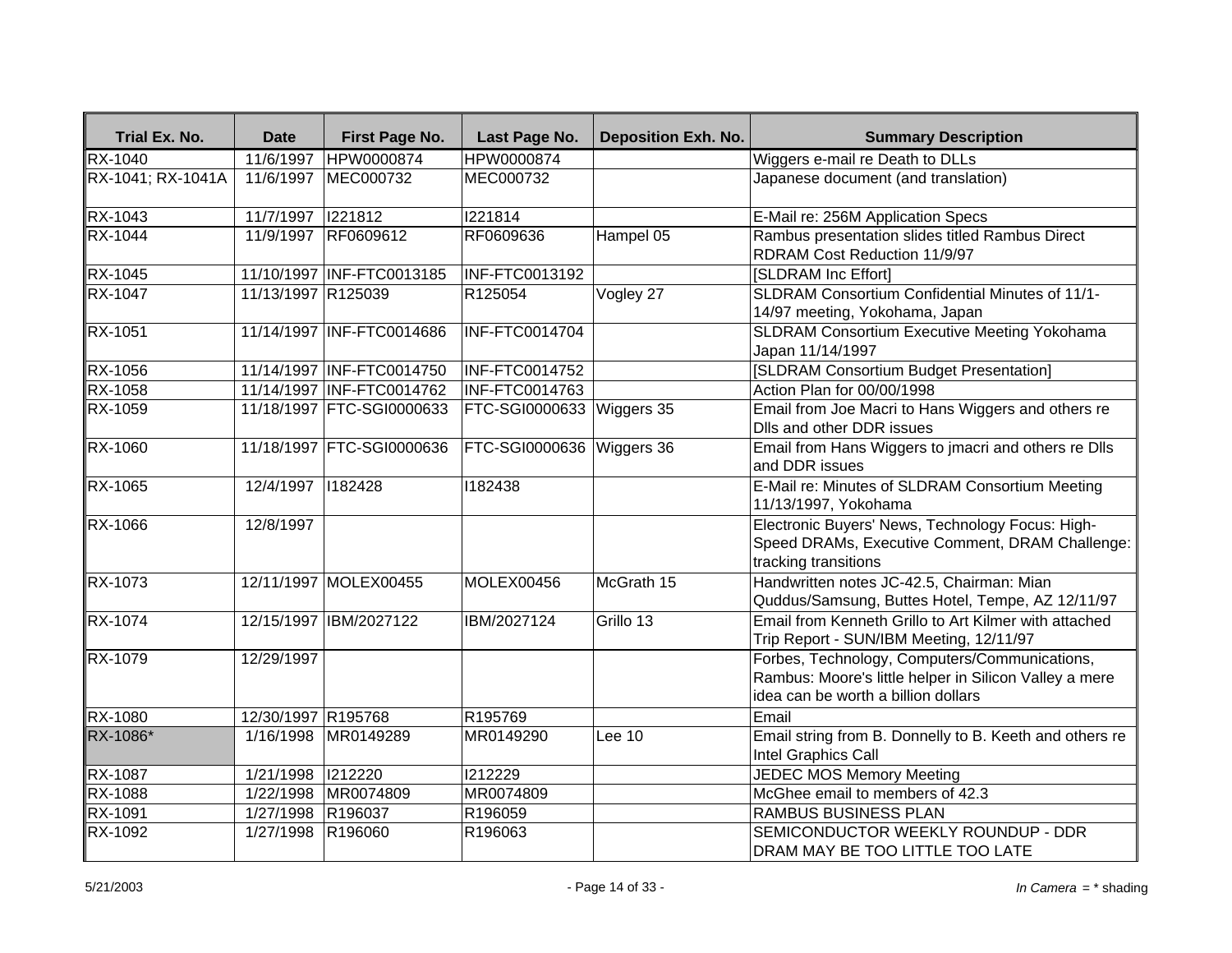| Trial Ex. No.     | <b>Date</b>        | First Page No.            | Last Page No.             | <b>Deposition Exh. No.</b> | <b>Summary Description</b>                                                                                                                     |
|-------------------|--------------------|---------------------------|---------------------------|----------------------------|------------------------------------------------------------------------------------------------------------------------------------------------|
| <b>RX-1040</b>    | 11/6/1997          | HPW0000874                | <b>HPW0000874</b>         |                            | Wiggers e-mail re Death to DLLs                                                                                                                |
| RX-1041; RX-1041A | 11/6/1997          | MEC000732                 | MEC000732                 |                            | Japanese document (and translation)                                                                                                            |
| RX-1043           | 11/7/1997          | 1221812                   | 1221814                   |                            | E-Mail re: 256M Application Specs                                                                                                              |
| <b>RX-1044</b>    | 11/9/1997          | RF0609612                 | RF0609636                 | Hampel 05                  | Rambus presentation slides titled Rambus Direct<br>RDRAM Cost Reduction 11/9/97                                                                |
| <b>RX-1045</b>    |                    | 11/10/1997 INF-FTC0013185 | INF-FTC0013192            |                            | [SLDRAM Inc Effort]                                                                                                                            |
| RX-1047           | 11/13/1997 R125039 |                           | R125054                   | Vogley 27                  | SLDRAM Consortium Confidential Minutes of 11/1-<br>14/97 meeting, Yokohama, Japan                                                              |
| RX-1051           |                    | 11/14/1997 INF-FTC0014686 | INF-FTC0014704            |                            | SLDRAM Consortium Executive Meeting Yokohama<br>Japan 11/14/1997                                                                               |
| <b>RX-1056</b>    |                    | 11/14/1997 INF-FTC0014750 | INF-FTC0014752            |                            | [SLDRAM Consortium Budget Presentation]                                                                                                        |
| <b>RX-1058</b>    |                    | 11/14/1997 INF-FTC0014762 | INF-FTC0014763            |                            | Action Plan for 00/00/1998                                                                                                                     |
| <b>RX-1059</b>    |                    | 11/18/1997 FTC-SGI0000633 | <b>FTC-SGI0000633</b>     | Wiggers 35                 | Email from Joe Macri to Hans Wiggers and others re<br>Dlls and other DDR issues                                                                |
| <b>RX-1060</b>    |                    | 11/18/1997 FTC-SGI0000636 | FTC-SGI0000636 Wiggers 36 |                            | Email from Hans Wiggers to jmacri and others re Dlls<br>and DDR issues                                                                         |
| <b>RX-1065</b>    | 12/4/1997   182428 |                           | 1182438                   |                            | E-Mail re: Minutes of SLDRAM Consortium Meeting<br>11/13/1997, Yokohama                                                                        |
| RX-1066           | 12/8/1997          |                           |                           |                            | Electronic Buyers' News, Technology Focus: High-<br>Speed DRAMs, Executive Comment, DRAM Challenge:<br>tracking transitions                    |
| <b>RX-1073</b>    |                    | 12/11/1997 MOLEX00455     | MOLEX00456                | McGrath 15                 | Handwritten notes JC-42.5, Chairman: Mian<br>Quddus/Samsung, Buttes Hotel, Tempe, AZ 12/11/97                                                  |
| <b>RX-1074</b>    |                    | 12/15/1997 IBM/2027122    | IBM/2027124               | Grillo 13                  | Email from Kenneth Grillo to Art Kilmer with attached<br>Trip Report - SUN/IBM Meeting, 12/11/97                                               |
| RX-1079           | 12/29/1997         |                           |                           |                            | Forbes, Technology, Computers/Communications,<br>Rambus: Moore's little helper in Silicon Valley a mere<br>idea can be worth a billion dollars |
| RX-1080           | 12/30/1997 R195768 |                           | R195769                   |                            | Email                                                                                                                                          |
| RX-1086*          | 1/16/1998          | MR0149289                 | MR0149290                 | Lee 10                     | Email string from B. Donnelly to B. Keeth and others re<br>Intel Graphics Call                                                                 |
| RX-1087           | 1/21/1998          | 1212220                   | 1212229                   |                            | <b>JEDEC MOS Memory Meeting</b>                                                                                                                |
| RX-1088           | 1/22/1998          | MR0074809                 | MR0074809                 |                            | McGhee email to members of 42.3                                                                                                                |
| RX-1091           | 1/27/1998          | R196037                   | R196059                   |                            | RAMBUS BUSINESS PLAN                                                                                                                           |
| RX-1092           | 1/27/1998          | R196060                   | R196063                   |                            | SEMICONDUCTOR WEEKLY ROUNDUP - DDR<br>DRAM MAY BE TOO LITTLE TOO LATE                                                                          |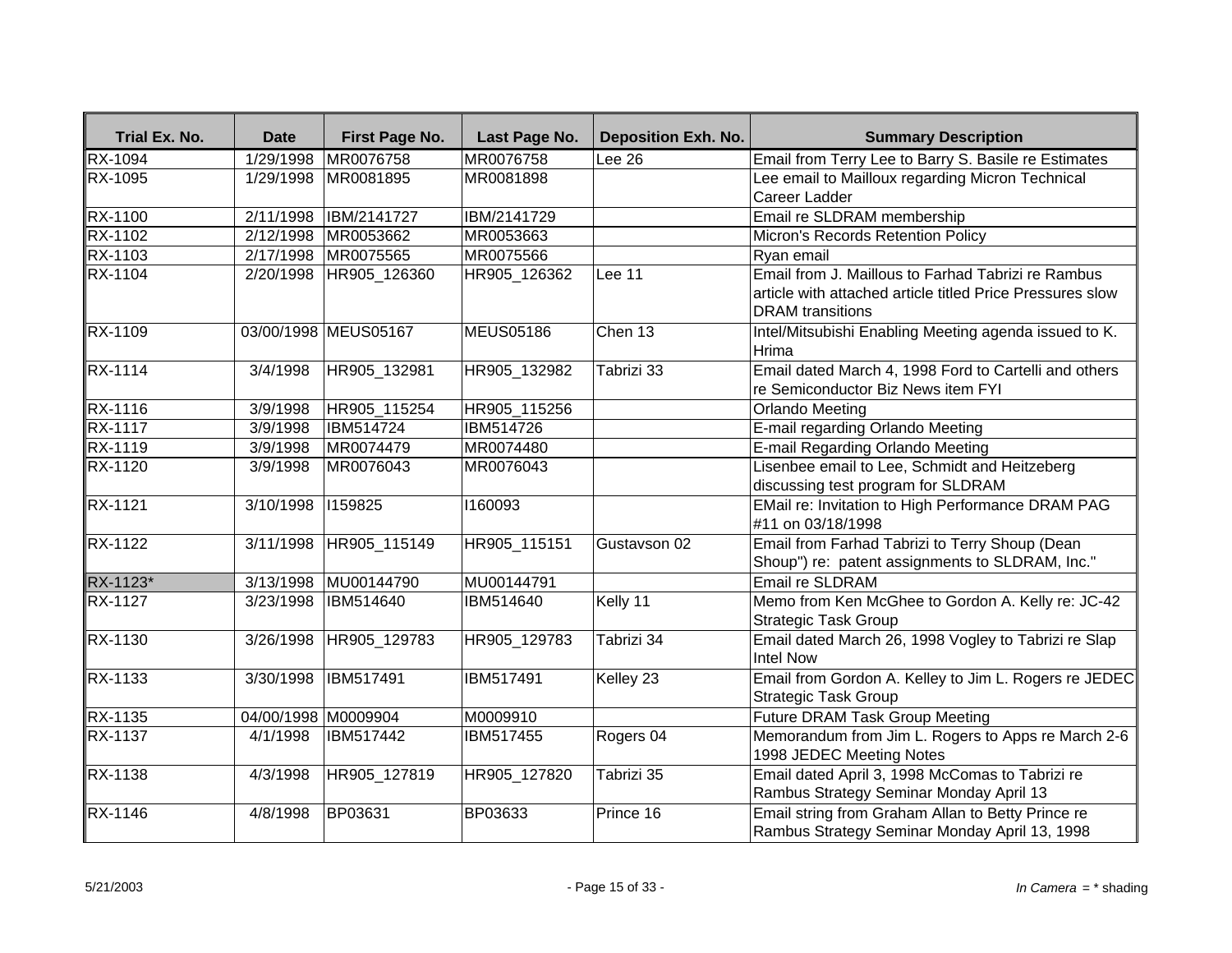| Trial Ex. No.  | <b>Date</b>           | First Page No.       | Last Page No.    | <b>Deposition Exh. No.</b>   | <b>Summary Description</b>                                                                                                                 |
|----------------|-----------------------|----------------------|------------------|------------------------------|--------------------------------------------------------------------------------------------------------------------------------------------|
| <b>RX-1094</b> | 1/29/1998             | MR0076758            | MR0076758        | $\overline{\textsf{Lee}}$ 26 | Email from Terry Lee to Barry S. Basile re Estimates                                                                                       |
| RX-1095        | 1/29/1998             | MR0081895            | MR0081898        |                              | Lee email to Mailloux regarding Micron Technical                                                                                           |
|                |                       |                      |                  |                              | Career Ladder                                                                                                                              |
| RX-1100        | 2/11/1998             | <b>IBM/2141727</b>   | IBM/2141729      |                              | Email re SLDRAM membership                                                                                                                 |
| RX-1102        | 2/12/1998             | MR0053662            | MR0053663        |                              | Micron's Records Retention Policy                                                                                                          |
| RX-1103        | 2/17/1998             | MR0075565            | MR0075566        |                              | Ryan email                                                                                                                                 |
| <b>RX-1104</b> | 2/20/1998             | HR905 126360         | HR905_126362     | Lee 11                       | Email from J. Maillous to Farhad Tabrizi re Rambus<br>article with attached article titled Price Pressures slow<br><b>DRAM</b> transitions |
| RX-1109        |                       | 03/00/1998 MEUS05167 | <b>MEUS05186</b> | Chen 13                      | Intel/Mitsubishi Enabling Meeting agenda issued to K.<br>Hrima                                                                             |
| $RX-1114$      | 3/4/1998              | HR905_132981         | HR905_132982     | Tabrizi 33                   | Email dated March 4, 1998 Ford to Cartelli and others<br>re Semiconductor Biz News item FYI                                                |
| <b>RX-1116</b> | 3/9/1998              | HR905_115254         | HR905_115256     |                              | <b>Orlando Meeting</b>                                                                                                                     |
| <b>RX-1117</b> | 3/9/1998              | <b>IBM514724</b>     | <b>IBM514726</b> |                              | E-mail regarding Orlando Meeting                                                                                                           |
| RX-1119        | 3/9/1998              | MR0074479            | MR0074480        |                              | E-mail Regarding Orlando Meeting                                                                                                           |
| <b>RX-1120</b> | 3/9/1998              | MR0076043            | MR0076043        |                              | Lisenbee email to Lee, Schmidt and Heitzeberg<br>discussing test program for SLDRAM                                                        |
| RX-1121        | $\frac{1}{3}$ 10/1998 | 1159825              | 1160093          |                              | EMail re: Invitation to High Performance DRAM PAG<br>#11 on 03/18/1998                                                                     |
| <b>RX-1122</b> | 3/11/1998             | HR905_115149         | HR905_115151     | Gustavson 02                 | Email from Farhad Tabrizi to Terry Shoup (Dean<br>Shoup") re: patent assignments to SLDRAM, Inc."                                          |
| RX-1123*       | 3/13/1998             | MU00144790           | MU00144791       |                              | <b>Email re SLDRAM</b>                                                                                                                     |
| <b>RX-1127</b> | $\frac{1}{3}/23/1998$ | IBM514640            | IBM514640        | Kelly 11                     | Memo from Ken McGhee to Gordon A. Kelly re: JC-42<br>Strategic Task Group                                                                  |
| RX-1130        | 3/26/1998             | HR905_129783         | HR905_129783     | Tabrizi 34                   | Email dated March 26, 1998 Vogley to Tabrizi re Slap<br>Intel Now                                                                          |
| RX-1133        | 3/30/1998             | IBM517491            | IBM517491        | Kelley 23                    | Email from Gordon A. Kelley to Jim L. Rogers re JEDEC<br><b>Strategic Task Group</b>                                                       |
| $RX-1135$      | 04/00/1998 M0009904   |                      | M0009910         |                              | <b>Future DRAM Task Group Meeting</b>                                                                                                      |
| RX-1137        | 4/1/1998              | IBM517442            | IBM517455        | Rogers 04                    | Memorandum from Jim L. Rogers to Apps re March 2-6<br>1998 JEDEC Meeting Notes                                                             |
| <b>RX-1138</b> | 4/3/1998              | HR905_127819         | HR905_127820     | Tabrizi 35                   | Email dated April 3, 1998 McComas to Tabrizi re<br>Rambus Strategy Seminar Monday April 13                                                 |
| RX-1146        | 4/8/1998              | BP03631              | BP03633          | Prince 16                    | Email string from Graham Allan to Betty Prince re<br>Rambus Strategy Seminar Monday April 13, 1998                                         |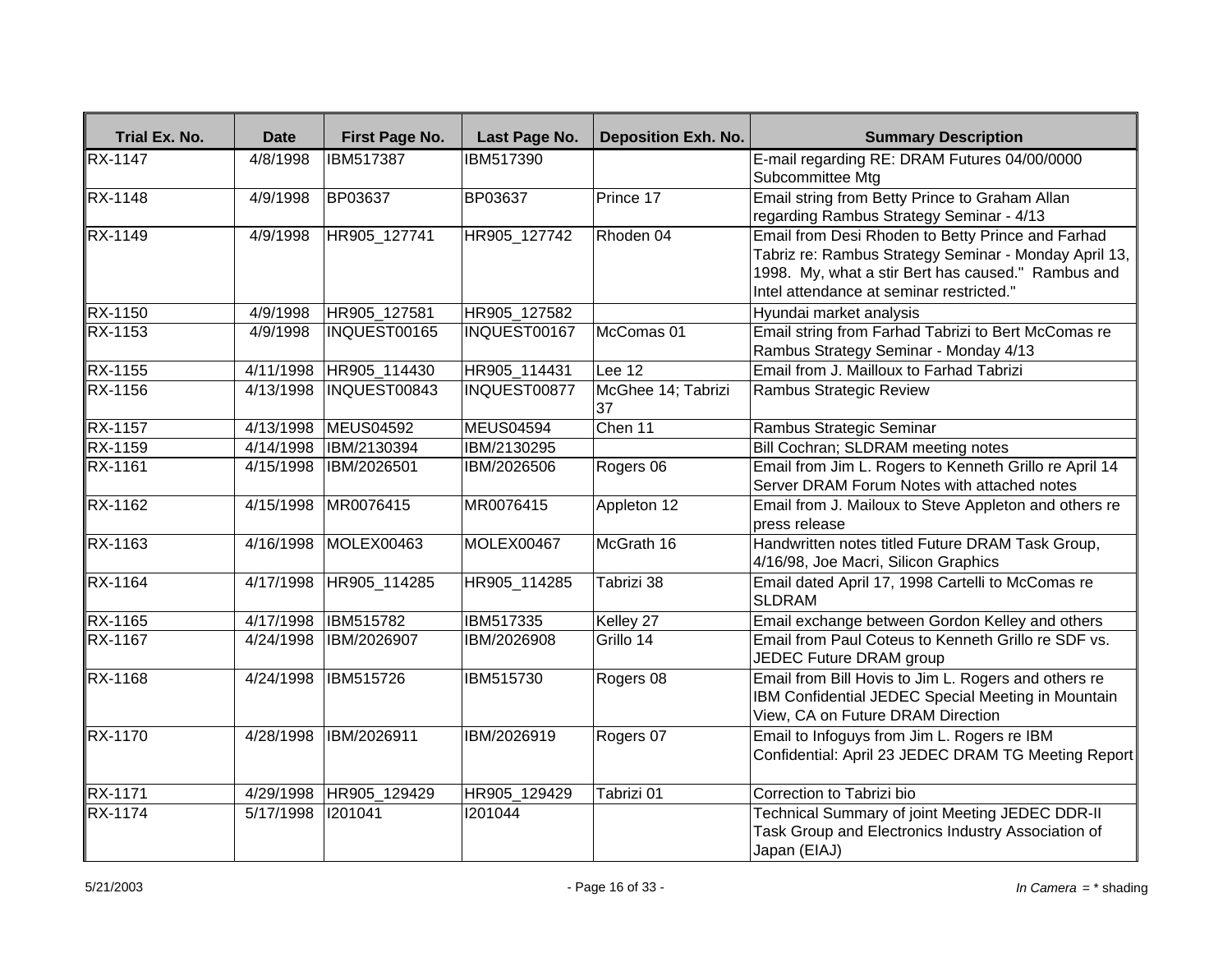| Trial Ex. No.  | <b>Date</b> | First Page No.   | Last Page No.  | <b>Deposition Exh. No.</b> | <b>Summary Description</b>                                                                                                                                                                                   |
|----------------|-------------|------------------|----------------|----------------------------|--------------------------------------------------------------------------------------------------------------------------------------------------------------------------------------------------------------|
| <b>RX-1147</b> | 4/8/1998    | IBM517387        | IBM517390      |                            | E-mail regarding RE: DRAM Futures 04/00/0000<br>Subcommittee Mtg                                                                                                                                             |
| <b>RX-1148</b> | 4/9/1998    | <b>BP03637</b>   | <b>BP03637</b> | Prince 17                  | Email string from Betty Prince to Graham Allan<br>regarding Rambus Strategy Seminar - 4/13                                                                                                                   |
| RX-1149        | 4/9/1998    | HR905_127741     | HR905_127742   | Rhoden 04                  | Email from Desi Rhoden to Betty Prince and Farhad<br>Tabriz re: Rambus Strategy Seminar - Monday April 13,<br>1998. My, what a stir Bert has caused." Rambus and<br>Intel attendance at seminar restricted." |
| RX-1150        | 4/9/1998    | HR905_127581     | HR905_127582   |                            | Hyundai market analysis                                                                                                                                                                                      |
| RX-1153        | 4/9/1998    | INQUEST00165     | INQUEST00167   | McComas 01                 | Email string from Farhad Tabrizi to Bert McComas re<br>Rambus Strategy Seminar - Monday 4/13                                                                                                                 |
| <b>RX-1155</b> | 4/11/1998   | HR905_114430     | HR905_114431   | Lee 12                     | Email from J. Mailloux to Farhad Tabrizi                                                                                                                                                                     |
| <b>RX-1156</b> | 4/13/1998   | INQUEST00843     | INQUEST00877   | McGhee 14; Tabrizi<br>37   | Rambus Strategic Review                                                                                                                                                                                      |
| <b>RX-1157</b> | 4/13/1998   | <b>MEUS04592</b> | MEUS04594      | Chen 11                    | Rambus Strategic Seminar                                                                                                                                                                                     |
| RX-1159        | 4/14/1998   | IBM/2130394      | IBM/2130295    |                            | Bill Cochran; SLDRAM meeting notes                                                                                                                                                                           |
| RX-1161        | 4/15/1998   | IBM/2026501      | IBM/2026506    | Rogers 06                  | Email from Jim L. Rogers to Kenneth Grillo re April 14<br>Server DRAM Forum Notes with attached notes                                                                                                        |
| RX-1162        | 4/15/1998   | MR0076415        | MR0076415      | Appleton 12                | Email from J. Mailoux to Steve Appleton and others re<br>press release                                                                                                                                       |
| <b>RX-1163</b> | 4/16/1998   | MOLEX00463       | MOLEX00467     | McGrath 16                 | Handwritten notes titled Future DRAM Task Group,<br>4/16/98, Joe Macri, Silicon Graphics                                                                                                                     |
| RX-1164        | 4/17/1998   | HR905_114285     | HR905_114285   | Tabrizi 38                 | Email dated April 17, 1998 Cartelli to McComas re<br>SLDRAM                                                                                                                                                  |
| RX-1165        | 4/17/1998   | <b>IBM515782</b> | IBM517335      | Kelley 27                  | Email exchange between Gordon Kelley and others                                                                                                                                                              |
| RX-1167        | 4/24/1998   | IBM/2026907      | IBM/2026908    | Grillo 14                  | Email from Paul Coteus to Kenneth Grillo re SDF vs.<br>JEDEC Future DRAM group                                                                                                                               |
| RX-1168        | 4/24/1998   | IBM515726        | IBM515730      | Rogers 08                  | Email from Bill Hovis to Jim L. Rogers and others re<br>IBM Confidential JEDEC Special Meeting in Mountain<br>View, CA on Future DRAM Direction                                                              |
| <b>RX-1170</b> | 4/28/1998   | IBM/2026911      | IBM/2026919    | Rogers 07                  | Email to Infoguys from Jim L. Rogers re IBM<br>Confidential: April 23 JEDEC DRAM TG Meeting Report                                                                                                           |
| RX-1171        | 4/29/1998   | HR905_129429     | HR905_129429   | Tabrizi 01                 | Correction to Tabrizi bio                                                                                                                                                                                    |
| RX-1174        | 5/17/1998   | 1201041          | 1201044        |                            | Technical Summary of joint Meeting JEDEC DDR-II<br>Task Group and Electronics Industry Association of<br>Japan (EIAJ)                                                                                        |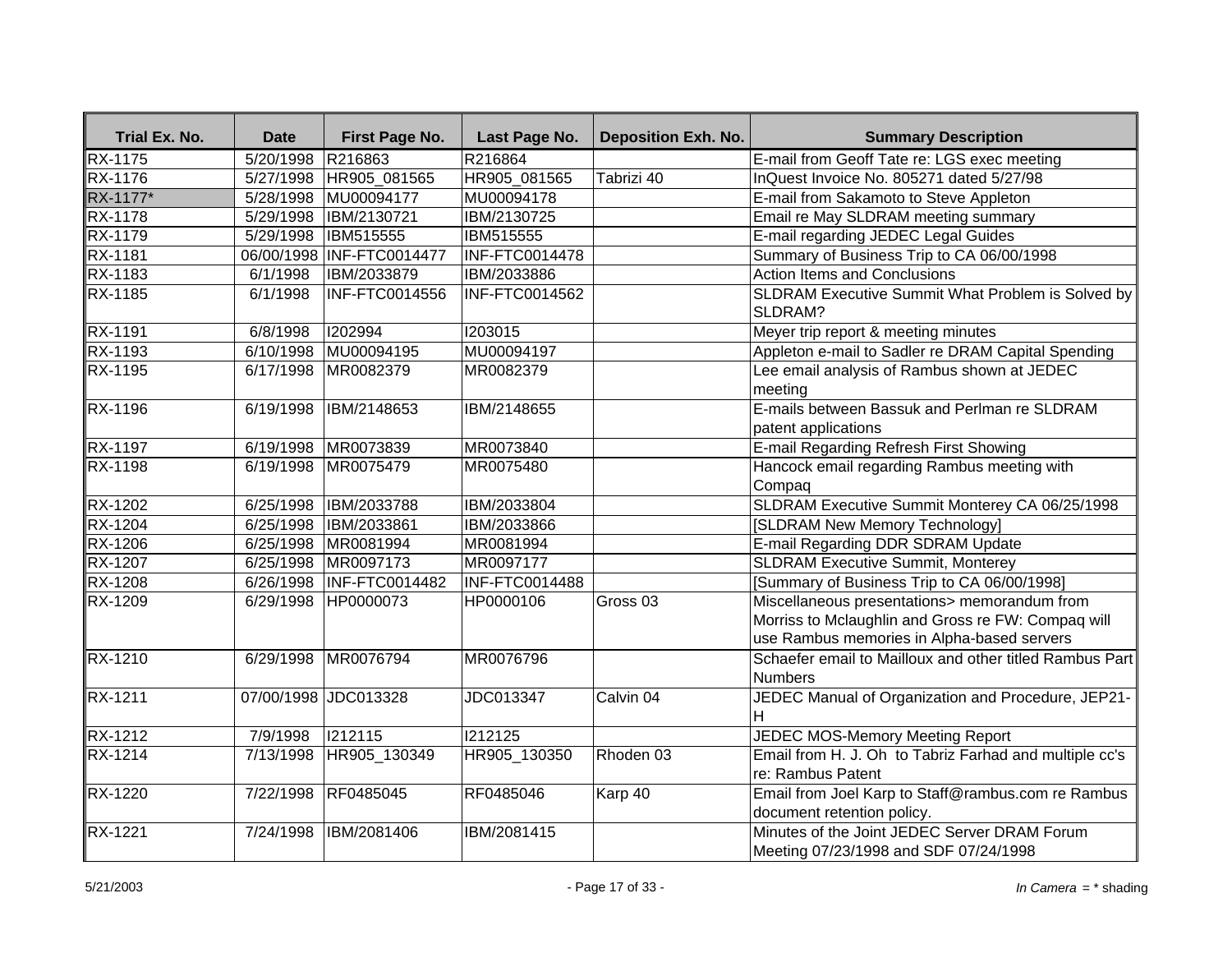| Trial Ex. No.  | <b>Date</b>       | First Page No.             | Last Page No.         | <b>Deposition Exh. No.</b> | <b>Summary Description</b>                                                                                                                       |
|----------------|-------------------|----------------------------|-----------------------|----------------------------|--------------------------------------------------------------------------------------------------------------------------------------------------|
| <b>RX-1175</b> | 5/20/1998 R216863 |                            | R216864               |                            | E-mail from Geoff Tate re: LGS exec meeting                                                                                                      |
| <b>RX-1176</b> |                   | 5/27/1998 HR905_081565     | HR905_081565          | Tabrizi 40                 | InQuest Invoice No. 805271 dated 5/27/98                                                                                                         |
| RX-1177*       |                   | 5/28/1998 MU00094177       | MU00094178            |                            | E-mail from Sakamoto to Steve Appleton                                                                                                           |
| <b>RX-1178</b> |                   | 5/29/1998 IBM/2130721      | IBM/2130725           |                            | Email re May SLDRAM meeting summary                                                                                                              |
| RX-1179        | 5/29/1998         | <b>IBM515555</b>           | IBM515555             |                            | E-mail regarding JEDEC Legal Guides                                                                                                              |
| RX-1181        |                   | 06/00/1998 INF-FTC0014477  | INF-FTC0014478        |                            | Summary of Business Trip to CA 06/00/1998                                                                                                        |
| RX-1183        | 6/1/1998          | IBM/2033879                | IBM/2033886           |                            | <b>Action Items and Conclusions</b>                                                                                                              |
| RX-1185        | 6/1/1998          | <b>INF-FTC0014556</b>      | INF-FTC0014562        |                            | SLDRAM Executive Summit What Problem is Solved by<br>SLDRAM?                                                                                     |
| RX-1191        | 6/8/1998          | 1202994                    | 1203015               |                            | Meyer trip report & meeting minutes                                                                                                              |
| RX-1193        |                   | 6/10/1998 MU00094195       | MU00094197            |                            | Appleton e-mail to Sadler re DRAM Capital Spending                                                                                               |
| RX-1195        |                   | 6/17/1998 MR0082379        | MR0082379             |                            | Lee email analysis of Rambus shown at JEDEC<br>meeting                                                                                           |
| <b>RX-1196</b> | 6/19/1998         | IBM/2148653                | IBM/2148655           |                            | E-mails between Bassuk and Perlman re SLDRAM<br>patent applications                                                                              |
| <b>RX-1197</b> |                   | 6/19/1998 MR0073839        | MR0073840             |                            | E-mail Regarding Refresh First Showing                                                                                                           |
| <b>RX-1198</b> |                   | 6/19/1998 MR0075479        | MR0075480             |                            | Hancock email regarding Rambus meeting with<br>Compaq                                                                                            |
| <b>RX-1202</b> |                   | 6/25/1998  IBM/2033788     | IBM/2033804           |                            | SLDRAM Executive Summit Monterey CA 06/25/1998                                                                                                   |
| RX-1204        | 6/25/1998         | IBM/2033861                | IBM/2033866           |                            | [SLDRAM New Memory Technology]                                                                                                                   |
| RX-1206        |                   | 6/25/1998 MR0081994        | MR0081994             |                            | E-mail Regarding DDR SDRAM Update                                                                                                                |
| <b>RX-1207</b> |                   | 6/25/1998 MR0097173        | MR0097177             |                            | <b>SLDRAM Executive Summit, Monterey</b>                                                                                                         |
| <b>RX-1208</b> |                   | 6/26/1998   INF-FTC0014482 | <b>INF-FTC0014488</b> |                            | [Summary of Business Trip to CA 06/00/1998]                                                                                                      |
| RX-1209        |                   | 6/29/1998 HP0000073        | HP0000106             | Gross <sub>03</sub>        | Miscellaneous presentations> memorandum from<br>Morriss to Mclaughlin and Gross re FW: Compaq will<br>use Rambus memories in Alpha-based servers |
| <b>RX-1210</b> | 6/29/1998         | MR0076794                  | MR0076796             |                            | Schaefer email to Mailloux and other titled Rambus Part<br>Numbers                                                                               |
| <b>RX-1211</b> |                   | 07/00/1998 JDC013328       | JDC013347             | Calvin 04                  | JEDEC Manual of Organization and Procedure, JEP21-<br>H.                                                                                         |
| <b>RX-1212</b> | 7/9/1998          | 1212115                    | 1212125               |                            | JEDEC MOS-Memory Meeting Report                                                                                                                  |
| <b>RX-1214</b> |                   | 7/13/1998 HR905 130349     | HR905 130350          | Rhoden 03                  | Email from H. J. Oh to Tabriz Farhad and multiple cc's<br>re: Rambus Patent                                                                      |
| RX-1220        | 7/22/1998         | RF0485045                  | RF0485046             | Karp 40                    | Email from Joel Karp to Staff@rambus.com re Rambus<br>document retention policy.                                                                 |
| RX-1221        | 7/24/1998         | IBM/2081406                | IBM/2081415           |                            | Minutes of the Joint JEDEC Server DRAM Forum<br>Meeting 07/23/1998 and SDF 07/24/1998                                                            |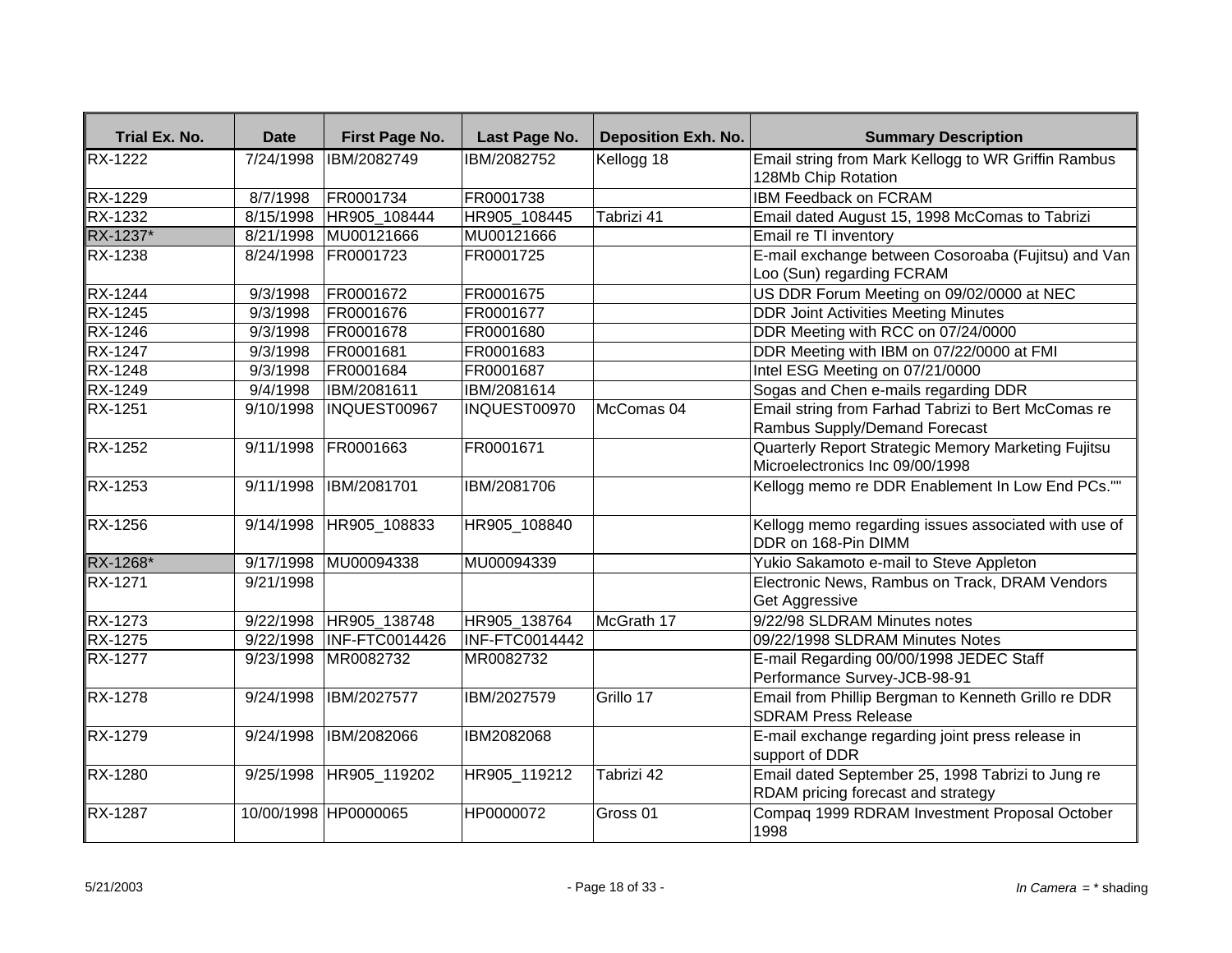| Trial Ex. No.  | <b>Date</b>         | First Page No.        | Last Page No.  | <b>Deposition Exh. No.</b> | <b>Summary Description</b>                                                              |
|----------------|---------------------|-----------------------|----------------|----------------------------|-----------------------------------------------------------------------------------------|
| <b>RX-1222</b> | $\frac{7}{24/1998}$ | IBM/2082749           | IBM/2082752    | Kellogg 18                 | Email string from Mark Kellogg to WR Griffin Rambus                                     |
|                |                     |                       |                |                            | 128Mb Chip Rotation                                                                     |
| <b>RX-1229</b> | 8/7/1998            | FR0001734             | FR0001738      |                            | <b>IBM Feedback on FCRAM</b>                                                            |
| <b>RX-1232</b> | 8/15/1998           | HR905 108444          | HR905 108445   | Tabrizi 41                 | Email dated August 15, 1998 McComas to Tabrizi                                          |
| RX-1237*       | 8/21/1998           | MU00121666            | MU00121666     |                            | Email re TI inventory                                                                   |
| RX-1238        | 8/24/1998           | FR0001723             | FR0001725      |                            | E-mail exchange between Cosoroaba (Fujitsu) and Van<br>Loo (Sun) regarding FCRAM        |
| <b>RX-1244</b> | 9/3/1998            | FR0001672             | FR0001675      |                            | US DDR Forum Meeting on 09/02/0000 at NEC                                               |
| RX-1245        | 9/3/1998            | FR0001676             | FR0001677      |                            | <b>DDR Joint Activities Meeting Minutes</b>                                             |
| RX-1246        | 9/3/1998            | FR0001678             | FR0001680      |                            | DDR Meeting with RCC on 07/24/0000                                                      |
| RX-1247        | 9/3/1998            | FR0001681             | FR0001683      |                            | DDR Meeting with IBM on 07/22/0000 at FMI                                               |
| <b>RX-1248</b> | 9/3/1998            | FR0001684             | FR0001687      |                            | Intel ESG Meeting on 07/21/0000                                                         |
| <b>RX-1249</b> | 9/4/1998            | IBM/2081611           | IBM/2081614    |                            | Sogas and Chen e-mails regarding DDR                                                    |
| RX-1251        | 9/10/1998           | INQUEST00967          | INQUEST00970   | McComas 04                 | Email string from Farhad Tabrizi to Bert McComas re<br>Rambus Supply/Demand Forecast    |
| <b>RX-1252</b> | 9/11/1998           | FR0001663             | FR0001671      |                            | Quarterly Report Strategic Memory Marketing Fujitsu<br>Microelectronics Inc 09/00/1998  |
| RX-1253        | 9/11/1998           | IBM/2081701           | IBM/2081706    |                            | Kellogg memo re DDR Enablement In Low End PCs.""                                        |
| RX-1256        | 9/14/1998           | HR905_108833          | HR905_108840   |                            | Kellogg memo regarding issues associated with use of<br>DDR on 168-Pin DIMM             |
| RX-1268*       | 9/17/1998           | MU00094338            | MU00094339     |                            | Yukio Sakamoto e-mail to Steve Appleton                                                 |
| RX-1271        | 9/21/1998           |                       |                |                            | Electronic News, Rambus on Track, DRAM Vendors<br>Get Aggressive                        |
| RX-1273        | 9/22/1998           | HR905_138748          | HR905_138764   | McGrath 17                 | 9/22/98 SLDRAM Minutes notes                                                            |
| RX-1275        | 9/22/1998           | <b>INF-FTC0014426</b> | INF-FTC0014442 |                            | 09/22/1998 SLDRAM Minutes Notes                                                         |
| RX-1277        | 9/23/1998           | MR0082732             | MR0082732      |                            | E-mail Regarding 00/00/1998 JEDEC Staff<br>Performance Survey-JCB-98-91                 |
| RX-1278        | 9/24/1998           | IBM/2027577           | IBM/2027579    | Grillo 17                  | Email from Phillip Bergman to Kenneth Grillo re DDR<br><b>SDRAM Press Release</b>       |
| RX-1279        | 9/24/1998           | IBM/2082066           | IBM2082068     |                            | E-mail exchange regarding joint press release in<br>support of DDR                      |
| RX-1280        | 9/25/1998           | HR905_119202          | HR905_119212   | Tabrizi 42                 | Email dated September 25, 1998 Tabrizi to Jung re<br>RDAM pricing forecast and strategy |
| RX-1287        |                     | 10/00/1998 HP0000065  | HP0000072      | Gross 01                   | Compag 1999 RDRAM Investment Proposal October<br>1998                                   |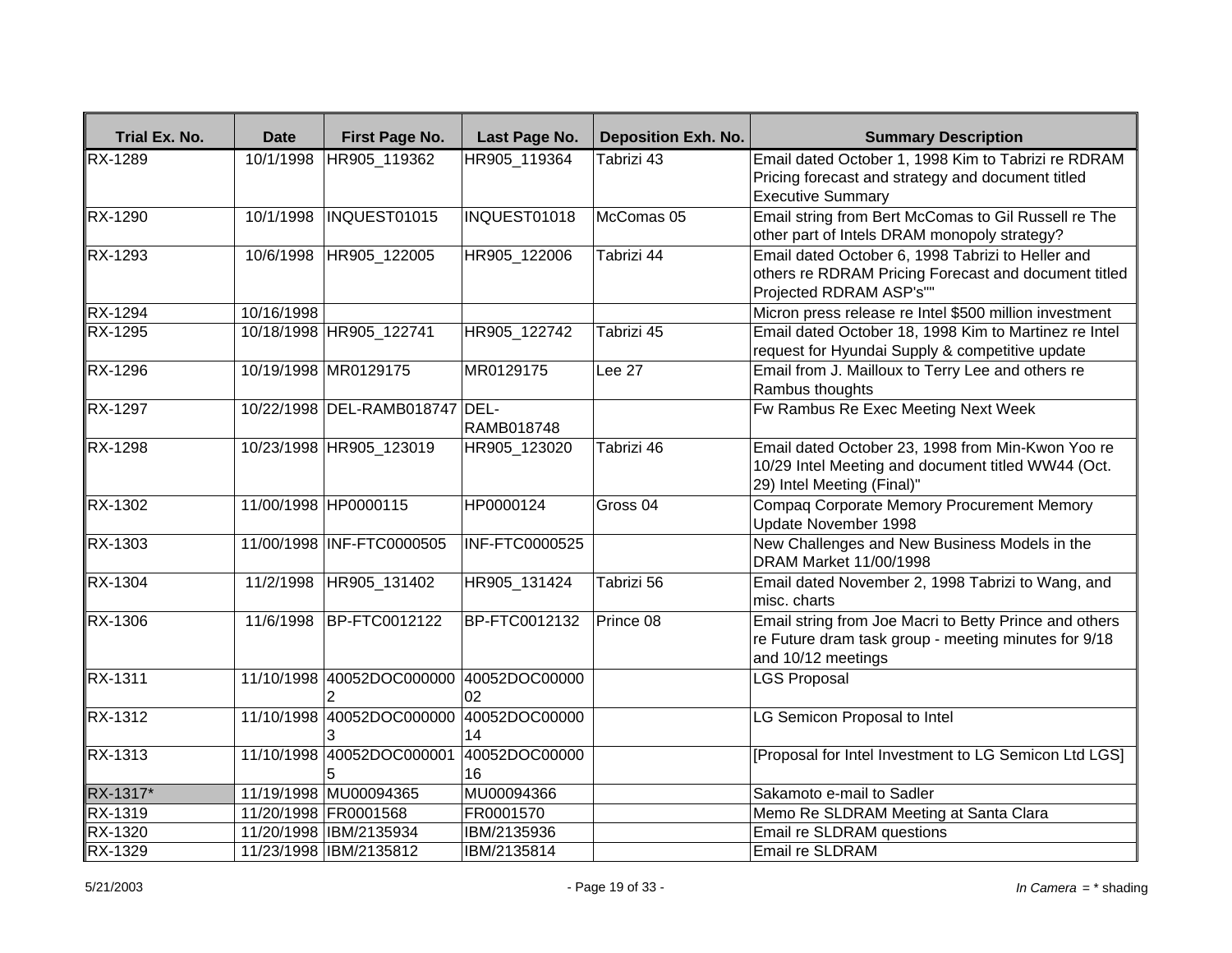| Trial Ex. No.  | <b>Date</b> | First Page No.                 | Last Page No.         | <b>Deposition Exh. No.</b> | <b>Summary Description</b>                                                                                                            |
|----------------|-------------|--------------------------------|-----------------------|----------------------------|---------------------------------------------------------------------------------------------------------------------------------------|
| <b>RX-1289</b> | 10/1/1998   | HR905 119362                   | HR905_119364          | Tabrizi 43                 | Email dated October 1, 1998 Kim to Tabrizi re RDRAM<br>Pricing forecast and strategy and document titled<br><b>Executive Summary</b>  |
| RX-1290        | 10/1/1998   | INQUEST01015                   | INQUEST01018          | McComas 05                 | Email string from Bert McComas to Gil Russell re The<br>other part of Intels DRAM monopoly strategy?                                  |
| RX-1293        | 10/6/1998   | HR905_122005                   | HR905_122006          | Tabrizi 44                 | Email dated October 6, 1998 Tabrizi to Heller and<br>others re RDRAM Pricing Forecast and document titled<br>Projected RDRAM ASP's""  |
| RX-1294        | 10/16/1998  |                                |                       |                            | Micron press release re Intel \$500 million investment                                                                                |
| RX-1295        |             | 10/18/1998 HR905 122741        | HR905 122742          | Tabrizi 45                 | Email dated October 18, 1998 Kim to Martinez re Intel<br>request for Hyundai Supply & competitive update                              |
| <b>RX-1296</b> |             | 10/19/1998 MR0129175           | MR0129175             | Lee 27                     | Email from J. Mailloux to Terry Lee and others re<br>Rambus thoughts                                                                  |
| RX-1297        |             | 10/22/1998 DEL-RAMB018747 DEL- | <b>RAMB018748</b>     |                            | Fw Rambus Re Exec Meeting Next Week                                                                                                   |
| RX-1298        |             | 10/23/1998 HR905_123019        | HR905_123020          | Tabrizi 46                 | Email dated October 23, 1998 from Min-Kwon Yoo re<br>10/29 Intel Meeting and document titled WW44 (Oct.<br>29) Intel Meeting (Final)" |
| RX-1302        |             | 11/00/1998 HP0000115           | HP0000124             | Gross <sub>04</sub>        | Compaq Corporate Memory Procurement Memory<br>Update November 1998                                                                    |
| <b>RX-1303</b> |             | 11/00/1998 INF-FTC0000505      | <b>INF-FTC0000525</b> |                            | New Challenges and New Business Models in the<br>DRAM Market 11/00/1998                                                               |
| <b>RX-1304</b> | 11/2/1998   | HR905_131402                   | HR905_131424          | Tabrizi 56                 | Email dated November 2, 1998 Tabrizi to Wang, and<br>misc. charts                                                                     |
| RX-1306        | 11/6/1998   | BP-FTC0012122                  | BP-FTC0012132         | Prince 08                  | Email string from Joe Macri to Betty Prince and others<br>re Future dram task group - meeting minutes for 9/18<br>and 10/12 meetings  |
| RX-1311        |             | 11/10/1998 40052DOC000000      | 40052DOC00000<br>02   |                            | <b>LGS Proposal</b>                                                                                                                   |
| RX-1312        | 11/10/1998  | 40052DOC000000                 | 40052DOC00000<br>14   |                            | LG Semicon Proposal to Intel                                                                                                          |
| RX-1313        | 11/10/1998  | 40052DOC000001                 | 40052DOC00000<br>16   |                            | [Proposal for Intel Investment to LG Semicon Ltd LGS]                                                                                 |
| RX-1317*       |             | 11/19/1998 MU00094365          | MU00094366            |                            | Sakamoto e-mail to Sadler                                                                                                             |
| RX-1319        |             | 11/20/1998 FR0001568           | FR0001570             |                            | Memo Re SLDRAM Meeting at Santa Clara                                                                                                 |
| RX-1320        |             | 11/20/1998 IBM/2135934         | IBM/2135936           |                            | Email re SLDRAM questions                                                                                                             |
| RX-1329        |             | 11/23/1998 IBM/2135812         | IBM/2135814           |                            | Email re SLDRAM                                                                                                                       |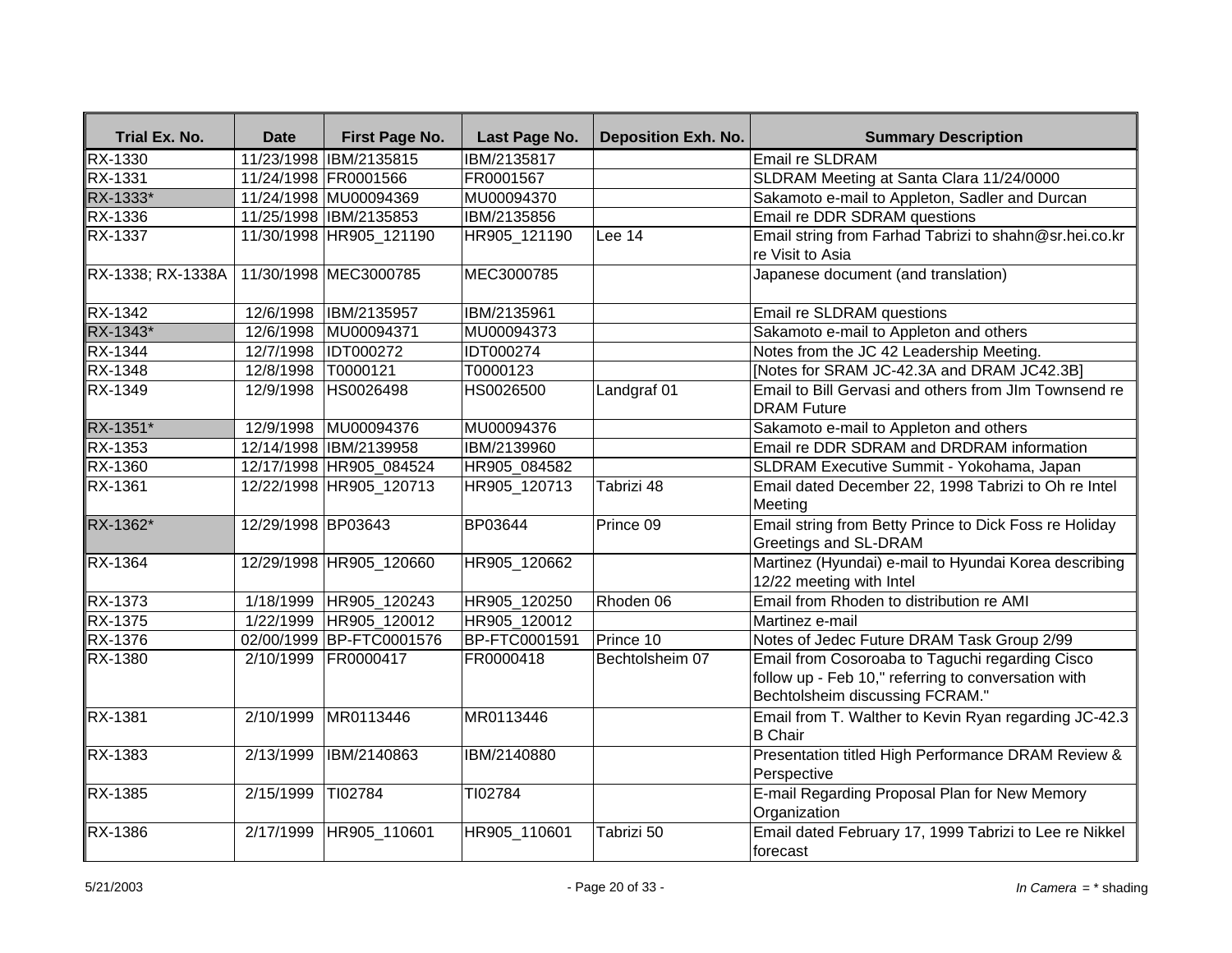| Trial Ex. No.     | <b>Date</b>         | First Page No.           | Last Page No.        | <b>Deposition Exh. No.</b> | <b>Summary Description</b>                                                                                                                |
|-------------------|---------------------|--------------------------|----------------------|----------------------------|-------------------------------------------------------------------------------------------------------------------------------------------|
| RX-1330           |                     | 11/23/1998 IBM/2135815   | IBM/2135817          |                            | <b>Email re SLDRAM</b>                                                                                                                    |
| RX-1331           |                     | 11/24/1998 FR0001566     | FR0001567            |                            | SLDRAM Meeting at Santa Clara 11/24/0000                                                                                                  |
| RX-1333*          |                     | 11/24/1998 MU00094369    | MU00094370           |                            | Sakamoto e-mail to Appleton, Sadler and Durcan                                                                                            |
| RX-1336           |                     | 11/25/1998 IBM/2135853   | IBM/2135856          |                            | Email re DDR SDRAM questions                                                                                                              |
| <b>RX-1337</b>    |                     | 11/30/1998 HR905_121190  | HR905_121190         | Lee 14                     | Email string from Farhad Tabrizi to shahn@sr.hei.co.kr<br>re Visit to Asia                                                                |
| RX-1338; RX-1338A |                     | 11/30/1998 MEC3000785    | MEC3000785           |                            | Japanese document (and translation)                                                                                                       |
| RX-1342           |                     | 12/6/1998  IBM/2135957   | IBM/2135961          |                            | Email re SLDRAM questions                                                                                                                 |
| RX-1343*          |                     | 12/6/1998 MU00094371     | MU00094373           |                            | Sakamoto e-mail to Appleton and others                                                                                                    |
| RX-1344           |                     | 12/7/1998 IDT000272      | IDT000274            |                            | Notes from the JC 42 Leadership Meeting.                                                                                                  |
| RX-1348           | 12/8/1998  T0000121 |                          | T0000123             |                            | [Notes for SRAM JC-42.3A and DRAM JC42.3B]                                                                                                |
| RX-1349           |                     | 12/9/1998 HS0026498      | HS0026500            | Landgraf 01                | Email to Bill Gervasi and others from JIm Townsend re<br><b>DRAM</b> Future                                                               |
| RX-1351*          |                     | 12/9/1998 MU00094376     | MU00094376           |                            | Sakamoto e-mail to Appleton and others                                                                                                    |
| <b>RX-1353</b>    |                     | 12/14/1998 IBM/2139958   | IBM/2139960          |                            | Email re DDR SDRAM and DRDRAM information                                                                                                 |
| <b>RX-1360</b>    |                     | 12/17/1998 HR905_084524  | HR905_084582         |                            | SLDRAM Executive Summit - Yokohama, Japan                                                                                                 |
| RX-1361           |                     | 12/22/1998 HR905 120713  | HR905_120713         | Tabrizi 48                 | Email dated December 22, 1998 Tabrizi to Oh re Intel<br>Meeting                                                                           |
| RX-1362*          | 12/29/1998 BP03643  |                          | BP03644              | Prince 09                  | Email string from Betty Prince to Dick Foss re Holiday<br>Greetings and SL-DRAM                                                           |
| <b>RX-1364</b>    |                     | 12/29/1998 HR905_120660  | HR905_120662         |                            | Martinez (Hyundai) e-mail to Hyundai Korea describing<br>12/22 meeting with Intel                                                         |
| <b>RX-1373</b>    |                     | 1/18/1999 HR905_120243   | HR905_120250         | Rhoden 06                  | Email from Rhoden to distribution re AMI                                                                                                  |
| RX-1375           |                     | 1/22/1999 HR905_120012   | HR905_120012         |                            | Martinez e-mail                                                                                                                           |
| RX-1376           |                     | 02/00/1999 BP-FTC0001576 | <b>BP-FTC0001591</b> | Prince 10                  | Notes of Jedec Future DRAM Task Group 2/99                                                                                                |
| RX-1380           |                     | 2/10/1999 FR0000417      | FR0000418            | Bechtolsheim 07            | Email from Cosoroaba to Taguchi regarding Cisco<br>follow up - Feb 10," referring to conversation with<br>Bechtolsheim discussing FCRAM." |
| <b>RX-1381</b>    | 2/10/1999           | MR0113446                | MR0113446            |                            | Email from T. Walther to Kevin Ryan regarding JC-42.3<br><b>B</b> Chair                                                                   |
| <b>RX-1383</b>    | 2/13/1999           | IBM/2140863              | IBM/2140880          |                            | Presentation titled High Performance DRAM Review &<br>Perspective                                                                         |
| RX-1385           | 2/15/1999           | TI02784                  | TI02784              |                            | E-mail Regarding Proposal Plan for New Memory<br>Organization                                                                             |
| RX-1386           |                     | 2/17/1999 HR905_110601   | HR905_110601         | Tabrizi 50                 | Email dated February 17, 1999 Tabrizi to Lee re Nikkel<br>forecast                                                                        |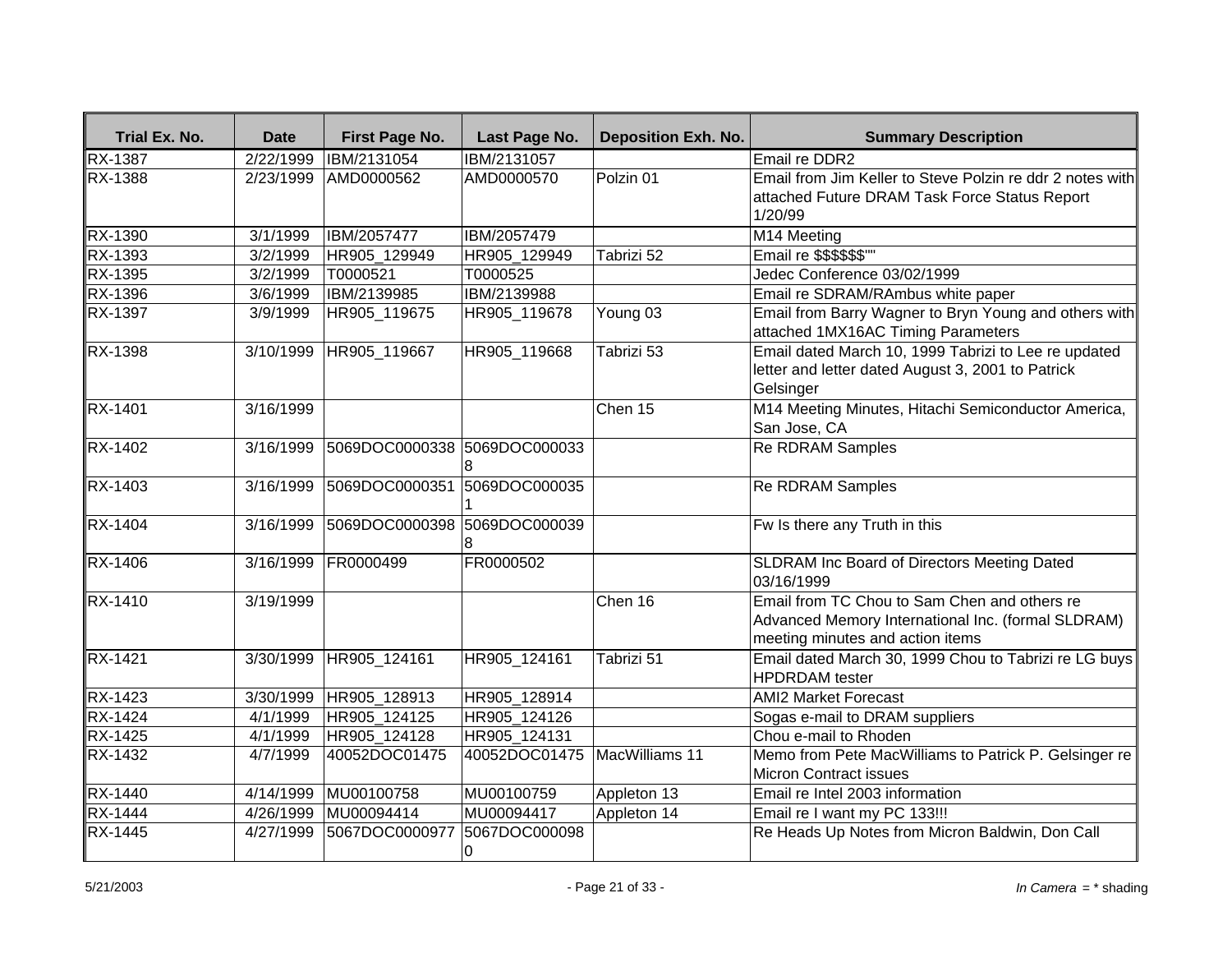| Trial Ex. No.  | <b>Date</b> | First Page No.               | Last Page No.                | <b>Deposition Exh. No.</b> | <b>Summary Description</b>                                                                                                             |
|----------------|-------------|------------------------------|------------------------------|----------------------------|----------------------------------------------------------------------------------------------------------------------------------------|
| <b>RX-1387</b> | 2/22/1999   | IBM/2131054                  | IBM/2131057                  |                            | Email re DDR2                                                                                                                          |
| RX-1388        | 2/23/1999   | AMD0000562                   | AMD0000570                   | Polzin 01                  | Email from Jim Keller to Steve Polzin re ddr 2 notes with<br>attached Future DRAM Task Force Status Report<br>1/20/99                  |
| RX-1390        | 3/1/1999    | IBM/2057477                  | IBM/2057479                  |                            | M14 Meeting                                                                                                                            |
| RX-1393        | 3/2/1999    | HR905 129949                 | HR905 129949                 | Tabrizi 52                 | Email re \$\$\$\$\$\$"                                                                                                                 |
| RX-1395        | 3/2/1999    | T0000521                     | T0000525                     |                            | Jedec Conference 03/02/1999                                                                                                            |
| RX-1396        | 3/6/1999    | IBM/2139985                  | IBM/2139988                  |                            | Email re SDRAM/RAmbus white paper                                                                                                      |
| RX-1397        | 3/9/1999    | HR905_119675                 | HR905_119678                 | Young 03                   | Email from Barry Wagner to Bryn Young and others with<br>attached 1MX16AC Timing Parameters                                            |
| RX-1398        | 3/10/1999   | HR905 119667                 | HR905_119668                 | Tabrizi 53                 | Email dated March 10, 1999 Tabrizi to Lee re updated<br>letter and letter dated August 3, 2001 to Patrick<br>Gelsinger                 |
| RX-1401        | 3/16/1999   |                              |                              | Chen 15                    | M14 Meeting Minutes, Hitachi Semiconductor America,<br>San Jose, CA                                                                    |
| RX-1402        | 3/16/1999   | 5069DOC0000338 5069DOC000033 |                              |                            | <b>Re RDRAM Samples</b>                                                                                                                |
| RX-1403        | 3/16/1999   | 5069DOC0000351               | 5069DOC000035                |                            | <b>Re RDRAM Samples</b>                                                                                                                |
| RX-1404        | 3/16/1999   | 5069DOC0000398 5069DOC000039 |                              |                            | Fw Is there any Truth in this                                                                                                          |
| <b>RX-1406</b> | 3/16/1999   | FR0000499                    | FR0000502                    |                            | SLDRAM Inc Board of Directors Meeting Dated<br>03/16/1999                                                                              |
| RX-1410        | 3/19/1999   |                              |                              | Chen 16                    | Email from TC Chou to Sam Chen and others re<br>Advanced Memory International Inc. (formal SLDRAM)<br>meeting minutes and action items |
| <b>RX-1421</b> | 3/30/1999   | HR905 124161                 | HR905 124161                 | Tabrizi 51                 | Email dated March 30, 1999 Chou to Tabrizi re LG buys<br><b>HPDRDAM</b> tester                                                         |
| RX-1423        | 3/30/1999   | HR905_128913                 | HR905_128914                 |                            | <b>AMI2 Market Forecast</b>                                                                                                            |
| $RX-1424$      | 4/1/1999    | HR905_124125                 | HR905_124126                 |                            | Sogas e-mail to DRAM suppliers                                                                                                         |
| RX-1425        | 4/1/1999    | HR905 124128                 | HR905 124131                 |                            | Chou e-mail to Rhoden                                                                                                                  |
| RX-1432        | 4/7/1999    | 40052DOC01475                | 40052DOC01475 MacWilliams 11 |                            | Memo from Pete MacWilliams to Patrick P. Gelsinger re<br><b>Micron Contract issues</b>                                                 |
| RX-1440        | 4/14/1999   | MU00100758                   | MU00100759                   | Appleton 13                | Email re Intel 2003 information                                                                                                        |
| RX-1444        | 4/26/1999   | MU00094414                   | MU00094417                   | Appleton 14                | Email re I want my PC 133!!!                                                                                                           |
| RX-1445        | 4/27/1999   | 5067DOC0000977               | 5067DOC000098<br>0           |                            | Re Heads Up Notes from Micron Baldwin, Don Call                                                                                        |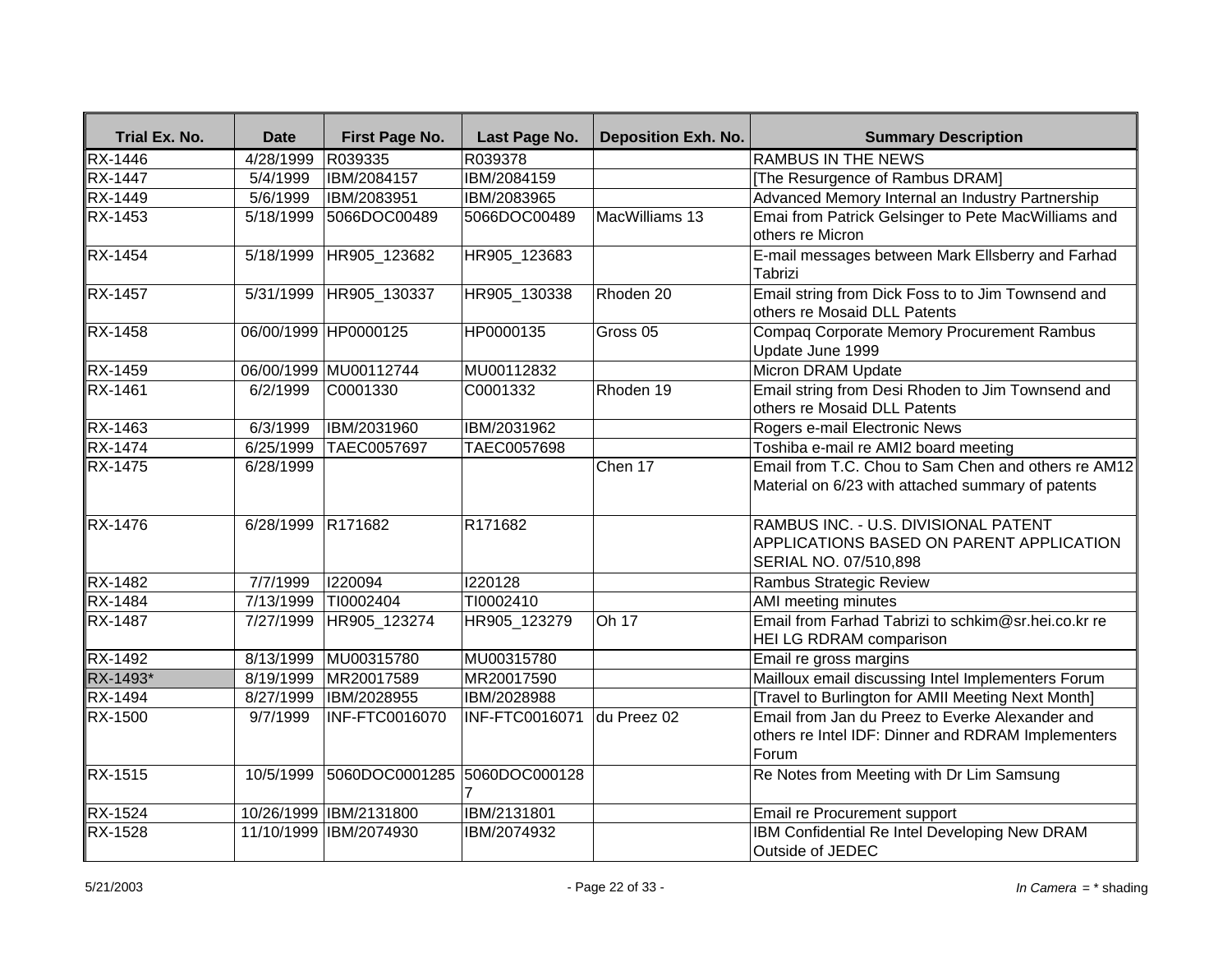| Trial Ex. No.  | <b>Date</b>          | First Page No.               | Last Page No.              | <b>Deposition Exh. No.</b> | <b>Summary Description</b>                                                                                     |
|----------------|----------------------|------------------------------|----------------------------|----------------------------|----------------------------------------------------------------------------------------------------------------|
| RX-1446        | $\frac{4}{28}$ /1999 | R039335                      | R039378                    |                            | <b>RAMBUS IN THE NEWS</b>                                                                                      |
| <b>RX-1447</b> | 5/4/1999             | IBM/2084157                  | IBM/2084159                |                            | [The Resurgence of Rambus DRAM]                                                                                |
| <b>RX-1449</b> | 5/6/1999             | IBM/2083951                  | IBM/2083965                |                            | Advanced Memory Internal an Industry Partnership                                                               |
| RX-1453        | 5/18/1999            | 5066DOC00489                 | 5066DOC00489               | MacWilliams 13             | Emai from Patrick Gelsinger to Pete MacWilliams and<br>others re Micron                                        |
| <b>RX-1454</b> | 5/18/1999            | HR905_123682                 | HR905_123683               |                            | E-mail messages between Mark Ellsberry and Farhad<br>Tabrizi                                                   |
| <b>RX-1457</b> | 5/31/1999            | HR905_130337                 | HR905_130338               | Rhoden 20                  | Email string from Dick Foss to to Jim Townsend and<br>others re Mosaid DLL Patents                             |
| RX-1458        |                      | 06/00/1999 HP0000125         | HP0000135                  | Gross <sub>05</sub>        | Compaq Corporate Memory Procurement Rambus<br>Update June 1999                                                 |
| <b>RX-1459</b> |                      | 06/00/1999 MU00112744        | MU00112832                 |                            | Micron DRAM Update                                                                                             |
| RX-1461        | 6/2/1999             | C0001330                     | C0001332                   | Rhoden 19                  | Email string from Desi Rhoden to Jim Townsend and<br>others re Mosaid DLL Patents                              |
| RX-1463        | 6/3/1999             | IBM/2031960                  | IBM/2031962                |                            | Rogers e-mail Electronic News                                                                                  |
| <b>RX-1474</b> | 6/25/1999            | TAEC0057697                  | TAEC0057698                |                            | Toshiba e-mail re AMI2 board meeting                                                                           |
| <b>RX-1475</b> | 6/28/1999            |                              |                            | Chen 17                    | Email from T.C. Chou to Sam Chen and others re AM12<br>Material on 6/23 with attached summary of patents       |
| RX-1476        | 6/28/1999 R171682    |                              | R171682                    |                            | RAMBUS INC. - U.S. DIVISIONAL PATENT<br>APPLICATIONS BASED ON PARENT APPLICATION<br>SERIAL NO. 07/510,898      |
| <b>RX-1482</b> | 7/7/1999             | 1220094                      | 1220128                    |                            | Rambus Strategic Review                                                                                        |
| RX-1484        | 7/13/1999            | TI0002404                    | TI0002410                  |                            | AMI meeting minutes                                                                                            |
| RX-1487        | 7/27/1999            | HR905 123274                 | HR905 123279               | Oh 17                      | Email from Farhad Tabrizi to schkim@sr.hei.co.kr re<br><b>HEI LG RDRAM comparison</b>                          |
| <b>RX-1492</b> | 8/13/1999            | MU00315780                   | MU00315780                 |                            | Email re gross margins                                                                                         |
| RX-1493*       | 8/19/1999            | MR20017589                   | MR20017590                 |                            | Mailloux email discussing Intel Implementers Forum                                                             |
| <b>RX-1494</b> | 8/27/1999            | IBM/2028955                  | IBM/2028988                |                            | [Travel to Burlington for AMII Meeting Next Month]                                                             |
| <b>RX-1500</b> | 9/7/1999             | <b>INF-FTC0016070</b>        | INF-FTC0016071 du Preez 02 |                            | Email from Jan du Preez to Everke Alexander and<br>others re Intel IDF: Dinner and RDRAM Implementers<br>Forum |
| RX-1515        | 10/5/1999            | 5060DOC0001285 5060DOC000128 |                            |                            | Re Notes from Meeting with Dr Lim Samsung                                                                      |
| RX-1524        |                      | 10/26/1999 IBM/2131800       | IBM/2131801                |                            | Email re Procurement support                                                                                   |
| RX-1528        |                      | 11/10/1999 IBM/2074930       | IBM/2074932                |                            | IBM Confidential Re Intel Developing New DRAM<br>Outside of JEDEC                                              |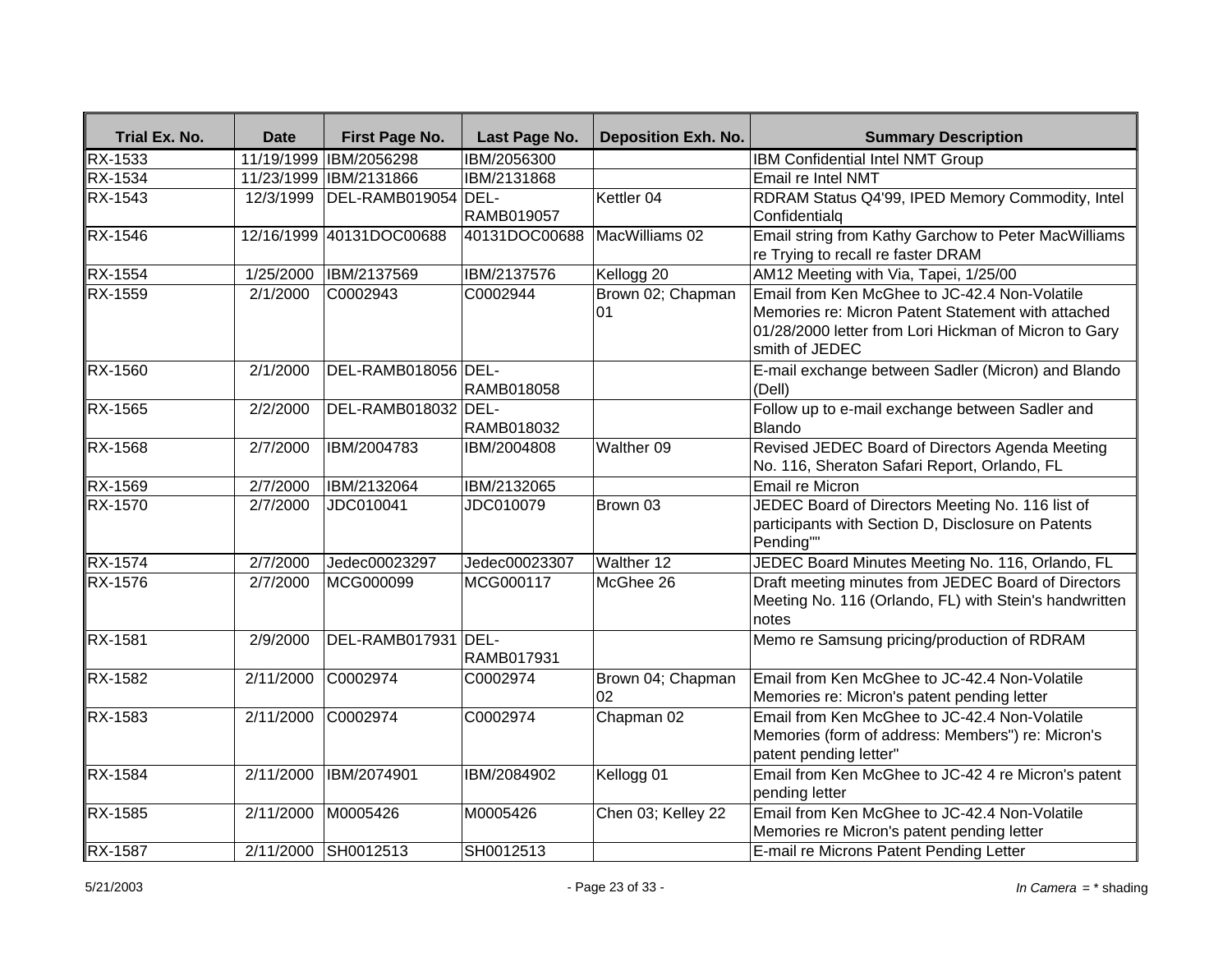| Trial Ex. No.  | <b>Date</b> | <b>First Page No.</b>  | Last Page No.     | <b>Deposition Exh. No.</b> | <b>Summary Description</b>                                                                                                                                                     |
|----------------|-------------|------------------------|-------------------|----------------------------|--------------------------------------------------------------------------------------------------------------------------------------------------------------------------------|
| RX-1533        |             | 11/19/1999 IBM/2056298 | IBM/2056300       |                            | <b>IBM Confidential Intel NMT Group</b>                                                                                                                                        |
| <b>RX-1534</b> |             | 11/23/1999 IBM/2131866 | IBM/2131868       |                            | Email re Intel NMT                                                                                                                                                             |
| RX-1543        | 12/3/1999   | DEL-RAMB019054 DEL-    |                   | Kettler <sub>04</sub>      | RDRAM Status Q4'99, IPED Memory Commodity, Intel                                                                                                                               |
|                |             |                        | <b>RAMB019057</b> |                            | Confidentialq                                                                                                                                                                  |
| RX-1546        | 12/16/1999  | 40131DOC00688          | 40131DOC00688     | MacWilliams 02             | Email string from Kathy Garchow to Peter MacWilliams<br>re Trying to recall re faster DRAM                                                                                     |
| <b>RX-1554</b> | 1/25/2000   | IBM/2137569            | IBM/2137576       | Kellogg 20                 | AM12 Meeting with Via, Tapei, 1/25/00                                                                                                                                          |
| RX-1559        | 2/1/2000    | C0002943               | C0002944          | Brown 02; Chapman<br>01    | Email from Ken McGhee to JC-42.4 Non-Volatile<br>Memories re: Micron Patent Statement with attached<br>01/28/2000 letter from Lori Hickman of Micron to Gary<br>smith of JEDEC |
| <b>RX-1560</b> | 2/1/2000    | DEL-RAMB018056 DEL-    | RAMB018058        |                            | E-mail exchange between Sadler (Micron) and Blando<br>(Dell)                                                                                                                   |
| RX-1565        | 2/2/2000    | DEL-RAMB018032 DEL-    | RAMB018032        |                            | Follow up to e-mail exchange between Sadler and<br>Blando                                                                                                                      |
| <b>RX-1568</b> | 2/7/2000    | IBM/2004783            | IBM/2004808       | Walther 09                 | Revised JEDEC Board of Directors Agenda Meeting<br>No. 116, Sheraton Safari Report, Orlando, FL                                                                                |
| RX-1569        | 2/7/2000    | IBM/2132064            | IBM/2132065       |                            | Email re Micron                                                                                                                                                                |
| RX-1570        | 2/7/2000    | JDC010041              | JDC010079         | Brown 03                   | JEDEC Board of Directors Meeting No. 116 list of<br>participants with Section D, Disclosure on Patents<br>Pending""                                                            |
| <b>RX-1574</b> | 2/7/2000    | Jedec00023297          | Jedec00023307     | Walther 12                 | JEDEC Board Minutes Meeting No. 116, Orlando, FL                                                                                                                               |
| RX-1576        | 2/7/2000    | MCG000099              | MCG000117         | McGhee 26                  | Draft meeting minutes from JEDEC Board of Directors<br>Meeting No. 116 (Orlando, FL) with Stein's handwritten<br>notes                                                         |
| <b>RX-1581</b> | 2/9/2000    | DEL-RAMB017931 DEL-    | RAMB017931        |                            | Memo re Samsung pricing/production of RDRAM                                                                                                                                    |
| RX-1582        | 2/11/2000   | C0002974               | C0002974          | Brown 04; Chapman<br>02    | Email from Ken McGhee to JC-42.4 Non-Volatile<br>Memories re: Micron's patent pending letter                                                                                   |
| RX-1583        | 2/11/2000   | C0002974               | C0002974          | Chapman 02                 | Email from Ken McGhee to JC-42.4 Non-Volatile<br>Memories (form of address: Members") re: Micron's<br>patent pending letter"                                                   |
| <b>RX-1584</b> | 2/11/2000   | IBM/2074901            | IBM/2084902       | Kellogg 01                 | Email from Ken McGhee to JC-42 4 re Micron's patent<br>pending letter                                                                                                          |
| RX-1585        | 2/11/2000   | M0005426               | M0005426          | Chen 03; Kelley 22         | Email from Ken McGhee to JC-42.4 Non-Volatile<br>Memories re Micron's patent pending letter                                                                                    |
| <b>RX-1587</b> | 2/11/2000   | SH0012513              | SH0012513         |                            | E-mail re Microns Patent Pending Letter                                                                                                                                        |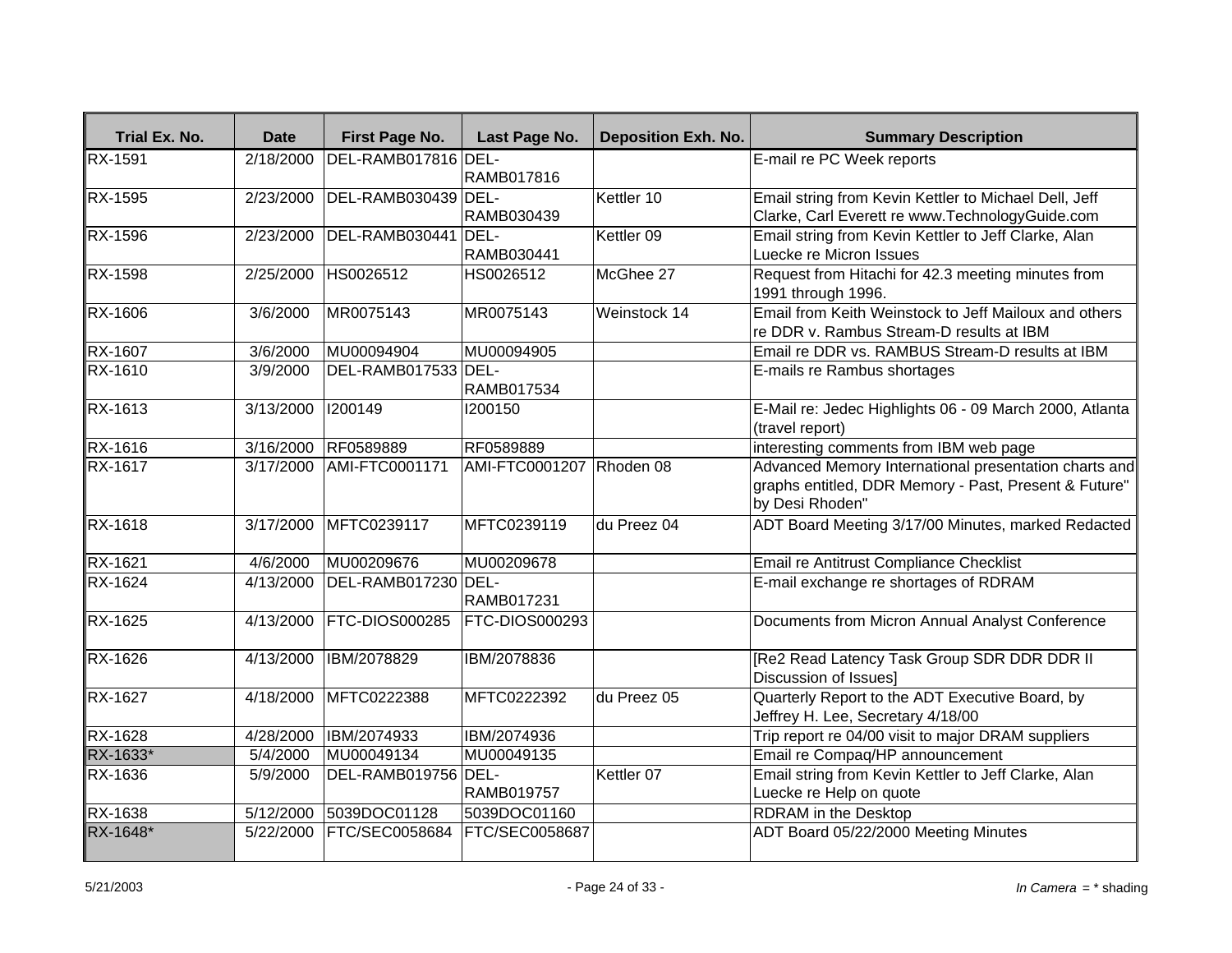| Trial Ex. No.  | <b>Date</b> | First Page No.        | Last Page No.            | <b>Deposition Exh. No.</b> | <b>Summary Description</b>                                                                                                        |
|----------------|-------------|-----------------------|--------------------------|----------------------------|-----------------------------------------------------------------------------------------------------------------------------------|
| RX-1591        | 2/18/2000   | DEL-RAMB017816 DEL-   | RAMB017816               |                            | E-mail re PC Week reports                                                                                                         |
| RX-1595        | 2/23/2000   | DEL-RAMB030439 DEL-   | RAMB030439               | Kettler 10                 | Email string from Kevin Kettler to Michael Dell, Jeff<br>Clarke, Carl Everett re www.TechnologyGuide.com                          |
| RX-1596        | 2/23/2000   | DEL-RAMB030441 DEL-   | RAMB030441               | Kettler 09                 | Email string from Kevin Kettler to Jeff Clarke, Alan<br>Luecke re Micron Issues                                                   |
| <b>RX-1598</b> | 2/25/2000   | HS0026512             | HS0026512                | McGhee 27                  | Request from Hitachi for 42.3 meeting minutes from<br>1991 through 1996.                                                          |
| RX-1606        | 3/6/2000    | MR0075143             | MR0075143                | Weinstock 14               | Email from Keith Weinstock to Jeff Mailoux and others<br>re DDR v. Rambus Stream-D results at IBM                                 |
| RX-1607        | 3/6/2000    | MU00094904            | MU00094905               |                            | Email re DDR vs. RAMBUS Stream-D results at IBM                                                                                   |
| RX-1610        | 3/9/2000    | DEL-RAMB017533 DEL-   | RAMB017534               |                            | E-mails re Rambus shortages                                                                                                       |
| RX-1613        | 3/13/2000   | 1200149               | 1200150                  |                            | E-Mail re: Jedec Highlights 06 - 09 March 2000, Atlanta<br>(travel report)                                                        |
| <b>RX-1616</b> | 3/16/2000   | RF0589889             | RF0589889                |                            | interesting comments from IBM web page                                                                                            |
| RX-1617        | 3/17/2000   | AMI-FTC0001171        | AMI-FTC0001207 Rhoden 08 |                            | Advanced Memory International presentation charts and<br>graphs entitled, DDR Memory - Past, Present & Future"<br>by Desi Rhoden" |
| <b>RX-1618</b> | 3/17/2000   | MFTC0239117           | MFTC0239119              | du Preez 04                | ADT Board Meeting 3/17/00 Minutes, marked Redacted                                                                                |
| <b>RX-1621</b> | 4/6/2000    | MU00209676            | MU00209678               |                            | Email re Antitrust Compliance Checklist                                                                                           |
| <b>RX-1624</b> | 4/13/2000   | DEL-RAMB017230 DEL-   | RAMB017231               |                            | E-mail exchange re shortages of RDRAM                                                                                             |
| RX-1625        | 4/13/2000   | FTC-DIOS000285        | FTC-DIOS000293           |                            | Documents from Micron Annual Analyst Conference                                                                                   |
| RX-1626        | 4/13/2000   | IBM/2078829           | IBM/2078836              |                            | [Re2 Read Latency Task Group SDR DDR DDR II<br>Discussion of Issues]                                                              |
| <b>RX-1627</b> | 4/18/2000   | MFTC0222388           | MFTC0222392              | du Preez 05                | Quarterly Report to the ADT Executive Board, by<br>Jeffrey H. Lee, Secretary 4/18/00                                              |
| <b>RX-1628</b> | 4/28/2000   | IBM/2074933           | IBM/2074936              |                            | Trip report re 04/00 visit to major DRAM suppliers                                                                                |
| RX-1633*       | 5/4/2000    | MU00049134            | MU00049135               |                            | Email re Compaq/HP announcement                                                                                                   |
| RX-1636        | 5/9/2000    | DEL-RAMB019756 DEL-   | <b>RAMB019757</b>        | Kettler 07                 | Email string from Kevin Kettler to Jeff Clarke, Alan<br>Luecke re Help on quote                                                   |
| RX-1638        | 5/12/2000   | 5039DOC01128          | 5039DOC01160             |                            | <b>RDRAM</b> in the Desktop                                                                                                       |
| RX-1648*       | 5/22/2000   | <b>FTC/SEC0058684</b> | <b>FTC/SEC0058687</b>    |                            | ADT Board 05/22/2000 Meeting Minutes                                                                                              |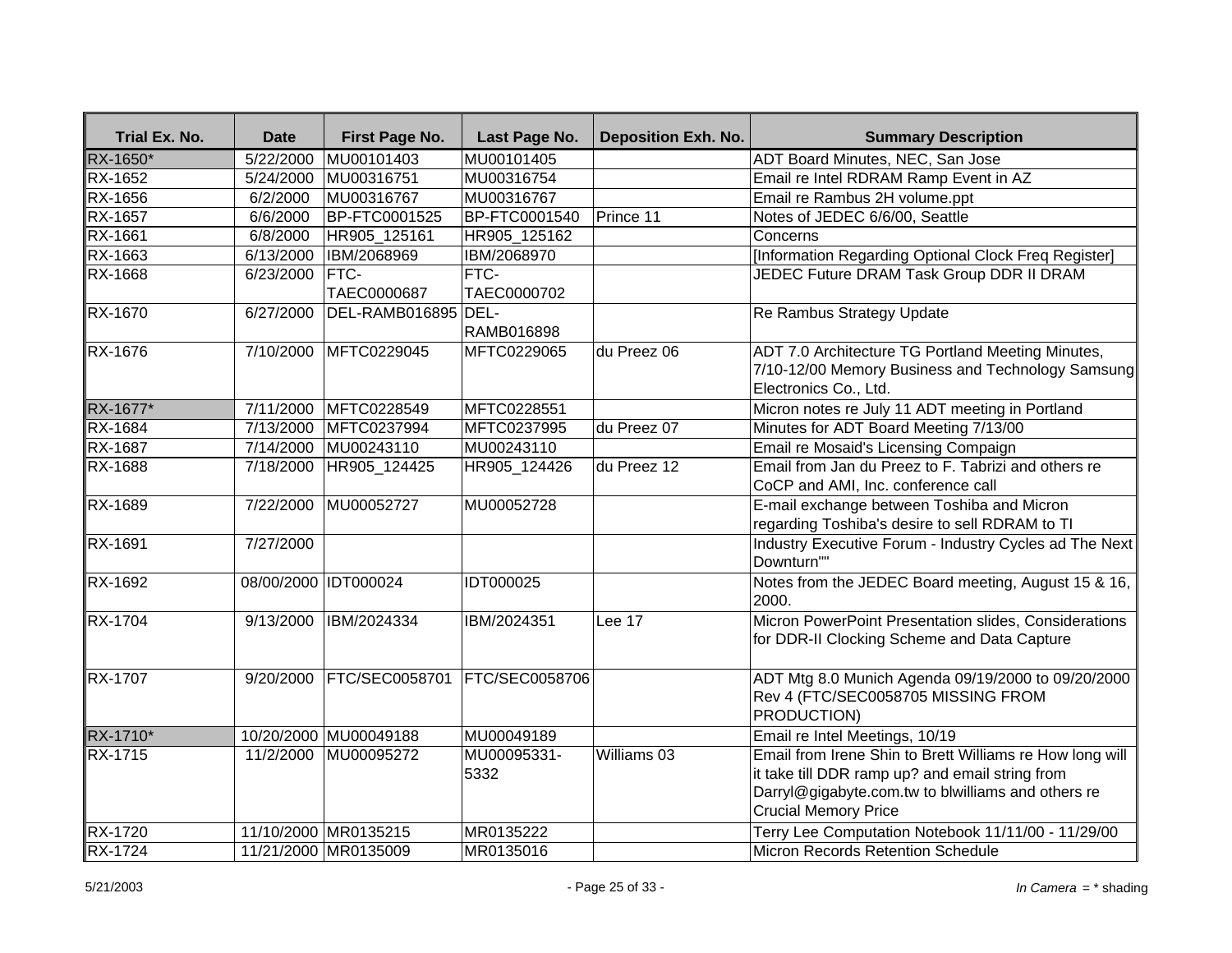| Trial Ex. No.  | <b>Date</b>          | First Page No.             | Last Page No.       | <b>Deposition Exh. No.</b> | <b>Summary Description</b>                                                                                                                                                                       |
|----------------|----------------------|----------------------------|---------------------|----------------------------|--------------------------------------------------------------------------------------------------------------------------------------------------------------------------------------------------|
| RX-1650*       | 5/22/2000            | MU00101403                 | MU00101405          |                            | <b>ADT Board Minutes, NEC, San Jose</b>                                                                                                                                                          |
| RX-1652        | $\sqrt{5/24/2000}$   | MU00316751                 | MU00316754          |                            | Email re Intel RDRAM Ramp Event in AZ                                                                                                                                                            |
| RX-1656        | 6/2/2000             | MU00316767                 | MU00316767          |                            | Email re Rambus 2H volume.ppt                                                                                                                                                                    |
| RX-1657        | 6/6/2000             | BP-FTC0001525              | BP-FTC0001540       | Prince 11                  | Notes of JEDEC 6/6/00, Seattle                                                                                                                                                                   |
| RX-1661        | 6/8/2000             | HR905_125161               | HR905_125162        |                            | Concerns                                                                                                                                                                                         |
| RX-1663        | 6/13/2000            | IBM/2068969                | IBM/2068970         |                            | [Information Regarding Optional Clock Freq Register]                                                                                                                                             |
| RX-1668        | 6/23/2000            | <b>FTC-</b><br>TAEC0000687 | FTC-<br>TAEC0000702 |                            | JEDEC Future DRAM Task Group DDR II DRAM                                                                                                                                                         |
| RX-1670        | 6/27/2000            | DEL-RAMB016895 DEL-        | RAMB016898          |                            | Re Rambus Strategy Update                                                                                                                                                                        |
| RX-1676        | 7/10/2000            | MFTC0229045                | MFTC0229065         | du Preez 06                | ADT 7.0 Architecture TG Portland Meeting Minutes,<br>7/10-12/00 Memory Business and Technology Samsung<br>Electronics Co., Ltd.                                                                  |
| RX-1677*       | 7/11/2000            | MFTC0228549                | MFTC0228551         |                            | Micron notes re July 11 ADT meeting in Portland                                                                                                                                                  |
| RX-1684        | 7/13/2000            | MFTC0237994                | MFTC0237995         | du Preez 07                | Minutes for ADT Board Meeting 7/13/00                                                                                                                                                            |
| <b>RX-1687</b> | 7/14/2000            | MU00243110                 | MU00243110          |                            | Email re Mosaid's Licensing Compaign                                                                                                                                                             |
| <b>RX-1688</b> | 7/18/2000            | HR905_124425               | HR905_124426        | du Preez 12                | Email from Jan du Preez to F. Tabrizi and others re<br>CoCP and AMI, Inc. conference call                                                                                                        |
| RX-1689        | 7/22/2000            | MU00052727                 | MU00052728          |                            | E-mail exchange between Toshiba and Micron<br>regarding Toshiba's desire to sell RDRAM to TI                                                                                                     |
| RX-1691        | 7/27/2000            |                            |                     |                            | Industry Executive Forum - Industry Cycles ad The Next<br>Downturn""                                                                                                                             |
| RX-1692        | 08/00/2000 IDT000024 |                            | IDT000025           |                            | Notes from the JEDEC Board meeting, August 15 & 16,<br>2000.                                                                                                                                     |
| RX-1704        | 9/13/2000            | IBM/2024334                | IBM/2024351         | Lee 17                     | Micron PowerPoint Presentation slides, Considerations<br>for DDR-II Clocking Scheme and Data Capture                                                                                             |
| RX-1707        | 9/20/2000            | FTC/SEC0058701             | FTC/SEC0058706      |                            | ADT Mtg 8.0 Munich Agenda 09/19/2000 to 09/20/2000<br>Rev 4 (FTC/SEC0058705 MISSING FROM<br>PRODUCTION)                                                                                          |
| RX-1710*       |                      | 10/20/2000 MU00049188      | MU00049189          |                            | Email re Intel Meetings, 10/19                                                                                                                                                                   |
| <b>RX-1715</b> | 11/2/2000            | MU00095272                 | MU00095331-<br>5332 | Williams 03                | Email from Irene Shin to Brett Williams re How long will<br>it take till DDR ramp up? and email string from<br>Darryl@gigabyte.com.tw to blwilliams and others re<br><b>Crucial Memory Price</b> |
| RX-1720        |                      | 11/10/2000 MR0135215       | MR0135222           |                            | Terry Lee Computation Notebook 11/11/00 - 11/29/00                                                                                                                                               |
| <b>RX-1724</b> |                      | 11/21/2000 MR0135009       | MR0135016           |                            | Micron Records Retention Schedule                                                                                                                                                                |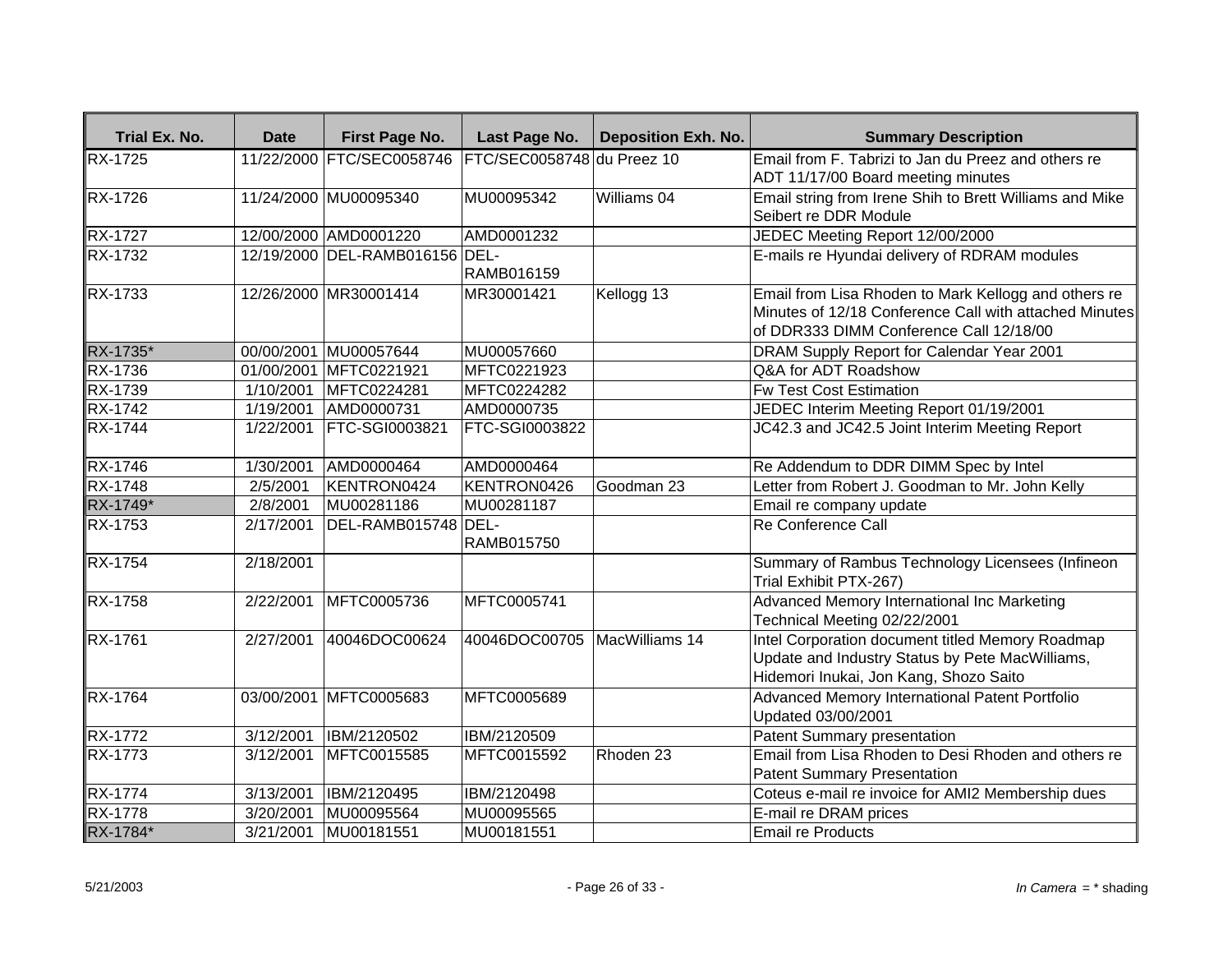| Trial Ex. No.        | <b>Date</b> | First Page No.                 | Last Page No.                | <b>Deposition Exh. No.</b> | <b>Summary Description</b>                                                                                                                                |
|----------------------|-------------|--------------------------------|------------------------------|----------------------------|-----------------------------------------------------------------------------------------------------------------------------------------------------------|
| <b>RX-1725</b>       |             | 11/22/2000 FTC/SEC0058746      | FTC/SEC0058748 du Preez 10   |                            | Email from F. Tabrizi to Jan du Preez and others re                                                                                                       |
| <b>RX-1726</b>       |             |                                |                              | Williams 04                | ADT 11/17/00 Board meeting minutes                                                                                                                        |
|                      |             | 11/24/2000 MU00095340          | MU00095342                   |                            | Email string from Irene Shih to Brett Williams and Mike<br>Seibert re DDR Module                                                                          |
| <b>RX-1727</b>       |             | 12/00/2000 AMD0001220          | AMD0001232                   |                            | JEDEC Meeting Report 12/00/2000                                                                                                                           |
| <b>RX-1732</b>       |             | 12/19/2000 DEL-RAMB016156 DEL- |                              |                            | E-mails re Hyundai delivery of RDRAM modules                                                                                                              |
|                      |             |                                | <b>RAMB016159</b>            |                            |                                                                                                                                                           |
| RX-1733              |             | 12/26/2000 MR30001414          | MR30001421                   | Kellogg 13                 | Email from Lisa Rhoden to Mark Kellogg and others re<br>Minutes of 12/18 Conference Call with attached Minutes<br>of DDR333 DIMM Conference Call 12/18/00 |
| RX-1735*             |             | 00/00/2001 MU00057644          | MU00057660                   |                            | DRAM Supply Report for Calendar Year 2001                                                                                                                 |
| <b>RX-1736</b>       |             | 01/00/2001 MFTC0221921         | MFTC0221923                  |                            | Q&A for ADT Roadshow                                                                                                                                      |
| <b>RX-1739</b>       | 1/10/2001   | MFTC0224281                    | MFTC0224282                  |                            | <b>Fw Test Cost Estimation</b>                                                                                                                            |
| <b>RX-1742</b>       | 1/19/2001   | AMD0000731                     | AMD0000735                   |                            | JEDEC Interim Meeting Report 01/19/2001                                                                                                                   |
| <b>RX-1744</b>       | 1/22/2001   | <b>FTC-SGI0003821</b>          | <b>FTC-SGI0003822</b>        |                            | JC42.3 and JC42.5 Joint Interim Meeting Report                                                                                                            |
| $R\overline{X-1746}$ | 1/30/2001   | AMD0000464                     | AMD0000464                   |                            | Re Addendum to DDR DIMM Spec by Intel                                                                                                                     |
| $RX-1748$            | 2/5/2001    | KENTRON0424                    | KENTRON0426                  | Goodman 23                 | Letter from Robert J. Goodman to Mr. John Kelly                                                                                                           |
| RX-1749*             | 2/8/2001    | MU00281186                     | MU00281187                   |                            | Email re company update                                                                                                                                   |
| <b>RX-1753</b>       | 2/17/2001   | DEL-RAMB015748 DEL-            | RAMB015750                   |                            | Re Conference Call                                                                                                                                        |
| <b>RX-1754</b>       | 2/18/2001   |                                |                              |                            | Summary of Rambus Technology Licensees (Infineon<br>Trial Exhibit PTX-267)                                                                                |
| <b>RX-1758</b>       | 2/22/2001   | MFTC0005736                    | MFTC0005741                  |                            | Advanced Memory International Inc Marketing<br>Technical Meeting 02/22/2001                                                                               |
| RX-1761              | 2/27/2001   | 40046DOC00624                  | 40046DOC00705 MacWilliams 14 |                            | Intel Corporation document titled Memory Roadmap<br>Update and Industry Status by Pete MacWilliams,<br>Hidemori Inukai, Jon Kang, Shozo Saito             |
| <b>RX-1764</b>       |             | 03/00/2001 MFTC0005683         | MFTC0005689                  |                            | Advanced Memory International Patent Portfolio<br>Updated 03/00/2001                                                                                      |
| <b>RX-1772</b>       | 3/12/2001   | IBM/2120502                    | IBM/2120509                  |                            | <b>Patent Summary presentation</b>                                                                                                                        |
| RX-1773              | 3/12/2001   | MFTC0015585                    | MFTC0015592                  | Rhoden 23                  | Email from Lisa Rhoden to Desi Rhoden and others re<br><b>Patent Summary Presentation</b>                                                                 |
| RX-1774              | 3/13/2001   | IBM/2120495                    | IBM/2120498                  |                            | Coteus e-mail re invoice for AMI2 Membership dues                                                                                                         |
| RX-1778              | 3/20/2001   | MU00095564                     | MU00095565                   |                            | E-mail re DRAM prices                                                                                                                                     |
| RX-1784*             | 3/21/2001   | MU00181551                     | MU00181551                   |                            | <b>Email re Products</b>                                                                                                                                  |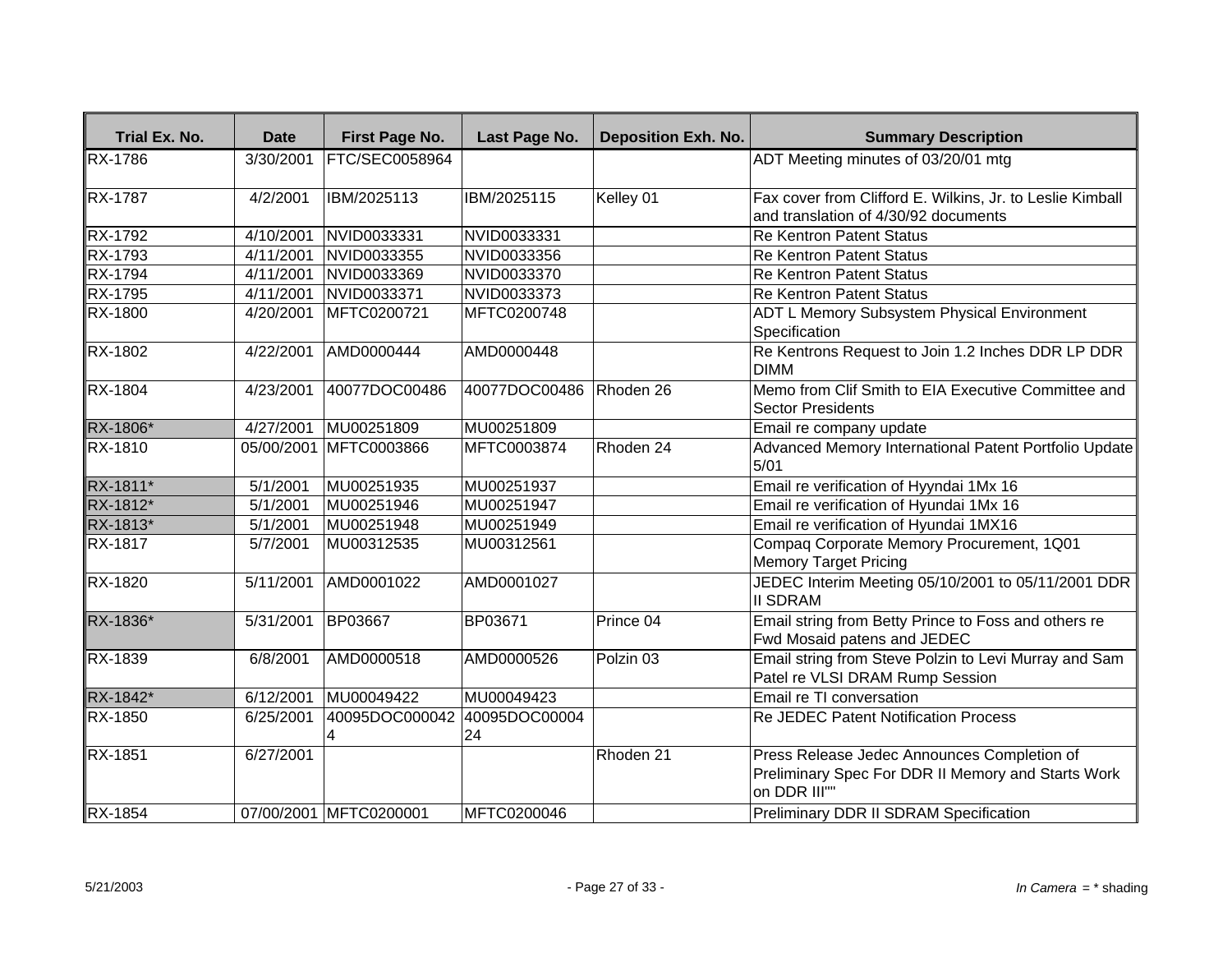| <b>Trial Ex. No.</b> | <b>Date</b> | First Page No.         | Last Page No.       | <b>Deposition Exh. No.</b> | <b>Summary Description</b>                                                                                        |
|----------------------|-------------|------------------------|---------------------|----------------------------|-------------------------------------------------------------------------------------------------------------------|
| <b>RX-1786</b>       | 3/30/2001   | FTC/SEC0058964         |                     |                            | ADT Meeting minutes of 03/20/01 mtg                                                                               |
| <b>RX-1787</b>       | 4/2/2001    | IBM/2025113            | IBM/2025115         | Kelley 01                  | Fax cover from Clifford E. Wilkins, Jr. to Leslie Kimball                                                         |
|                      |             |                        |                     |                            | and translation of 4/30/92 documents                                                                              |
| <b>RX-1792</b>       | 4/10/2001   | NVID0033331            | NVID0033331         |                            | <b>Re Kentron Patent Status</b>                                                                                   |
| RX-1793              | 4/11/2001   | NVID0033355            | NVID0033356         |                            | <b>Re Kentron Patent Status</b>                                                                                   |
| RX-1794              | 4/11/2001   | NVID0033369            | NVID0033370         |                            | <b>Re Kentron Patent Status</b>                                                                                   |
| <b>RX-1795</b>       | 4/11/2001   | NVID0033371            | NVID0033373         |                            | <b>Re Kentron Patent Status</b>                                                                                   |
| RX-1800              | 4/20/2001   | MFTC0200721            | MFTC0200748         |                            | <b>ADT L Memory Subsystem Physical Environment</b><br>Specification                                               |
| RX-1802              | 4/22/2001   | AMD0000444             | AMD0000448          |                            | Re Kentrons Request to Join 1.2 Inches DDR LP DDR<br><b>DIMM</b>                                                  |
| RX-1804              | 4/23/2001   | 40077DOC00486          | 40077DOC00486       | Rhoden 26                  | Memo from Clif Smith to EIA Executive Committee and<br>Sector Presidents                                          |
| RX-1806*             | 4/27/2001   | MU00251809             | MU00251809          |                            | Email re company update                                                                                           |
| RX-1810              |             | 05/00/2001 MFTC0003866 | MFTC0003874         | Rhoden 24                  | Advanced Memory International Patent Portfolio Update<br>$5/01$                                                   |
| RX-1811*             | 5/1/2001    | MU00251935             | MU00251937          |                            | Email re verification of Hyyndai 1Mx 16                                                                           |
| RX-1812*             | 5/1/2001    | MU00251946             | MU00251947          |                            | Email re verification of Hyundai 1Mx 16                                                                           |
| RX-1813*             | 5/1/2001    | MU00251948             | MU00251949          |                            | Email re verification of Hyundai 1MX16                                                                            |
| <b>RX-1817</b>       | 5/7/2001    | MU00312535             | MU00312561          |                            | Compaq Corporate Memory Procurement, 1Q01<br>Memory Target Pricing                                                |
| RX-1820              | 5/11/2001   | AMD0001022             | AMD0001027          |                            | JEDEC Interim Meeting 05/10/2001 to 05/11/2001 DDR<br><b>II SDRAM</b>                                             |
| RX-1836*             | 5/31/2001   | BP03667                | BP03671             | Prince 04                  | Email string from Betty Prince to Foss and others re<br>Fwd Mosaid patens and JEDEC                               |
| RX-1839              | 6/8/2001    | AMD0000518             | AMD0000526          | Polzin <sub>03</sub>       | Email string from Steve Polzin to Levi Murray and Sam<br>Patel re VLSI DRAM Rump Session                          |
| RX-1842*             | 6/12/2001   | MU00049422             | MU00049423          |                            | Email re TI conversation                                                                                          |
| <b>RX-1850</b>       | 6/25/2001   | 40095DOC000042         | 40095DOC00004<br>24 |                            | <b>Re JEDEC Patent Notification Process</b>                                                                       |
| RX-1851              | 6/27/2001   |                        |                     | Rhoden 21                  | Press Release Jedec Announces Completion of<br>Preliminary Spec For DDR II Memory and Starts Work<br>on DDR III"" |
| <b>RX-1854</b>       |             | 07/00/2001 MFTC0200001 | MFTC0200046         |                            | Preliminary DDR II SDRAM Specification                                                                            |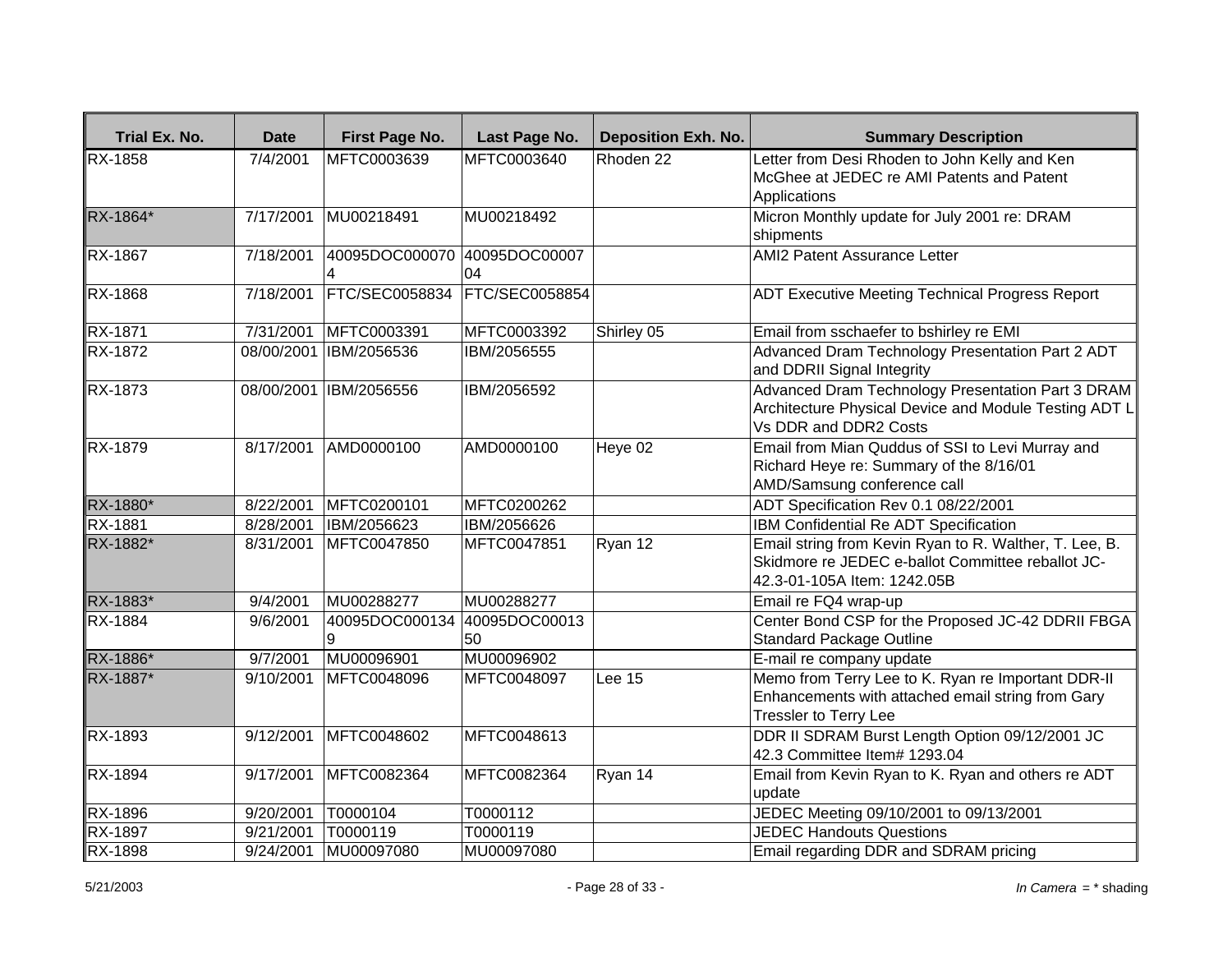| Trial Ex. No.  | <b>Date</b>           | <b>First Page No.</b>             | Last Page No.         | <b>Deposition Exh. No.</b> | <b>Summary Description</b>                                                                                                                 |
|----------------|-----------------------|-----------------------------------|-----------------------|----------------------------|--------------------------------------------------------------------------------------------------------------------------------------------|
| <b>RX-1858</b> | 7/4/2001              | MFTC0003639                       | MFTC0003640           | Rhoden 22                  | Letter from Desi Rhoden to John Kelly and Ken<br>McGhee at JEDEC re AMI Patents and Patent<br>Applications                                 |
| RX-1864*       | 7/17/2001             | MU00218491                        | MU00218492            |                            | Micron Monthly update for July 2001 re: DRAM<br>shipments                                                                                  |
| RX-1867        | 7/18/2001             | 40095DOC000070                    | 40095DOC00007<br>04   |                            | <b>AMI2 Patent Assurance Letter</b>                                                                                                        |
| RX-1868        | 7/18/2001             | <b>FTC/SEC0058834</b>             | <b>FTC/SEC0058854</b> |                            | <b>ADT Executive Meeting Technical Progress Report</b>                                                                                     |
| RX-1871        | 7/31/2001             | MFTC0003391                       | MFTC0003392           | Shirley 05                 | Email from sschaefer to bshirley re EMI                                                                                                    |
| RX-1872        |                       | 08/00/2001 IBM/2056536            | IBM/2056555           |                            | Advanced Dram Technology Presentation Part 2 ADT<br>and DDRII Signal Integrity                                                             |
| <b>RX-1873</b> |                       | 08/00/2001 IBM/2056556            | IBM/2056592           |                            | Advanced Dram Technology Presentation Part 3 DRAM<br>Architecture Physical Device and Module Testing ADT L<br>Vs DDR and DDR2 Costs        |
| <b>RX-1879</b> | 8/17/2001             | AMD0000100                        | AMD0000100            | Heye 02                    | Email from Mian Quddus of SSI to Levi Murray and<br>Richard Heye re: Summary of the 8/16/01<br>AMD/Samsung conference call                 |
| RX-1880*       | 8/22/2001             | MFTC0200101                       | MFTC0200262           |                            | ADT Specification Rev 0.1 08/22/2001                                                                                                       |
| RX-1881        | 8/28/2001             | IBM/2056623                       | IBM/2056626           |                            | IBM Confidential Re ADT Specification                                                                                                      |
| RX-1882*       | 8/31/2001             | MFTC0047850                       | MFTC0047851           | Ryan 12                    | Email string from Kevin Ryan to R. Walther, T. Lee, B.<br>Skidmore re JEDEC e-ballot Committee reballot JC-<br>42.3-01-105A Item: 1242.05B |
| RX-1883*       | 9/4/2001              | MU00288277                        | MU00288277            |                            | Email re FQ4 wrap-up                                                                                                                       |
| <b>RX-1884</b> | 9/6/2001              | 40095DOC000134 40095DOC00013<br>9 | 50                    |                            | Center Bond CSP for the Proposed JC-42 DDRII FBGA<br><b>Standard Package Outline</b>                                                       |
| RX-1886*       | $\overline{9/7}/2001$ | MU00096901                        | MU00096902            |                            | E-mail re company update                                                                                                                   |
| RX-1887*       | 9/10/2001             | MFTC0048096                       | MFTC0048097           | Lee 15                     | Memo from Terry Lee to K. Ryan re Important DDR-II<br>Enhancements with attached email string from Gary<br>Tressler to Terry Lee           |
| RX-1893        | 9/12/2001             | MFTC0048602                       | MFTC0048613           |                            | DDR II SDRAM Burst Length Option 09/12/2001 JC<br>42.3 Committee Item# 1293.04                                                             |
| <b>RX-1894</b> | 9/17/2001             | MFTC0082364                       | MFTC0082364           | Ryan 14                    | Email from Kevin Ryan to K. Ryan and others re ADT<br>update                                                                               |
| RX-1896        | 9/20/2001             | T0000104                          | T0000112              |                            | JEDEC Meeting 09/10/2001 to 09/13/2001                                                                                                     |
| RX-1897        | 9/21/2001             | T0000119                          | T0000119              |                            | <b>JEDEC Handouts Questions</b>                                                                                                            |
| <b>RX-1898</b> | 9/24/2001             | MU00097080                        | MU00097080            |                            | Email regarding DDR and SDRAM pricing                                                                                                      |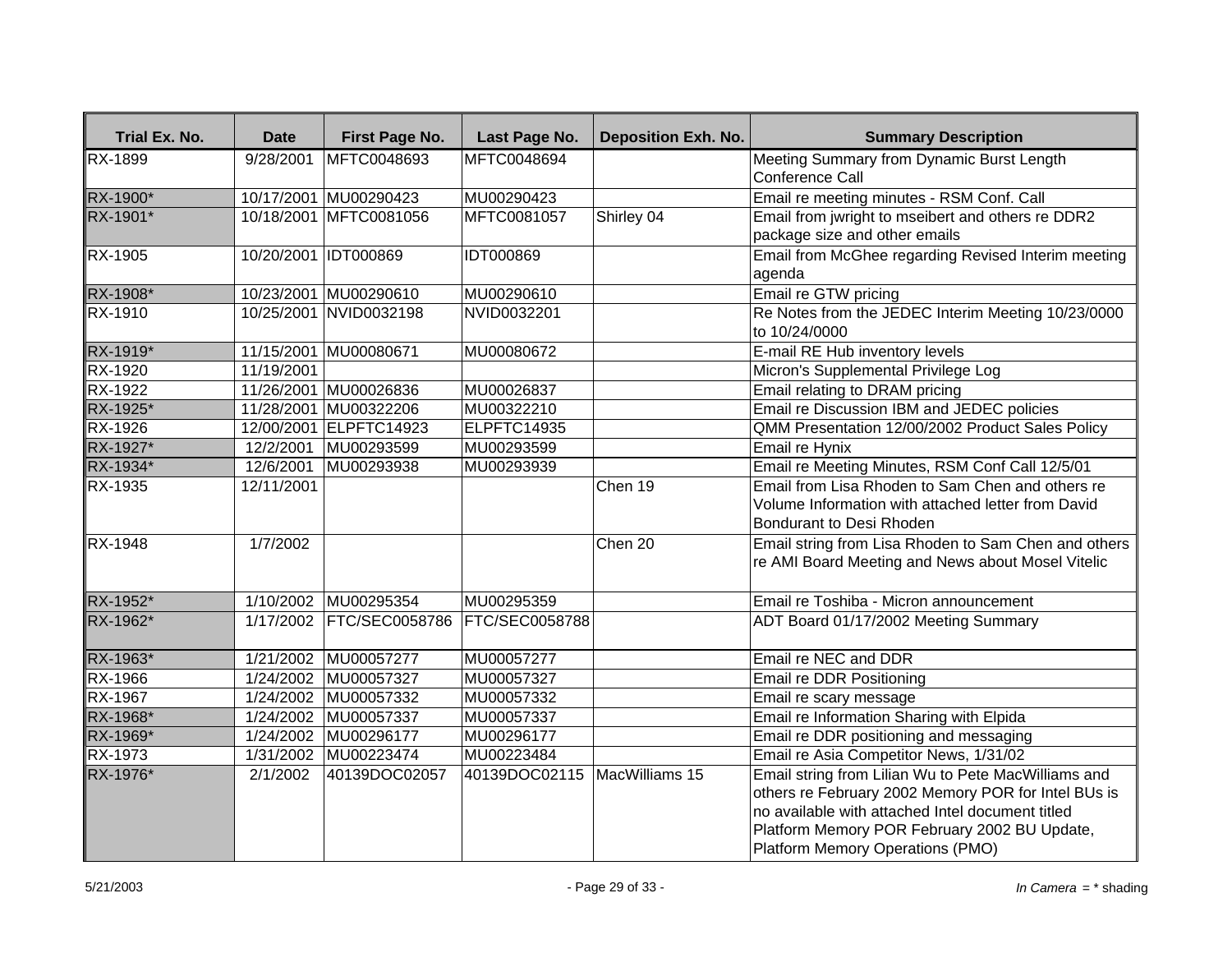| Trial Ex. No.  | <b>Date</b>          | First Page No.           | Last Page No.                  | <b>Deposition Exh. No.</b> | <b>Summary Description</b>                                                                                                                                                                                                                         |
|----------------|----------------------|--------------------------|--------------------------------|----------------------------|----------------------------------------------------------------------------------------------------------------------------------------------------------------------------------------------------------------------------------------------------|
| <b>RX-1899</b> | 9/28/2001            | MFTC0048693              | MFTC0048694                    |                            | Meeting Summary from Dynamic Burst Length                                                                                                                                                                                                          |
|                |                      |                          |                                |                            | Conference Call                                                                                                                                                                                                                                    |
| RX-1900*       |                      | 10/17/2001 MU00290423    | MU00290423                     |                            | Email re meeting minutes - RSM Conf. Call                                                                                                                                                                                                          |
| RX-1901*       |                      | 10/18/2001 MFTC0081056   | MFTC0081057                    | Shirley 04                 | Email from jwright to mseibert and others re DDR2                                                                                                                                                                                                  |
|                |                      |                          |                                |                            | package size and other emails                                                                                                                                                                                                                      |
| RX-1905        | 10/20/2001 IDT000869 |                          | IDT000869                      |                            | Email from McGhee regarding Revised Interim meeting<br>agenda                                                                                                                                                                                      |
| RX-1908*       |                      | 10/23/2001 MU00290610    | MU00290610                     |                            | Email re GTW pricing                                                                                                                                                                                                                               |
| RX-1910        |                      | 10/25/2001 NVID0032198   | NVID0032201                    |                            | Re Notes from the JEDEC Interim Meeting 10/23/0000<br>to 10/24/0000                                                                                                                                                                                |
| RX-1919*       |                      | 11/15/2001 MU00080671    | MU00080672                     |                            | E-mail RE Hub inventory levels                                                                                                                                                                                                                     |
| RX-1920        | 11/19/2001           |                          |                                |                            | Micron's Supplemental Privilege Log                                                                                                                                                                                                                |
| RX-1922        |                      | 11/26/2001 MU00026836    | MU00026837                     |                            | Email relating to DRAM pricing                                                                                                                                                                                                                     |
| RX-1925*       |                      | 11/28/2001 MU00322206    | MU00322210                     |                            | Email re Discussion IBM and JEDEC policies                                                                                                                                                                                                         |
| RX-1926        |                      | 12/00/2001 ELPFTC14923   | ELPFTC14935                    |                            | QMM Presentation 12/00/2002 Product Sales Policy                                                                                                                                                                                                   |
| RX-1927*       | 12/2/2001            | MU00293599               | MU00293599                     |                            | Email re Hynix                                                                                                                                                                                                                                     |
| RX-1934*       | 12/6/2001            | MU00293938               | MU00293939                     |                            | Email re Meeting Minutes, RSM Conf Call 12/5/01                                                                                                                                                                                                    |
| RX-1935        | 12/11/2001           |                          |                                | Chen 19                    | Email from Lisa Rhoden to Sam Chen and others re                                                                                                                                                                                                   |
|                |                      |                          |                                |                            | Volume Information with attached letter from David<br>Bondurant to Desi Rhoden                                                                                                                                                                     |
| RX-1948        | 1/7/2002             |                          |                                | Chen 20                    | Email string from Lisa Rhoden to Sam Chen and others<br>re AMI Board Meeting and News about Mosel Vitelic                                                                                                                                          |
| RX-1952*       |                      | 1/10/2002 MU00295354     | MU00295359                     |                            | Email re Toshiba - Micron announcement                                                                                                                                                                                                             |
| RX-1962*       |                      | 1/17/2002 FTC/SEC0058786 | <b>FTC/SEC0058788</b>          |                            | ADT Board 01/17/2002 Meeting Summary                                                                                                                                                                                                               |
| RX-1963*       | 1/21/2002            | MU00057277               | MU00057277                     |                            | Email re NEC and DDR                                                                                                                                                                                                                               |
| $RX-1966$      |                      | 1/24/2002 MU00057327     | MU00057327                     |                            | Email re DDR Positioning                                                                                                                                                                                                                           |
| <b>RX-1967</b> |                      | 1/24/2002 MU00057332     | MU00057332                     |                            | Email re scary message                                                                                                                                                                                                                             |
| RX-1968*       | 1/24/2002            | MU00057337               | MU00057337                     |                            | Email re Information Sharing with Elpida                                                                                                                                                                                                           |
| RX-1969*       | 1/24/2002            | MU00296177               | MU00296177                     |                            | Email re DDR positioning and messaging                                                                                                                                                                                                             |
| RX-1973        | 1/31/2002            | MU00223474               | MU00223484                     |                            | Email re Asia Competitor News, 1/31/02                                                                                                                                                                                                             |
| RX-1976*       | 2/1/2002             | 40139DOC02057            | 40139DOC02115   MacWilliams 15 |                            | Email string from Lilian Wu to Pete MacWilliams and<br>others re February 2002 Memory POR for Intel BUs is<br>no available with attached Intel document titled<br>Platform Memory POR February 2002 BU Update,<br>Platform Memory Operations (PMO) |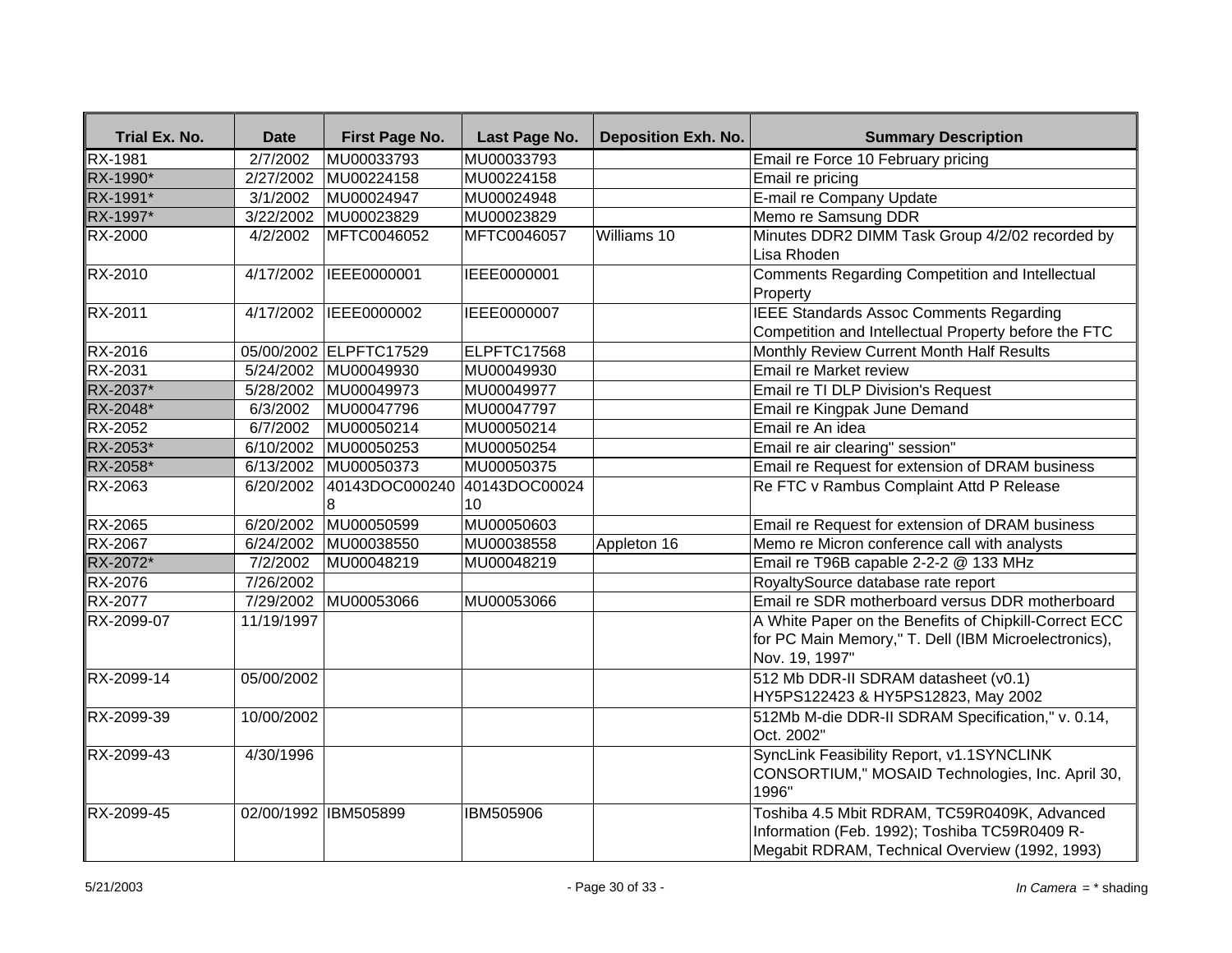| Trial Ex. No.  | <b>Date</b>           | First Page No.         | Last Page No.       | <b>Deposition Exh. No.</b> | <b>Summary Description</b>                                                                                                                      |
|----------------|-----------------------|------------------------|---------------------|----------------------------|-------------------------------------------------------------------------------------------------------------------------------------------------|
| RX-1981        | 2/7/2002              | MU00033793             | MU00033793          |                            | Email re Force 10 February pricing                                                                                                              |
| RX-1990*       | 2/27/2002             | MU00224158             | MU00224158          |                            | Email re pricing                                                                                                                                |
| RX-1991*       | $\sqrt{3}/1/2002$     | MU00024947             | MU00024948          |                            | E-mail re Company Update                                                                                                                        |
| RX-1997*       | $\frac{1}{3}/22/2002$ | MU00023829             | MU00023829          |                            | Memo re Samsung DDR                                                                                                                             |
| <b>RX-2000</b> | 4/2/2002              | MFTC0046052            | MFTC0046057         | Williams 10                | Minutes DDR2 DIMM Task Group 4/2/02 recorded by<br>Lisa Rhoden                                                                                  |
| <b>RX-2010</b> | 4/17/2002             | IEEE0000001            | IEEE0000001         |                            | Comments Regarding Competition and Intellectual<br>Property                                                                                     |
| RX-2011        | 4/17/2002             | IEEE0000002            | IEEE0000007         |                            | <b>IEEE Standards Assoc Comments Regarding</b><br>Competition and Intellectual Property before the FTC                                          |
| RX-2016        |                       | 05/00/2002 ELPFTC17529 | ELPFTC17568         |                            | Monthly Review Current Month Half Results                                                                                                       |
| <b>RX-2031</b> |                       | 5/24/2002 MU00049930   | MU00049930          |                            | Email re Market review                                                                                                                          |
| RX-2037*       | 5/28/2002             | MU00049973             | MU00049977          |                            | Email re TI DLP Division's Request                                                                                                              |
| RX-2048*       | 6/3/2002              | MU00047796             | MU00047797          |                            | Email re Kingpak June Demand                                                                                                                    |
| <b>RX-2052</b> | 6/7/2002              | MU00050214             | MU00050214          |                            | Email re An idea                                                                                                                                |
| RX-2053*       | 6/10/2002             | MU00050253             | MU00050254          |                            | Email re air clearing" session"                                                                                                                 |
| RX-2058*       |                       | 6/13/2002 MU00050373   | MU00050375          |                            | Email re Request for extension of DRAM business                                                                                                 |
| <b>RX-2063</b> | 6/20/2002             | 40143DOC000240<br>8    | 40143DOC00024<br>10 |                            | Re FTC v Rambus Complaint Attd P Release                                                                                                        |
| RX-2065        | 6/20/2002             | MU00050599             | MU00050603          |                            | Email re Request for extension of DRAM business                                                                                                 |
| RX-2067        | 6/24/2002             | MU00038550             | MU00038558          | Appleton 16                | Memo re Micron conference call with analysts                                                                                                    |
| RX-2072*       | 7/2/2002              | MU00048219             | MU00048219          |                            | Email re T96B capable 2-2-2 @ 133 MHz                                                                                                           |
| RX-2076        | 7/26/2002             |                        |                     |                            | RoyaltySource database rate report                                                                                                              |
| <b>RX-2077</b> | 7/29/2002             | MU00053066             | MU00053066          |                            | Email re SDR motherboard versus DDR motherboard                                                                                                 |
| RX-2099-07     | 11/19/1997            |                        |                     |                            | A White Paper on the Benefits of Chipkill-Correct ECC<br>for PC Main Memory," T. Dell (IBM Microelectronics),<br>Nov. 19, 1997"                 |
| RX-2099-14     | 05/00/2002            |                        |                     |                            | 512 Mb DDR-II SDRAM datasheet (v0.1)<br>HY5PS122423 & HY5PS12823, May 2002                                                                      |
| RX-2099-39     | 10/00/2002            |                        |                     |                            | 512Mb M-die DDR-II SDRAM Specification," v. 0.14,<br>Oct. 2002"                                                                                 |
| RX-2099-43     | 4/30/1996             |                        |                     |                            | SyncLink Feasibility Report, v1.1SYNCLINK<br>CONSORTIUM," MOSAID Technologies, Inc. April 30,<br>1996"                                          |
| RX-2099-45     |                       | 02/00/1992 IBM505899   | IBM505906           |                            | Toshiba 4.5 Mbit RDRAM, TC59R0409K, Advanced<br>Information (Feb. 1992); Toshiba TC59R0409 R-<br>Megabit RDRAM, Technical Overview (1992, 1993) |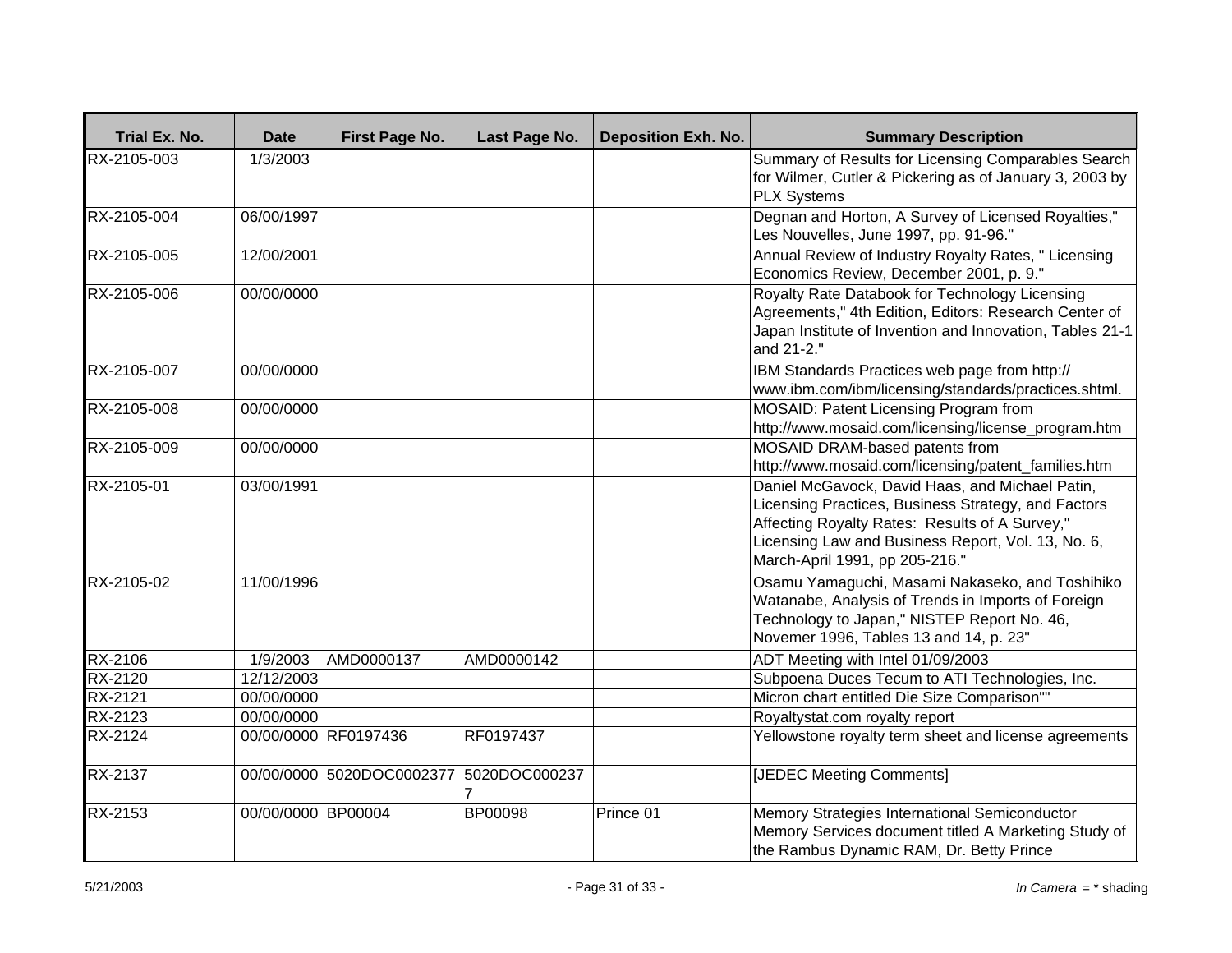| Trial Ex. No.  | <b>Date</b>        | First Page No.            | Last Page No.      | <b>Deposition Exh. No.</b> | <b>Summary Description</b>                                                                                                                                                                                                                       |
|----------------|--------------------|---------------------------|--------------------|----------------------------|--------------------------------------------------------------------------------------------------------------------------------------------------------------------------------------------------------------------------------------------------|
| RX-2105-003    | 1/3/2003           |                           |                    |                            | Summary of Results for Licensing Comparables Search<br>for Wilmer, Cutler & Pickering as of January 3, 2003 by<br><b>PLX Systems</b>                                                                                                             |
| RX-2105-004    | 06/00/1997         |                           |                    |                            | Degnan and Horton, A Survey of Licensed Royalties,"<br>Les Nouvelles, June 1997, pp. 91-96."                                                                                                                                                     |
| RX-2105-005    | 12/00/2001         |                           |                    |                            | Annual Review of Industry Royalty Rates, " Licensing<br>Economics Review, December 2001, p. 9."                                                                                                                                                  |
| RX-2105-006    | 00/00/0000         |                           |                    |                            | Royalty Rate Databook for Technology Licensing<br>Agreements," 4th Edition, Editors: Research Center of<br>Japan Institute of Invention and Innovation, Tables 21-1<br>and 21-2."                                                                |
| RX-2105-007    | 00/00/0000         |                           |                    |                            | IBM Standards Practices web page from http://<br>www.ibm.com/ibm/licensing/standards/practices.shtml.                                                                                                                                            |
| RX-2105-008    | 00/00/0000         |                           |                    |                            | MOSAID: Patent Licensing Program from<br>http://www.mosaid.com/licensing/license_program.htm                                                                                                                                                     |
| RX-2105-009    | 00/00/0000         |                           |                    |                            | MOSAID DRAM-based patents from<br>http://www.mosaid.com/licensing/patent_families.htm                                                                                                                                                            |
| RX-2105-01     | 03/00/1991         |                           |                    |                            | Daniel McGavock, David Haas, and Michael Patin,<br>Licensing Practices, Business Strategy, and Factors<br>Affecting Royalty Rates: Results of A Survey,"<br>Licensing Law and Business Report, Vol. 13, No. 6,<br>March-April 1991, pp 205-216." |
| RX-2105-02     | 11/00/1996         |                           |                    |                            | Osamu Yamaguchi, Masami Nakaseko, and Toshihiko<br>Watanabe, Analysis of Trends in Imports of Foreign<br>Technology to Japan," NISTEP Report No. 46,<br>Novemer 1996, Tables 13 and 14, p. 23"                                                   |
| <b>RX-2106</b> | 1/9/2003           | AMD0000137                | AMD0000142         |                            | ADT Meeting with Intel 01/09/2003                                                                                                                                                                                                                |
| <b>RX-2120</b> | 12/12/2003         |                           |                    |                            | Subpoena Duces Tecum to ATI Technologies, Inc.                                                                                                                                                                                                   |
| <b>RX-2121</b> | 00/00/0000         |                           |                    |                            | Micron chart entitled Die Size Comparison""                                                                                                                                                                                                      |
| <b>RX-2123</b> | 00/00/0000         |                           |                    |                            | Royaltystat.com royalty report                                                                                                                                                                                                                   |
| RX-2124        |                    | 00/00/0000 RF0197436      | RF0197437          |                            | Yellowstone royalty term sheet and license agreements                                                                                                                                                                                            |
| <b>RX-2137</b> |                    | 00/00/0000 5020DOC0002377 | 5020DOC000237<br>7 |                            | [JEDEC Meeting Comments]                                                                                                                                                                                                                         |
| <b>RX-2153</b> | 00/00/0000 BP00004 |                           | BP00098            | Prince 01                  | Memory Strategies International Semiconductor<br>Memory Services document titled A Marketing Study of<br>the Rambus Dynamic RAM, Dr. Betty Prince                                                                                                |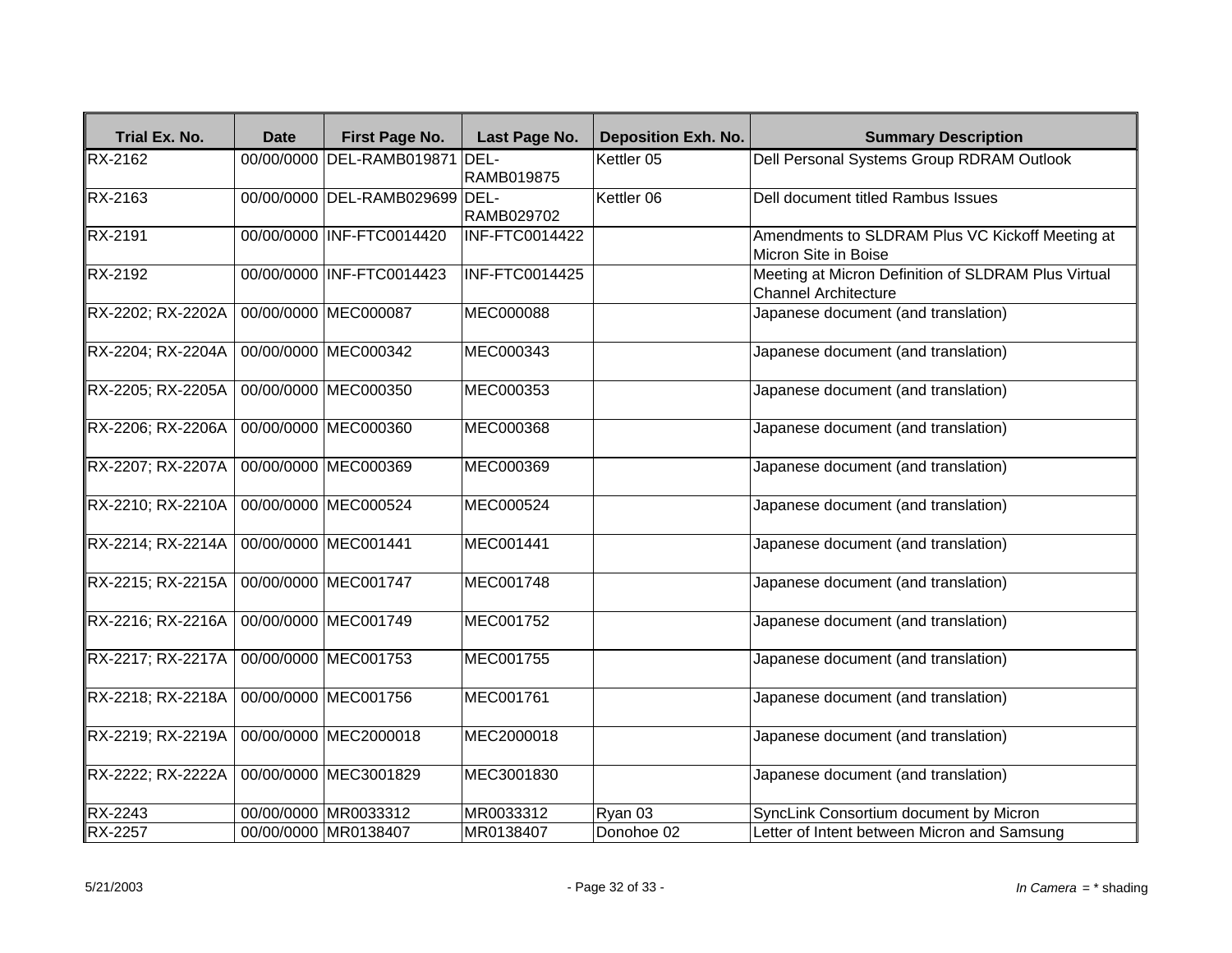| Trial Ex. No.     | <b>Date</b> | <b>First Page No.</b>          | Last Page No.     | <b>Deposition Exh. No.</b> | <b>Summary Description</b>                                                  |
|-------------------|-------------|--------------------------------|-------------------|----------------------------|-----------------------------------------------------------------------------|
| RX-2162           |             | 00/00/0000 DEL-RAMB019871 DEL- | RAMB019875        | Kettler 05                 | Dell Personal Systems Group RDRAM Outlook                                   |
| RX-2163           |             | 00/00/0000 DEL-RAMB029699 DEL- | <b>RAMB029702</b> | Kettler 06                 | Dell document titled Rambus Issues                                          |
| RX-2191           |             | 00/00/0000 INF-FTC0014420      | INF-FTC0014422    |                            | Amendments to SLDRAM Plus VC Kickoff Meeting at<br>Micron Site in Boise     |
| <b>RX-2192</b>    |             | 00/00/0000 INF-FTC0014423      | INF-FTC0014425    |                            | Meeting at Micron Definition of SLDRAM Plus Virtual<br>Channel Architecture |
| RX-2202; RX-2202A |             | 00/00/0000 MEC000087           | MEC000088         |                            | Japanese document (and translation)                                         |
| RX-2204; RX-2204A |             | 00/00/0000 MEC000342           | MEC000343         |                            | Japanese document (and translation)                                         |
| RX-2205; RX-2205A |             | 00/00/0000 MEC000350           | MEC000353         |                            | Japanese document (and translation)                                         |
| RX-2206; RX-2206A |             | 00/00/0000 MEC000360           | MEC000368         |                            | Japanese document (and translation)                                         |
| RX-2207; RX-2207A |             | 00/00/0000 MEC000369           | MEC000369         |                            | Japanese document (and translation)                                         |
| RX-2210; RX-2210A |             | 00/00/0000 MEC000524           | MEC000524         |                            | Japanese document (and translation)                                         |
| RX-2214; RX-2214A |             | 00/00/0000 MEC001441           | MEC001441         |                            | Japanese document (and translation)                                         |
| RX-2215; RX-2215A |             | 00/00/0000 MEC001747           | MEC001748         |                            | Japanese document (and translation)                                         |
| RX-2216; RX-2216A |             | 00/00/0000 MEC001749           | MEC001752         |                            | Japanese document (and translation)                                         |
| RX-2217; RX-2217A |             | 00/00/0000 MEC001753           | MEC001755         |                            | Japanese document (and translation)                                         |
| RX-2218; RX-2218A |             | 00/00/0000 MEC001756           | MEC001761         |                            | Japanese document (and translation)                                         |
| RX-2219; RX-2219A |             | 00/00/0000 MEC2000018          | MEC2000018        |                            | Japanese document (and translation)                                         |
| RX-2222; RX-2222A |             | 00/00/0000 MEC3001829          | MEC3001830        |                            | Japanese document (and translation)                                         |
| RX-2243           |             | 00/00/0000 MR0033312           | MR0033312         | Ryan 03                    | SyncLink Consortium document by Micron                                      |
| <b>RX-2257</b>    |             | 00/00/0000 MR0138407           | MR0138407         | Donohoe 02                 | Letter of Intent between Micron and Samsung                                 |